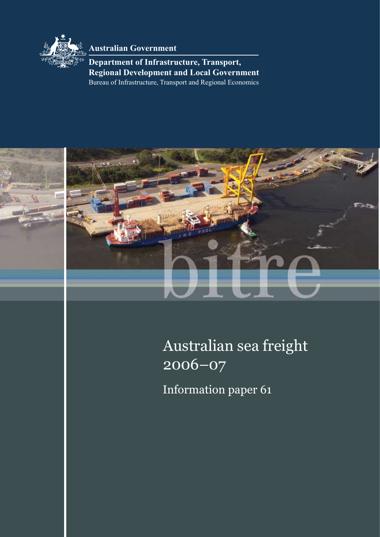

**Australian Government**

Bureau of Infrastructure, Transport and Regional Economics **Department of Infrastructure, Transport, Regional Development and Local Government**



# Australian sea freight 2006–07

Information paper 61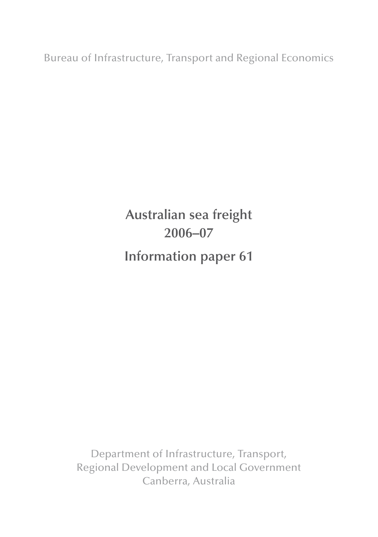Bureau of Infrastructure, Transport and Regional Economics

## **Australian sea freight 2006–07 Information paper 61**

Department of Infrastructure, Transport, Regional Development and Local Government Canberra, Australia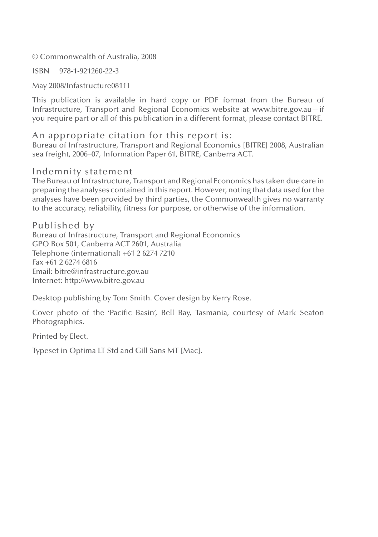© Commonwealth of Australia, 2008

ISBN 978-1-921260-22-3

May 2008/Infastructure08111

This publication is available in hard copy or PDF format from the Bureau of Infrastructure, Transport and Regional Economics website at www.bitre.gov.au—if you require part or all of this publication in a different format, please contact BITRE.

An appropriate citation for this report is: Bureau of Infrastructure, Transport and Regional Economics [BITRE] 2008, Australian sea freight, 2006–07, Information Paper 61, BITRE, Canberra ACT.

#### Indemnity statement

The Bureau of Infrastructure, Transport and Regional Economics has taken due care in preparing the analyses contained in this report. However, noting that data used for the analyses have been provided by third parties, the Commonwealth gives no warranty to the accuracy, reliability, fitness for purpose, or otherwise of the information.

#### Published by

Bureau of Infrastructure, Transport and Regional Economics GPO Box 501, Canberra ACT 2601, Australia Telephone (international) +61 2 6274 7210 Fax +61 2 6274 6816 Email: bitre@infrastructure.gov.au Internet: http://www.bitre.gov.au

Desktop publishing by Tom Smith. Cover design by Kerry Rose.

Cover photo of the 'Pacific Basin', Bell Bay, Tasmania, courtesy of Mark Seaton Photographics.

Printed by Elect.

Typeset in Optima LT Std and Gill Sans MT [Mac].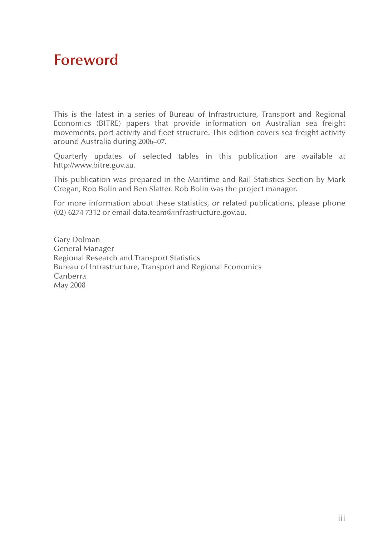## **Foreword**

This is the latest in a series of Bureau of Infrastructure, Transport and Regional Economics (BITRE) papers that provide information on Australian sea freight movements, port activity and fleet structure. This edition covers sea freight activity around Australia during 2006–07.

Quarterly updates of selected tables in this publication are available at http://www.bitre.gov.au.

This publication was prepared in the Maritime and Rail Statistics Section by Mark Cregan, Rob Bolin and Ben Slatter. Rob Bolin was the project manager.

For more information about these statistics, or related publications, please phone (02) 6274 7312 or email data.team@infrastructure.gov.au.

Gary Dolman General Manager Regional Research and Transport Statistics Bureau of Infrastructure, Transport and Regional Economics Canberra May 2008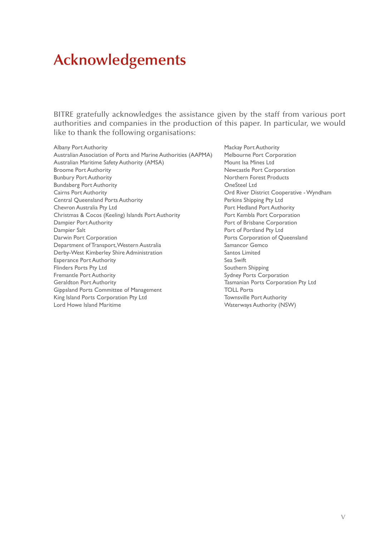## **Acknowledgements**

BITRE gratefully acknowledges the assistance given by the staff from various port authorities and companies in the production of this paper. In particular, we would like to thank the following organisations:

Albany Port Authority<br>Australian Association of Ports and Marine Authorities (AAPMA) Melbourne Port Corporation Australian Association of Ports and Marine Authorities (AAPMA) Australian Maritime Safety Authority (AMSA) Mount Isa Mines Ltd Broome Port Authority **Newcastle Port Corporation** Bunbury Port Authority Northern Forest Products Bundaberg Port Authority<br>
Cairns Port Authority<br>
Ord River Distance Ord River Distance Ord River Distance Ord River Distance Ord River Distance Ord River Distance Order<br>
Ord River Distance Order Distance Order Distance Ord Central Queensland Ports Authority **Perkins Shipping Pty Ltd** Chevron Australia Pty Ltd **Port Authority** Port Hedland Port Authority Christmas & Cocos (Keeling) Islands Port Authority Port Kembla Port Corporation Dampier Port Authority Port of Brisbane Corporation Dampier Salt **Portland Pty Ltd** Darwin Port Corporation **Ports Corporation** Ports Corporation of Queensland Department of Transport, Western Australia Samancor Gemco Derby-West Kimberley Shire Administration Santos Limited Esperance Port Authority Sea Swift Flinders Ports Pty Ltd Southern Shipping Fremantle Port Authority **Sydney Ports Corporation** Sydney Ports Corporation Geraldton Port Authority Tasmanian Ports Corporation Pty Ltd Gippsland Ports Committee of Management TOLL Ports King Island Ports Corporation Pty Ltd Townsville Port Authority Lord Howe Island Maritime **Waterways Authority (NSW)** Waterways Authority (NSW)

Ord River District Cooperative - Wyndham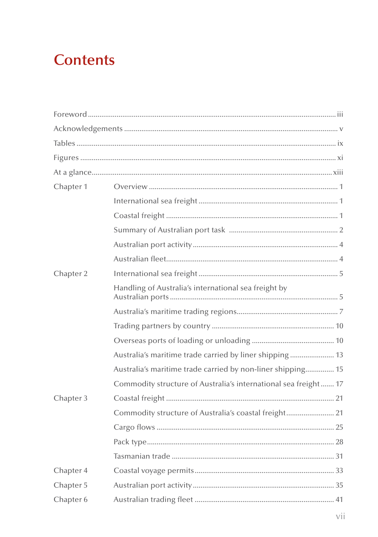## **Contents**

| Chapter 1 |                                                                 |
|-----------|-----------------------------------------------------------------|
|           |                                                                 |
|           |                                                                 |
|           |                                                                 |
|           |                                                                 |
|           |                                                                 |
| Chapter 2 |                                                                 |
|           | Handling of Australia's international sea freight by            |
|           |                                                                 |
|           |                                                                 |
|           |                                                                 |
|           | Australia's maritime trade carried by liner shipping  13        |
|           | Australia's maritime trade carried by non-liner shipping 15     |
|           | Commodity structure of Australia's international sea freight 17 |
| Chapter 3 |                                                                 |
|           | Commodity structure of Australia's coastal freight 21           |
|           |                                                                 |
|           |                                                                 |
|           |                                                                 |
| Chapter 4 |                                                                 |
| Chapter 5 |                                                                 |
| Chapter 6 |                                                                 |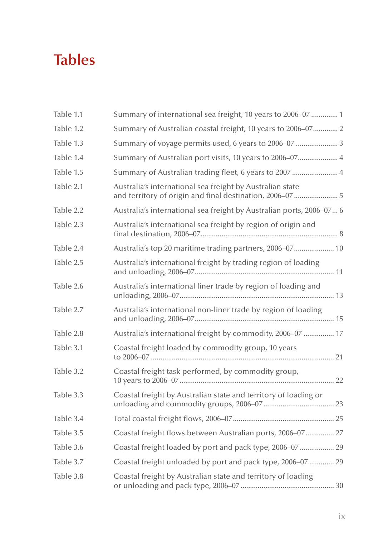## **Tables**

| Table 1.1 | Summary of international sea freight, 10 years to 2006–07  1                                                           |
|-----------|------------------------------------------------------------------------------------------------------------------------|
| Table 1.2 | Summary of Australian coastal freight, 10 years to 2006-07 2                                                           |
| Table 1.3 | Summary of voyage permits used, 6 years to 2006-07  3                                                                  |
| Table 1.4 | Summary of Australian port visits, 10 years to 2006-07 4                                                               |
| Table 1.5 | Summary of Australian trading fleet, 6 years to 2007  4                                                                |
| Table 2.1 | Australia's international sea freight by Australian state<br>and territory of origin and final destination, 2006-07  5 |
| Table 2.2 | Australia's international sea freight by Australian ports, 2006-07 6                                                   |
| Table 2.3 | Australia's international sea freight by region of origin and                                                          |
| Table 2.4 | Australia's top 20 maritime trading partners, 2006-07 10                                                               |
| Table 2.5 | Australia's international freight by trading region of loading                                                         |
| Table 2.6 | Australia's international liner trade by region of loading and                                                         |
| Table 2.7 | Australia's international non-liner trade by region of loading                                                         |
| Table 2.8 | Australia's international freight by commodity, 2006-07  17                                                            |
| Table 3.1 | Coastal freight loaded by commodity group, 10 years                                                                    |
| Table 3.2 | Coastal freight task performed, by commodity group,                                                                    |
| Table 3.3 | Coastal freight by Australian state and territory of loading or                                                        |
| Table 3.4 |                                                                                                                        |
| Table 3.5 | Coastal freight flows between Australian ports, 2006-07 27                                                             |
| Table 3.6 | Coastal freight loaded by port and pack type, 2006-07  29                                                              |
| Table 3.7 | Coastal freight unloaded by port and pack type, 2006-07  29                                                            |
| Table 3.8 | Coastal freight by Australian state and territory of loading                                                           |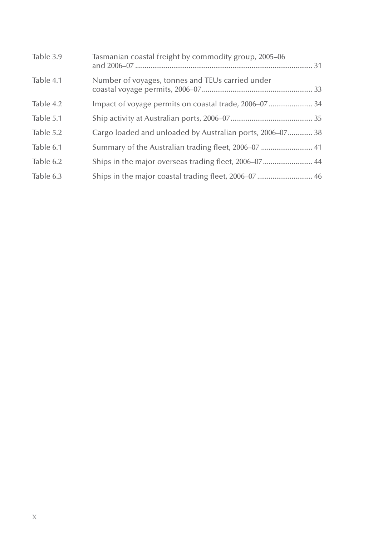| Table 3.9 | Tasmanian coastal freight by commodity group, 2005-06     |  |
|-----------|-----------------------------------------------------------|--|
| Table 4.1 | Number of voyages, tonnes and TEUs carried under          |  |
| Table 4.2 | Impact of voyage permits on coastal trade, 2006-07  34    |  |
| Table 5.1 |                                                           |  |
| Table 5.2 | Cargo loaded and unloaded by Australian ports, 2006–07 38 |  |
| Table 6.1 | Summary of the Australian trading fleet, 2006–07  41      |  |
| Table 6.2 | Ships in the major overseas trading fleet, 2006-07  44    |  |
| Table 6.3 |                                                           |  |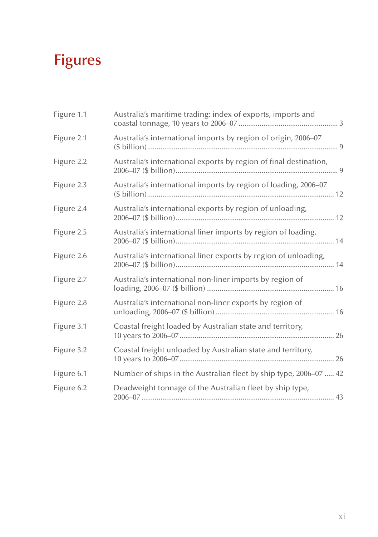# **Figures**

| Figure 1.1 | Australia's maritime trading: index of exports, imports and       |
|------------|-------------------------------------------------------------------|
| Figure 2.1 | Australia's international imports by region of origin, 2006-07    |
| Figure 2.2 | Australia's international exports by region of final destination, |
| Figure 2.3 | Australia's international imports by region of loading, 2006–07   |
| Figure 2.4 | Australia's international exports by region of unloading,         |
| Figure 2.5 | Australia's international liner imports by region of loading,     |
| Figure 2.6 | Australia's international liner exports by region of unloading,   |
| Figure 2.7 | Australia's international non-liner imports by region of          |
| Figure 2.8 | Australia's international non-liner exports by region of          |
| Figure 3.1 | Coastal freight loaded by Australian state and territory,         |
| Figure 3.2 | Coastal freight unloaded by Australian state and territory,       |
| Figure 6.1 | Number of ships in the Australian fleet by ship type, 2006-07  42 |
| Figure 6.2 | Deadweight tonnage of the Australian fleet by ship type,          |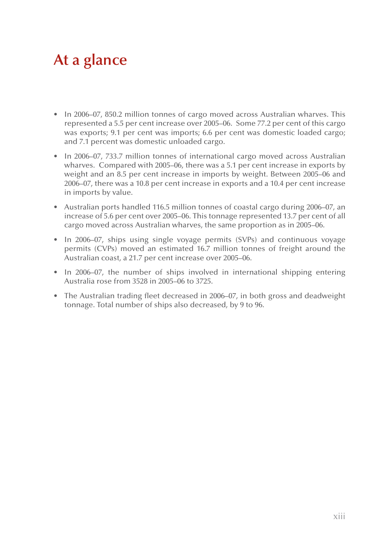## **At a glance**

- In 2006–07, 850.2 million tonnes of cargo moved across Australian wharves. This represented a 5.5 per cent increase over 2005–06. Some 77.2 per cent of this cargo was exports; 9.1 per cent was imports; 6.6 per cent was domestic loaded cargo; and 7.1 percent was domestic unloaded cargo.
- In 2006–07, 733.7 million tonnes of international cargo moved across Australian wharves. Compared with 2005–06, there was a 5.1 per cent increase in exports by weight and an 8.5 per cent increase in imports by weight. Between 2005–06 and 2006–07, there was a 10.8 per cent increase in exports and a 10.4 per cent increase in imports by value.
- Australian ports handled 116.5 million tonnes of coastal cargo during 2006–07, an increase of 5.6 per cent over 2005–06. This tonnage represented 13.7 per cent of all cargo moved across Australian wharves, the same proportion as in 2005–06.
- In 2006–07, ships using single voyage permits (SVPs) and continuous voyage permits (CVPs) moved an estimated 16.7 million tonnes of freight around the Australian coast, a 21.7 per cent increase over 2005–06.
- In 2006–07, the number of ships involved in international shipping entering Australia rose from 3528 in 2005–06 to 3725.
- The Australian trading fleet decreased in 2006–07, in both gross and deadweight tonnage. Total number of ships also decreased, by 9 to 96.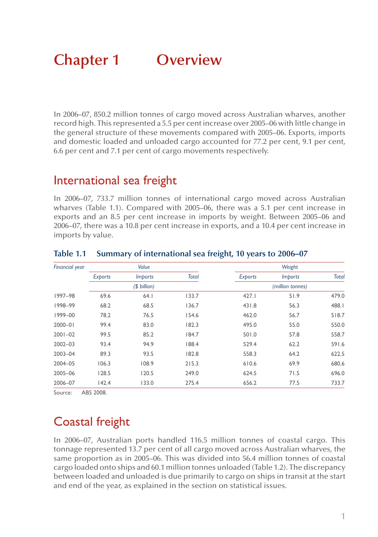## **Chapter 1 Overview**

In 2006–07, 850.2 million tonnes of cargo moved across Australian wharves, another record high. This represented a 5.5 per cent increase over 2005–06 with little change in the general structure of these movements compared with 2005–06. Exports, imports and domestic loaded and unloaded cargo accounted for 77.2 per cent, 9.1 per cent, 6.6 per cent and 7.1 per cent of cargo movements respectively.

### International sea freight

In 2006–07, 733.7 million tonnes of international cargo moved across Australian wharves (Table 1.1). Compared with 2005–06, there was a 5.1 per cent increase in exports and an 8.5 per cent increase in imports by weight. Between 2005–06 and 2006–07, there was a 10.8 per cent increase in exports, and a 10.4 per cent increase in imports by value.

| <b>Financial year</b> |                | Value          |              |         | Weight           |              |
|-----------------------|----------------|----------------|--------------|---------|------------------|--------------|
|                       | <b>Exports</b> | <i>Imports</i> | <b>Total</b> | Exports | <i>Imports</i>   | <b>Total</b> |
|                       |                | (\$ billion)   |              |         | (million tonnes) |              |
| 1997-98               | 69.6           | 64.1           | 133.7        | 427.1   | 51.9             | 479.0        |
| 1998-99               | 68.2           | 68.5           | 136.7        | 431.8   | 56.3             | 488.1        |
| 1999-00               | 78.2           | 76.5           | 154.6        | 462.0   | 56.7             | 518.7        |
| $2000 - 01$           | 99.4           | 83.0           | 182.3        | 495.0   | 55.0             | 550.0        |
| $2001 - 02$           | 99.5           | 85.2           | 184.7        | 501.0   | 57.8             | 558.7        |
| $2002 - 03$           | 93.4           | 94.9           | 188.4        | 529.4   | 62.2             | 591.6        |
| $2003 - 04$           | 89.3           | 93.5           | 182.8        | 558.3   | 64.2             | 622.5        |
| 2004-05               | 106.3          | 108.9          | 215.3        | 610.6   | 69.9             | 680.6        |
| 2005-06               | 128.5          | 120.5          | 249.0        | 624.5   | 71.5             | 696.0        |
| 2006-07               | 142.4          | 133.0          | 275.4        | 656.2   | 77.5             | 733.7        |

#### **Table 1.1 Summary of international sea freight, 10 years to 2006–07**

Source: ABS 2008.

## Coastal freight

In 2006–07, Australian ports handled 116.5 million tonnes of coastal cargo. This tonnage represented 13.7 per cent of all cargo moved across Australian wharves, the same proportion as in 2005–06. This was divided into 56.4 million tonnes of coastal cargo loaded onto ships and 60.1 million tonnes unloaded (Table 1.2). The discrepancy between loaded and unloaded is due primarily to cargo on ships in transit at the start and end of the year, as explained in the section on statistical issues.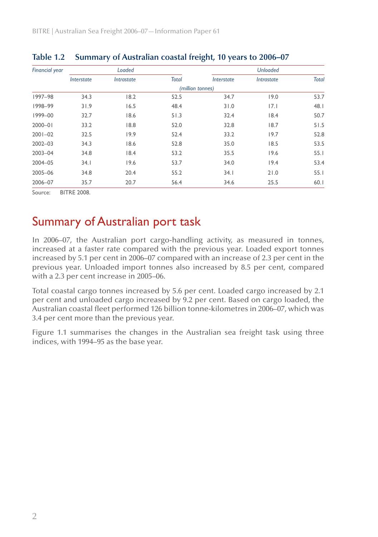| Financial year |            | Loaded     |              |                  | <b>Unloaded</b> |              |
|----------------|------------|------------|--------------|------------------|-----------------|--------------|
|                | Interstate | Intrastate | <b>Total</b> | Interstate       | Intrastate      | <b>Total</b> |
|                |            |            |              | (million tonnes) |                 |              |
| 1997-98        | 34.3       | 18.2       | 52.5         | 34.7             | 19.0            | 53.7         |
| 1998-99        | 31.9       | 16.5       | 48.4         | 31.0             | 7.1             | 48.I         |
| 1999-00        | 32.7       | 18.6       | 51.3         | 32.4             | 18.4            | 50.7         |
| $2000 - 01$    | 33.2       | 18.8       | 52.0         | 32.8             | 18.7            | 51.5         |
| $2001 - 02$    | 32.5       | 19.9       | 52.4         | 33.2             | 19.7            | 52.8         |
| $2002 - 03$    | 34.3       | 18.6       | 52.8         | 35.0             | 18.5            | 53.5         |
| 2003-04        | 34.8       | 18.4       | 53.2         | 35.5             | 19.6            | 55.1         |
| 2004-05        | 34.1       | 19.6       | 53.7         | 34.0             | 19.4            | 53.4         |
| 2005-06        | 34.8       | 20.4       | 55.2         | 34.1             | 21.0            | 55.1         |
| 2006-07        | 35.7       | 20.7       | 56.4         | 34.6             | 25.5            | 60.1         |

#### **Table 1.2 Summary of Australian coastal freight, 10 years to 2006–07**

Source: BITRE 2008.

## Summary of Australian port task

In 2006–07, the Australian port cargo-handling activity, as measured in tonnes, increased at a faster rate compared with the previous year. Loaded export tonnes increased by 5.1 per cent in 2006–07 compared with an increase of 2.3 per cent in the previous year. Unloaded import tonnes also increased by 8.5 per cent, compared with a 2.3 per cent increase in 2005–06.

Total coastal cargo tonnes increased by 5.6 per cent. Loaded cargo increased by 2.1 per cent and unloaded cargo increased by 9.2 per cent. Based on cargo loaded, the Australian coastal fleet performed 126 billion tonne-kilometres in 2006–07, which was 3.4 per cent more than the previous year.

Figure 1.1 summarises the changes in the Australian sea freight task using three indices, with 1994–95 as the base year.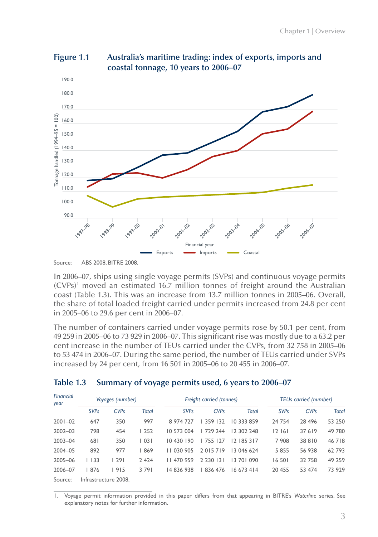

**Figure 1.1 Australia's maritime trading: index of exports, imports and coastal tonnage, 10 years to 2006–07**

In 2006–07, ships using single voyage permits (SVPs) and continuous voyage permits (CVPs)1 moved an estimated 16.7 million tonnes of freight around the Australian coast (Table 1.3). This was an increase from 13.7 million tonnes in 2005–06. Overall, the share of total loaded freight carried under permits increased from 24.8 per cent in 2005–06 to 29.6 per cent in 2006–07.

The number of containers carried under voyage permits rose by 50.1 per cent, from 49 259 in 2005–06 to 73 929 in 2006–07. This significant rise was mostly due to a 63.2 per cent increase in the number of TEUs carried under the CVPs, from 32 758 in 2005–06 to 53 474 in 2006–07. During the same period, the number of TEUs carried under SVPs increased by 24 per cent, from 16 501 in 2005–06 to 20 455 in 2006–07.

| Financial<br>year | Voyages (number) |                   | Freight carried (tonnes) |                        |               |               | <b>TEUs carried (number)</b> |          |              |
|-------------------|------------------|-------------------|--------------------------|------------------------|---------------|---------------|------------------------------|----------|--------------|
|                   | <b>SVPs</b>      | CVPs              | Total                    | <b>SVP<sub>s</sub></b> | CVPs          | <b>Total</b>  | <b>SVP<sub>s</sub></b>       | CVPs     | <b>Total</b> |
| $2001 - 02$       | 647              | 350               | 997                      | 8 974 727              | 359 132       | 10 333 859    | 24 754                       | 28 4 9 6 | 53 250       |
| $2002 - 03$       | 798              | 454               | 252                      | 10 573 004             | 729 244       | 12 302 248    | 12161                        | 37 619   | 49 780       |
| $2003 - 04$       | 681              | 350               | 1031                     | 10430190               | 755   27      | 12 185 317    | 7 908                        | 38810    | 46718        |
| 2004-05           | 892              | 977               | 869                      | 11 030 905             | 2015719       | 13 046 624    | 5 8 5 5                      | 56 938   | 62793        |
| 2005-06           | 1133             | 1291              | 2 4 2 4                  | 11 470 959             | 2 2 3 0 1 3 1 | 13 70 1 0 9 0 | 16 501                       | 32 758   | 49 259       |
| 2006-07           | 876              | 1915              | 3791                     | 14 836 938             | 836 476       | 16 673 414    | 20 455                       | 53 474   | 73 929       |
|                   |                  | $\cdots$ $\cdots$ |                          |                        |               |               |                              |          |              |

|  | Table 1.3 Summary of voyage permits used, 6 years to 2006-07 |  |  |
|--|--------------------------------------------------------------|--|--|
|  |                                                              |  |  |

Source: Infrastructure 2008.

1. Voyage permit information provided in this paper differs from that appearing in BITRE's *Waterline* series. See explanatory notes for further information.

Source: ABS 2008, BITRE 2008.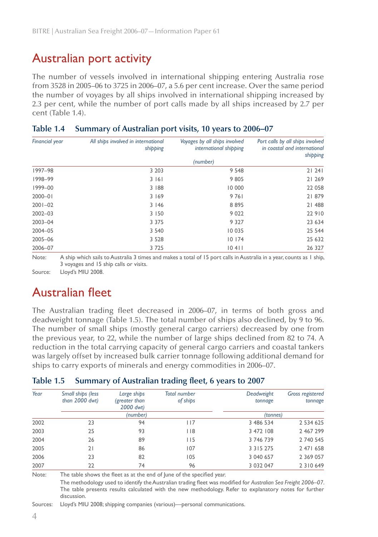### Australian port activity

The number of vessels involved in international shipping entering Australia rose from 3528 in 2005–06 to 3725 in 2006–07, a 5.6 per cent increase. Over the same period the number of voyages by all ships involved in international shipping increased by 2.3 per cent, while the number of port calls made by all ships increased by 2.7 per cent (Table 1.4).

| <b>Financial year</b> | All ships involved in international<br>shipping | Voyages by all ships involved<br>international shipping | Port calls by all ships involved<br>in coastal and international<br>shipping |
|-----------------------|-------------------------------------------------|---------------------------------------------------------|------------------------------------------------------------------------------|
|                       |                                                 | (number)                                                |                                                                              |
| 1997-98               | 3 2 0 3                                         | 9 5 4 8                                                 | 21241                                                                        |
| 1998-99               | 3 1 6 1                                         | 9805                                                    | 21 269                                                                       |
| 1999-00               | 3 188                                           | 10 000                                                  | 22 058                                                                       |
| $2000 - 01$           | 3169                                            | 9761                                                    | 21879                                                                        |
| $2001 - 02$           | 3146                                            | 8895                                                    | 21 488                                                                       |
| $2002 - 03$           | 3 1 5 0                                         | 9 0 2 2                                                 | 22 910                                                                       |
| 2003-04               | 3 3 7 5                                         | 9 3 2 7                                                 | 23 634                                                                       |
| 2004-05               | 3 5 4 0                                         | 10 035                                                  | 25 544                                                                       |
| 2005-06               | 3 5 2 8                                         | 10174                                                   | 25 632                                                                       |
| 2006-07               | 3 7 2 5                                         | 10411                                                   | 26 327                                                                       |

#### **Table 1.4 Summary of Australian port visits, 10 years to 2006–07**

Note: A ship which sails to Australia 3 times and makes a total of 15 port calls in Australia in a year, counts as 1 ship, 3 voyages and 15 ship calls or visits.

Source: Lloyd's MIU 2008.

### Australian fleet

The Australian trading fleet decreased in 2006–07, in terms of both gross and deadweight tonnage (Table 1.5). The total number of ships also declined, by 9 to 96. The number of small ships (mostly general cargo carriers) decreased by one from the previous year, to 22, while the number of large ships declined from 82 to 74. A reduction in the total carrying capacity of general cargo carriers and coastal tankers was largely offset by increased bulk carrier tonnage following additional demand for ships to carry exports of minerals and energy commodities in 2006–07.

#### **Table 1.5 Summary of Australian trading fleet, 6 years to 2007**

| Year | Small ships (less<br>than $2000$ dwt) | Large ships<br>(greater than<br>2000 dwt) | <b>Total number</b><br>of ships | Deadweight<br>tonnage | <b>Gross registered</b><br>tonnage |
|------|---------------------------------------|-------------------------------------------|---------------------------------|-----------------------|------------------------------------|
|      |                                       | (number)                                  |                                 | (tonnes)              |                                    |
| 2002 | 23                                    | 94                                        | 117                             | 3 486 534             | 2 534 625                          |
| 2003 | 25                                    | 93                                        | <b>118</b>                      | 3 472 108             | 2 467 299                          |
| 2004 | 26                                    | 89                                        | 115                             | 3 746 739             | 2 740 545                          |
| 2005 | 21                                    | 86                                        | 107                             | 3 3 1 5 2 7 5         | 2 471 658                          |
| 2006 | 23                                    | 82                                        | 105                             | 3 040 657             | 2 3 6 9 0 5 7                      |
| 2007 | 22                                    | 74                                        | 96                              | 3 0 3 2 0 4 7         | 2 3 10 649                         |

Note: The table shows the fleet as at the end of June of the specified year.

The methodology used to identify the Australian trading fleet was modified for *Australian Sea Freight 2006–07*. The table presents results calculated with the new methodology. Refer to explanatory notes for further discussion.

Sources: Lloyd's MIU 2008; shipping companies (various)—personal communications.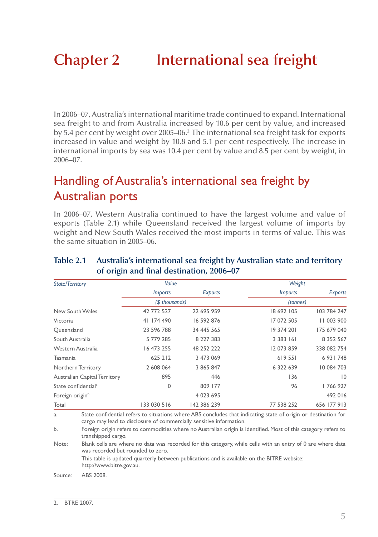# **Chapter 2 International sea freight**

In 2006–07, Australia's international maritime trade continued to expand. International sea freight to and from Australia increased by 10.6 per cent by value, and increased by 5.4 per cent by weight over 2005–06.2 The international sea freight task for exports increased in value and weight by 10.8 and 5.1 per cent respectively. The increase in international imports by sea was 10.4 per cent by value and 8.5 per cent by weight, in 2006–07.

## Handling of Australia's international sea freight by Australian ports

In 2006–07, Western Australia continued to have the largest volume and value of exports (Table 2.1) while Queensland received the largest volume of imports by weight and New South Wales received the most imports in terms of value. This was the same situation in 2005–06.

| State/Territory                     | Value          |             | Weight         |                 |
|-------------------------------------|----------------|-------------|----------------|-----------------|
|                                     | <i>Imports</i> | Exports     | <i>Imports</i> | Exports         |
|                                     | (\$ thousands) |             | (tonnes)       |                 |
| New South Wales                     | 42 772 527     | 22 695 959  | 18 692 105     | 103 784 247     |
| Victoria                            | 41 174 490     | 16 592 876  | 17 072 505     | 11 003 900      |
| Queensland                          | 23 596 788     | 34 445 565  | 19 374 201     | 175 679 040     |
| South Australia                     | 5 779 285      | 8 227 383   | 3 3 8 3 1 6 1  | 8 3 5 2 5 6 7   |
| Western Australia                   | 16 473 255     | 48 252 222  | 12 073 859     | 338 082 754     |
| Tasmania                            | 625 212        | 3 473 069   | 619551         | 6 931 748       |
| Northern Territory                  | 2 608 064      | 3 865 847   | 6 322 639      | 10 084 703      |
| <b>Australian Capital Territory</b> | 895            | 446         | 136            | $\overline{10}$ |
| State confidential <sup>a</sup>     | 0              | 809 177     | 96             | 766 927         |
| Foreign origin <sup>b</sup>         |                | 4 0 23 6 95 |                | 492 016         |
| Total                               | 133 030 516    | 142 386 239 | 77 538 252     | 656 177 913     |

#### **Table 2.1 Australia's international sea freight by Australian state and territory of origin and final destination, 2006–07**

a. State confidential refers to situations where ABS concludes that indicating state of origin or destination for cargo may lead to disclosure of commercially sensitive information.

b. Foreign origin refers to commodities where no Australian origin is identified. Most of this category refers to transhipped cargo.

Note: Blank cells are where no data was recorded for this category, while cells with an entry of 0 are where data was recorded but rounded to zero.

This table is updated quarterly between publications and is available on the BITRE website: http://www.bitre.gov.au.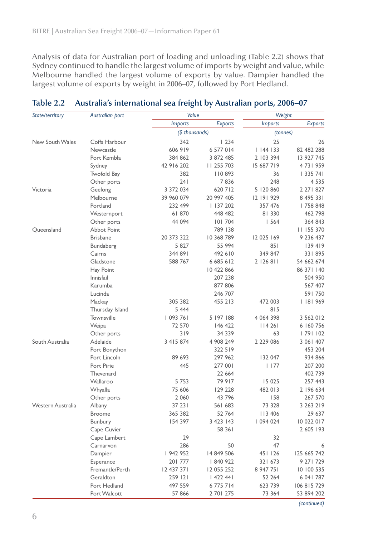Analysis of data for Australian port of loading and unloading (Table 2.2) shows that Sydney continued to handle the largest volume of imports by weight and value, while Melbourne handled the largest volume of exports by value. Dampier handled the largest volume of exports by weight in 2006–07, followed by Port Hedland.

| State/territory   | Australian port | Value          |                | Weight         |             |  |
|-------------------|-----------------|----------------|----------------|----------------|-------------|--|
|                   |                 | <b>Imports</b> | <b>Exports</b> | <b>Imports</b> | Exports     |  |
|                   |                 | (\$ thousands) |                | (tonnes)       |             |  |
| New South Wales   | Coffs Harbour   | 342            | 1234           | 25             | 26          |  |
|                   | Newcastle       | 606 919        | 6 577 014      | 1144133        | 82 482 288  |  |
|                   | Port Kembla     | 384 862        | 3 872 485      | 2 103 394      | 13 927 745  |  |
|                   | Sydney          | 42 916 202     | 11 255 703     | 15 687 719     | 4731959     |  |
|                   | Twofold Bay     | 382            | 110893         | 36             | 1335741     |  |
|                   | Other ports     | 241            | 7836           | 248            | 4 5 3 5     |  |
| Victoria          | Geelong         | 3 372 034      | 620 712        | 5 120 860      | 2 271 827   |  |
|                   | Melbourne       | 39 960 079     | 20 997 405     | 12 191 929     | 8 495 331   |  |
|                   | Portland        | 232 499        | 137 202        | 357 476        | 758 848     |  |
|                   | Westernport     | 61870          | 448 482        | 81 330         | 462 798     |  |
|                   | Other ports     | 44 094         | 101704         | 1564           | 364 843     |  |
| Queensland        | Abbot Point     |                | 789 138        |                | 11 155 370  |  |
|                   | <b>Brisbane</b> | 20 373 322     | 10 368 789     | 12 025 169     | 9 236 437   |  |
|                   | Bundaberg       | 5 8 2 7        | 55 994         | 851            | 139419      |  |
|                   | Cairns          | 344 891        | 492 610        | 349 847        | 331 895     |  |
|                   | Gladstone       | 588 767        | 6 685 612      | 2 126 811      | 54 662 674  |  |
|                   | Hay Point       |                | 10 422 866     |                | 86 371 140  |  |
|                   | Innisfail       |                | 207 238        |                | 504 950     |  |
|                   | Karumba         |                | 877 806        |                | 567 407     |  |
|                   | Lucinda         |                | 246 707        |                | 591750      |  |
|                   | Mackay          | 305 382        | 455 213        | 472 003        | 181 969     |  |
|                   | Thursday Island | 5 4 4 4        |                | 815            |             |  |
|                   | Townsville      | 1093761        | 5 197 188      | 4 0 64 3 98    | 3 562 012   |  |
|                   | Weipa           | 72 570         | 146 422        | 114261         | 6 160 756   |  |
|                   | Other ports     | 319            | 34 339         | 63             | 79  102     |  |
| South Australia   | Adelaide        | 3 415 874      | 4 908 249      | 2 2 2 9 0 8 6  | 3 061 407   |  |
|                   | Port Bonython   |                | 322 519        |                | 453 204     |  |
|                   | Port Lincoln    | 89 693         | 297 962        | 132 047        | 934 866     |  |
|                   | Port Pirie      | 445            | 277 001        | 1177           | 207 200     |  |
|                   | Thevenard       |                | 22 664         |                | 402 739     |  |
|                   | Wallaroo        | 5 7 5 3        | 79 917         | 15 0 25        | 257 443     |  |
|                   | Whyalla         | 75 606         | 129 228        | 482 013        | 2 196 634   |  |
|                   | Other ports     | 2 0 6 0        | 43 796         | 158            | 267 570     |  |
| Western Australia | Albany          | 37 23 1        | 561 683        | 73 328         | 3 263 219   |  |
|                   | <b>Broome</b>   | 365 382        | 52 764         | 113 406        | 29 637      |  |
|                   | Bunbury         | 154 397        | 3 4 2 3 1 4 3  | 094 024        | 10 022 017  |  |
|                   | Cape Cuvier     |                | 58 361         |                | 2 605 193   |  |
|                   | Cape Lambert    | 29             |                | 32             |             |  |
|                   | Carnarvon       | 286            | 50             | 47             | 6           |  |
|                   | Dampier         | 942 952        | 14 849 506     | 451 126        | 125 665 742 |  |
|                   | Esperance       | 201777         | 840 922        | 321 673        | 9 271 729   |  |
|                   | Fremantle/Perth | 12 437 371     | 12 055 252     | 8 947 751      | 10 100 535  |  |
|                   | Geraldton       | 259 121        | 1422441        | 52 264         | 6 041 787   |  |
|                   | Port Hedland    | 497 559        | 6775714        | 623 739        | 106 815 729 |  |
|                   | Port Walcott    | 57 866         | 2 701 275      | 73 364         | 53 894 202  |  |

#### **Table 2.2 Australia's international sea freight by Australian ports, 2006–07**

*(continued)*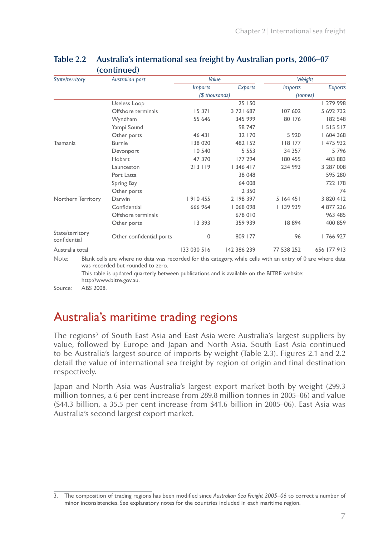| State/territory                 | Australian port          | Value          |             | Weight                       |                |  |
|---------------------------------|--------------------------|----------------|-------------|------------------------------|----------------|--|
|                                 |                          | <i>Imports</i> | Exports     | <i><u><b>Imports</b></u></i> | <b>Exports</b> |  |
|                                 |                          | (\$ thousands) |             | (tonnes)                     |                |  |
|                                 | Useless Loop             |                | 25 150      |                              | 279 998        |  |
|                                 | Offshore terminals       | 15 371         | 3 721 687   | 107 602                      | 5 692 732      |  |
|                                 | Wyndham                  | 55 646         | 345 999     | 80 176                       | 182 548        |  |
|                                 | Yampi Sound              |                | 98 747      |                              | 1515517        |  |
|                                 | Other ports              | 46 43          | 32 170      | 5 9 2 0                      | 604 368        |  |
| Tasmania                        | <b>Burnie</b>            | 138 020        | 482 152     | 8   77                       | 475 932        |  |
|                                 | Devonport                | 10 540         | 5 5 5 3     | 34 3 5 7                     | 5796           |  |
|                                 | Hobart                   | 47 370         | 177 294     | 180 455                      | 403 883        |  |
|                                 | Launceston               | 213 119        | 346 417     | 234 993                      | 3 287 008      |  |
|                                 | Port Latta               |                | 38 048      |                              | 595 280        |  |
|                                 | Spring Bay               |                | 64 008      |                              | 722 178        |  |
|                                 | Other ports              |                | 2 3 5 0     |                              | 74             |  |
| Northern Territory              | Darwin                   | 910 455        | 2 198 397   | 5 164 451                    | 3 820 412      |  |
|                                 | Confidential             | 666 964        | 068 098     | 139 939                      | 4 877 236      |  |
|                                 | Offshore terminals       |                | 678 010     |                              | 963 485        |  |
|                                 | Other ports              | 13 3 9 3       | 359 939     | 18894                        | 400 859        |  |
| State/territory<br>confidential | Other confidential ports | 0              | 809 177     | 96                           | 766 927        |  |
| Australia total                 |                          | 133 030 516    | 142 386 239 | 77 538 252                   | 656 177 913    |  |

#### **Table 2.2 Australia's international sea freight by Australian ports, 2006–07 (continued)**

Note: Blank cells are where no data was recorded for this category, while cells with an entry of 0 are where data was recorded but rounded to zero.

This table is updated quarterly between publications and is available on the BITRE website: http://www.bitre.gov.au.

Source: ABS 2008.

## Australia's maritime trading regions

The regions<sup>3</sup> of South East Asia and East Asia were Australia's largest suppliers by value, followed by Europe and Japan and North Asia. South East Asia continued to be Australia's largest source of imports by weight (Table 2.3). Figures 2.1 and 2.2 detail the value of international sea freight by region of origin and final destination respectively.

Japan and North Asia was Australia's largest export market both by weight (299.3 million tonnes, a 6 per cent increase from 289.8 million tonnes in 2005–06) and value (\$44.3 billion, a 35.5 per cent increase from \$41.6 billion in 2005–06). East Asia was Australia's second largest export market.

<sup>3.</sup> The composition of trading regions has been modified since *Australian Sea Freight 2005–06* to correct a number of minor inconsistencies. See explanatory notes for the countries included in each maritime region.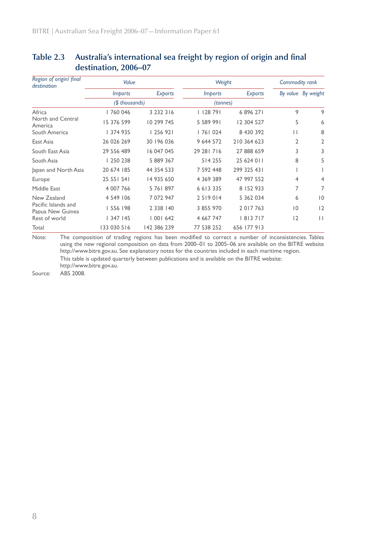| Region of origin/ final<br>destination  | Value           |                | Weight         | Commodity rank |    |                    |
|-----------------------------------------|-----------------|----------------|----------------|----------------|----|--------------------|
|                                         | <i>Imports</i>  | <b>Exports</b> | <i>Imports</i> | <b>Exports</b> |    | By value By weight |
|                                         | $($ thousands)$ |                | (tonnes)       |                |    |                    |
| Africa                                  | 760 046         | 3 2 3 2 3 1 6  | $ $ 128 791    | 6896271        | 9  | 9                  |
| North and Central<br>America            | 15 376 599      | 10 299 745     | 5 589 991      | 12 304 527     | 5  | 6                  |
| South America                           | 374 935         | 256 921        | 76  024        | 8 430 392      | П  | 8                  |
| East Asia                               | 26 026 269      | 30 196 036     | 9 644 572      | 210 364 623    | 2  | 2                  |
| South East Asia                         | 29 556 489      | 16 047 045     | 29 28 1 7 1 6  | 27 888 659     | 3  | 3                  |
| South Asia                              | 250 238         | 5 889 367      | 514 255        | 25 624 011     | 8  | 5                  |
| Japan and North Asia                    | 20 674 185      | 44 354 533     | 7 592 448      | 299 325 431    |    |                    |
| Europe                                  | 25 55   54      | 14 935 650     | 4 3 6 9 3 8 9  | 47 997 552     | 4  | 4                  |
| Middle East                             | 4 007 766       | 5 76 897       | 6 6 1 3 3 3 5  | 8 152 933      | 7  | 7                  |
| New Zealand                             | 4 549 106       | 7 072 947      | 2519014        | 5 362 034      | 6  | $\overline{10}$    |
| Pacific Islands and<br>Papua New Guinea | 556 198         | 2 3 3 8 1 4 0  | 3 855 970      | 2017763        | 10 | 12                 |
| Rest of world                           | 1347145         | 1001642        | 4 667 747      | 8  37  7       | 12 | $\mathbf{H}$       |
| Total                                   | 133 030 516     | 142 386 239    | 77 538 252     | 656 177 913    |    |                    |

### **Table 2.3 Australia's international sea freight by region of origin and final destination, 2006–07**

Note: The composition of trading regions has been modified to correct a number of inconsistencies. Tables using the new regional composition on data from 2000–01 to 2005–06 are available on the BITRE website http://www.bitre.gov.au. See explanatory notes for the countries included in each maritime region. This table is updated quarterly between publications and is available on the BITRE website: http://www.bitre.gov.au.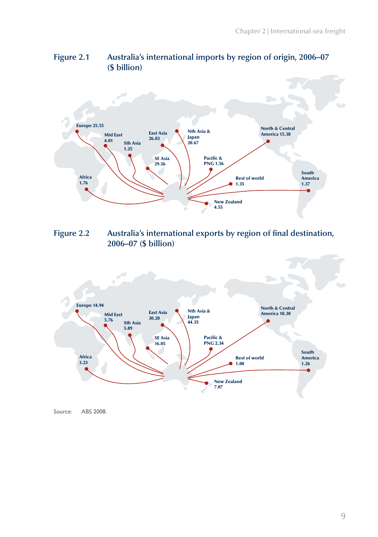



**Figure 2.2 Australia's international exports by region of final destination, 2006–07 (\$ billion)**



Source: ABS 2008.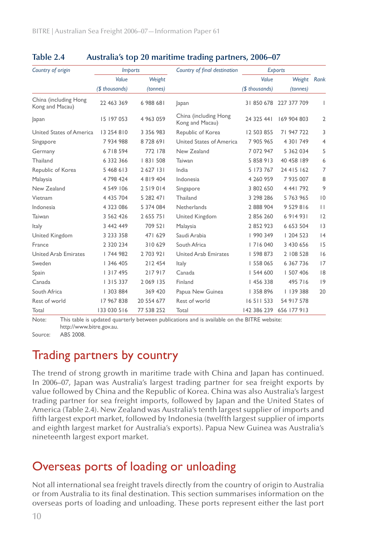| Country of origin                        | <i>Imports</i> |               | Country of final destination             |                | Exports       |                |
|------------------------------------------|----------------|---------------|------------------------------------------|----------------|---------------|----------------|
|                                          | Value          | Weight        |                                          | Value          | Weight Rank   |                |
|                                          | (\$ thousands) | (tonnes)      |                                          | (\$ thousands) | (tonnes)      |                |
| China (including Hong<br>Kong and Macau) | 22 463 369     | 6 988 681     | Japan                                    | 31850678       | 227 377 709   | $\mathbf{I}$   |
| Japan                                    | 15 197 053     | 4 963 059     | China (including Hong<br>Kong and Macau) | 24 325 441     | 169 904 803   | $\overline{2}$ |
| United States of America                 | 13 254 810     | 3 3 5 6 9 8 3 | Republic of Korea                        | 12 503 855     | 71 947 722    | 3              |
| Singapore                                | 7 934 988      | 8728691       | United States of America                 | 7 905 965      | 4 30   749    | $\overline{4}$ |
| Germany                                  | 6718594        | 772 178       | New Zealand                              | 7 072 947      | 5 362 034     | 5              |
| Thailand                                 | 6 3 3 2 3 6 6  | 83  508       | Taiwan                                   | 5 858 913      | 40 458 189    | 6              |
| Republic of Korea                        | 5 468 613      | 2 6 2 7 1 3 1 | India                                    | 5 173 767      | 24 415 162    | $\overline{7}$ |
| Malaysia                                 | 4 798 424      | 4819404       | Indonesia                                | 4 260 959      | 7 935 007     | 8              |
| New Zealand                              | 4 549 106      | 2519014       | Singapore                                | 3 802 650      | 4 441 792     | 9              |
| Vietnam                                  | 4 435 704      | 5 282 471     | Thailand                                 | 3 298 286      | 5 763 965     | 0              |
| Indonesia                                | 4 3 2 3 0 8 6  | 5 374 084     | Netherlands                              | 2 888 904      | 9 5 2 9 8 1 6 | $\Box$         |
| Taiwan                                   | 3 5 6 2 4 2 6  | 2 655 751     | United Kingdom                           | 2856260        | 6 9 1 4 9 3 1 | 12             |
| Italy                                    | 3 442 449      | 709 521       | Malaysia                                 | 2852923        | 6 653 504     | 3              |
| United Kingdom                           | 3 2 3 3 3 5 8  | 471 629       | Saudi Arabia                             | 990 349        | 204 523       | 4              |
| France                                   | 2 3 2 0 2 3 4  | 310629        | South Africa                             | 7   6 0 4 0    | 3 430 656     | 15             |
| <b>United Arab Emirates</b>              | 744 982        | 2703921       | <b>United Arab Emirates</b>              | 598 873        | 2 108 528     | 6              |
| Sweden                                   | 346 405        | 212 454       | Italy                                    | 558 065        | 6 3 6 7 7 3 6 | 17             |
| Spain                                    | 317495         | 217917        | Canada                                   | 544 600        | 507 406       | 8              |
| Canada                                   | 315 337        | 2 0 69 1 35   | Finland                                  | 456 338        | 495 716       | 9              |
| South Africa                             | 303 884        | 369 420       | Papua New Guinea                         | 358 896        | 139 388       | 20             |
| Rest of world                            | 17 967 838     | 20 554 677    | Rest of world                            | 16 511 533     | 54 917 578    |                |
| Total                                    | 133 030 516    | 77 538 252    | Total                                    | 142 386 239    | 656 177 913   |                |

#### **Table 2.4 Australia's top 20 maritime trading partners, 2006–07**

Note: This table is updated quarterly between publications and is available on the BITRE website: http://www.bitre.gov.au.

Source: ABS 2008.

## Trading partners by country

The trend of strong growth in maritime trade with China and Japan has continued. In 2006–07, Japan was Australia's largest trading partner for sea freight exports by value followed by China and the Republic of Korea. China was also Australia's largest trading partner for sea freight imports, followed by Japan and the United States of America (Table 2.4). New Zealand was Australia's tenth largest supplier of imports and fifth largest export market, followed by Indonesia (twelfth largest supplier of imports and eighth largest market for Australia's exports). Papua New Guinea was Australia's nineteenth largest export market.

## Overseas ports of loading or unloading

Not all international sea freight travels directly from the country of origin to Australia or from Australia to its final destination. This section summarises information on the overseas ports of loading and unloading. These ports represent either the last port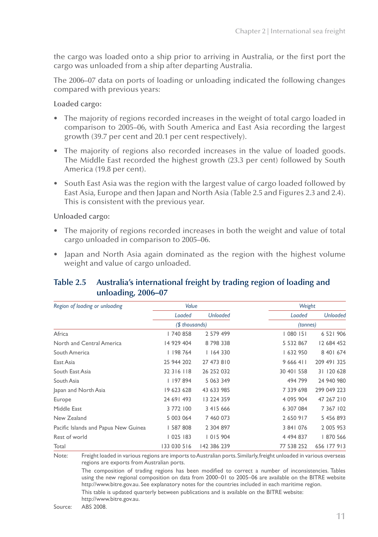the cargo was loaded onto a ship prior to arriving in Australia, or the first port the cargo was unloaded from a ship after departing Australia.

The 2006–07 data on ports of loading or unloading indicated the following changes compared with previous years:

**Loaded cargo:**

- The majority of regions recorded increases in the weight of total cargo loaded in comparison to 2005–06, with South America and East Asia recording the largest growth (39.7 per cent and 20.1 per cent respectively).
- The majority of regions also recorded increases in the value of loaded goods. The Middle East recorded the highest growth (23.3 per cent) followed by South America (19.8 per cent).
- South East Asia was the region with the largest value of cargo loaded followed by East Asia, Europe and then Japan and North Asia (Table 2.5 and Figures 2.3 and 2.4). This is consistent with the previous year.

**Unloaded cargo:**

- The majority of regions recorded increases in both the weight and value of total cargo unloaded in comparison to 2005–06.
- Japan and North Asia again dominated as the region with the highest volume weight and value of cargo unloaded.

#### **Table 2.5 Australia's international freight by trading region of loading and unloading, 2006–07**

| Region of loading or unloading       | Value          |                 | Weight        |                 |
|--------------------------------------|----------------|-----------------|---------------|-----------------|
|                                      | Loaded         | <b>Unloaded</b> | Loaded        | <b>Unloaded</b> |
|                                      | (\$ thousands) |                 | (tonnes)      |                 |
| Africa                               | 740 858        | 2 579 499       | 080   5       | 6 521 906       |
| North and Central America            | 14 929 404     | 8798338         | 5 532 867     | 12 684 452      |
| South America                        | 198 764        | 1164330         | 632 950       | 8 40 6 6 74     |
| East Asia                            | 25 944 202     | 27 473 810      | 9 6 6 4 1 1   | 209 491 325     |
| South East Asia                      | 32 3 16 1 18   | 26 252 032      | 30 401 558    | 31 120 628      |
| South Asia                           | 197 894        | 5 063 349       | 494 799       | 24 940 980      |
| Japan and North Asia                 | 19 623 628     | 43 633 985      | 7 339 698     | 299 049 223     |
| Europe                               | 24 69 493      | 13 224 359      | 4 095 904     | 47 267 210      |
| Middle East                          | 3 772 100      | 3 415 666       | 6 307 084     | 7 367 102       |
| New Zealand                          | 5 003 064      | 7 460 073       | 2 650 917     | 5 456 893       |
| Pacific Islands and Papua New Guinea | 587 808        | 2 304 897       | 3 841 076     | 2 005 953       |
| Rest of world                        | 1025183        | 015 904         | 4 4 9 4 8 3 7 | 870 566         |
| Total                                | 133 030 516    | 142 386 239     | 77 538 252    | 656 177 913     |

Note: Freight loaded in various regions are imports to Australian ports. Similarly, freight unloaded in various overseas regions are exports from Australian ports. The composition of trading regions has been modified to correct a number of inconsistencies. Tables

using the new regional composition on data from 2000–01 to 2005–06 are available on the BITRE website http://www.bitre.gov.au. See explanatory notes for the countries included in each maritime region.

This table is updated quarterly between publications and is available on the BITRE website: http://www.bitre.gov.au.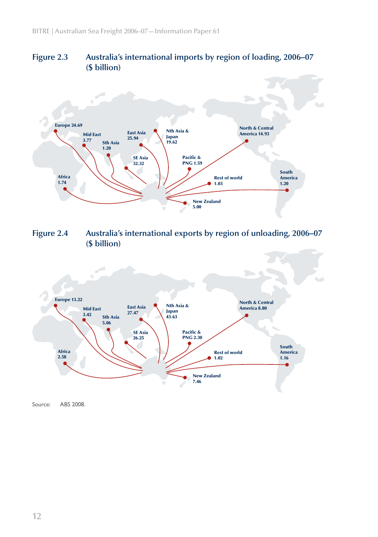



**Figure 2.4 Australia's international exports by region of unloading, 2006–07 (\$ billion)**

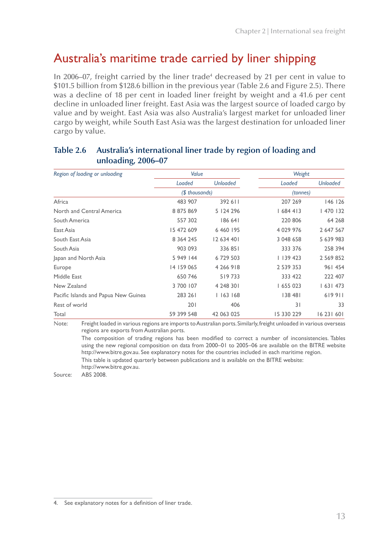## Australia's maritime trade carried by liner shipping

In 2006–07, freight carried by the liner trade<sup>4</sup> decreased by 21 per cent in value to \$101.5 billion from \$128.6 billion in the previous year (Table 2.6 and Figure 2.5). There was a decline of 18 per cent in loaded liner freight by weight and a 41.6 per cent decline in unloaded liner freight. East Asia was the largest source of loaded cargo by value and by weight. East Asia was also Australia's largest market for unloaded liner cargo by weight, while South East Asia was the largest destination for unloaded liner cargo by value.

| Region of loading or unloading       | Value          |                 | Weight      |                 |
|--------------------------------------|----------------|-----------------|-------------|-----------------|
|                                      | Loaded         | <b>Unloaded</b> | Loaded      | <b>Unloaded</b> |
|                                      | (\$ thousands) |                 | (tonnes)    |                 |
| Africa                               | 483 907        | 392 611         | 207 269     | 146 126         |
| North and Central America            | 8 875 869      | 5 124 296       | 1684413     | 470   32        |
| South America                        | 557 302        | 186 641         | 220 806     | 64 268          |
| East Asia                            | 15 472 609     | 6 4 6 1 9 5     | 4 0 29 9 76 | 2 647 567       |
| South East Asia                      | 8 3 6 4 2 4 5  | 12 634 401      | 3 048 658   | 5 639 983       |
| South Asia                           | 903 093        | 336 851         | 333 376     | 258 394         |
| Japan and North Asia                 | 5 949 144      | 6 729 503       | 1139423     | 2 5 6 9 8 5 2   |
| Europe                               | 14 159 065     | 4 266 918       | 2 539 353   | 961 454         |
| Middle East                          | 650 746        | 519733          | 333 422     | 222 407         |
| New Zealand                          | 3 700 107      | 4 248 301       | 655 023     | 1631473         |
| Pacific Islands and Papua New Guinea | 283 261        | 1163168         | 138 481     | 619911          |
| Rest of world                        | 201            | 406             | 31          | 33              |
| Total                                | 59 399 548     | 42 063 025      | 15 330 229  | 16 23 1 60 1    |

#### **Table 2.6 Australia's international liner trade by region of loading and unloading, 2006–07**

Note: Freight loaded in various regions are imports to Australian ports. Similarly, freight unloaded in various overseas regions are exports from Australian ports.

The composition of trading regions has been modified to correct a number of inconsistencies. Tables using the new regional composition on data from 2000–01 to 2005–06 are available on the BITRE website http://www.bitre.gov.au. See explanatory notes for the countries included in each maritime region. This table is updated quarterly between publications and is available on the BITRE website:

http://www.bitre.gov.au.

<sup>4.</sup> See explanatory notes for a definition of liner trade.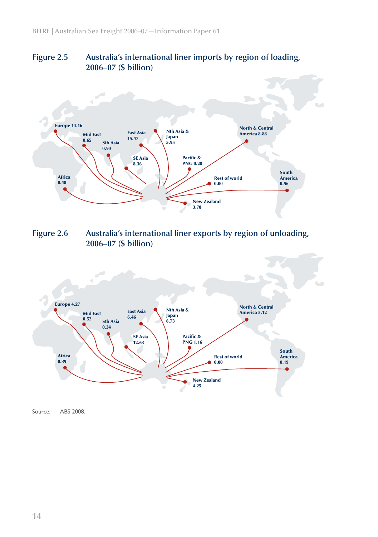#### **Figure 2.5 Australia's international liner imports by region of loading, 2006–07 (\$ billion)**



**Figure 2.6 Australia's international liner exports by region of unloading, 2006–07 (\$ billion)**

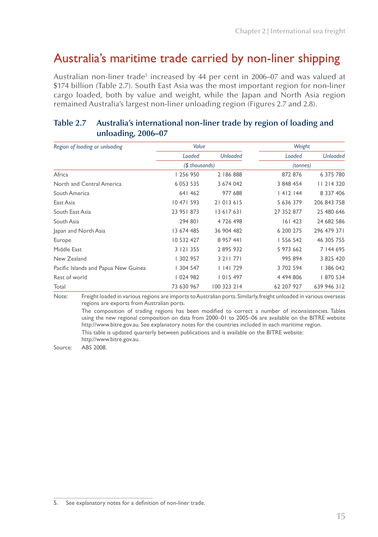### Australia's maritime trade carried by non-liner shipping

Australian non-liner trade $^5$  increased by 44 per cent in 2006–07 and was valued at \$174 billion (Table 2.7). South East Asia was the most important region for non-liner cargo loaded, both by value and weight, while the Japan and North Asia region remained Australia's largest non-liner unloading region (Figures 2.7 and 2.8).

| Value      |                 | Weight         |                 |
|------------|-----------------|----------------|-----------------|
| Loaded     | <b>Unloaded</b> | Loaded         | <b>Unloaded</b> |
|            |                 | (tonnes)       |                 |
| 256 950    | 2 186 888       | 872 876        | 6 375 780       |
| 6 053 535  | 3 674 042       | 3 848 454      | 11 214 320      |
| 641 462    | 977 688         | 1412144        | 8 3 3 7 4 0 6   |
| 10 471 593 | 21 013 615      | 5 636 379      | 206 843 758     |
| 23 95 873  | 13 617 631      | 27 352 877     | 25 480 646      |
| 294 801    | 4 726 498       | 161423         | 24 682 586      |
| 13 674 485 | 36 904 482      | 6 200 275      | 296 479 371     |
| 10 532 427 | 8 9 5 7 4 4 1   | 556 542        | 46 305 755      |
| 3 121 355  | 2895932         | 5 973 662      | 7 144 695       |
| 302 957    | 3 2 1 7 7 1     | 995 894        | 3 825 420       |
| 304 547    | 1141729         | 3 702 594      | 386 042         |
| 024 982    | 015 497         | 4 494 806      | 870 534         |
| 73 630 967 | 100 323 214     | 62 207 927     | 639 946 312     |
|            |                 | (\$ thousands) |                 |

#### **Table 2.7 Australia's international non-liner trade by region of loading and unloading, 2006–07**

Note: Freight loaded in various regions are imports to Australian ports. Similarly, freight unloaded in various overseas regions are exports from Australian ports.

The composition of trading regions has been modified to correct a number of inconsistencies. Tables using the new regional composition on data from 2000–01 to 2005–06 are available on the BITRE website http://www.bitre.gov.au. See explanatory notes for the countries included in each maritime region. This table is updated quarterly between publications and is available on the BITRE website: http://www.bitre.gov.au.

<sup>5.</sup> See explanatory notes for a definition of non-liner trade.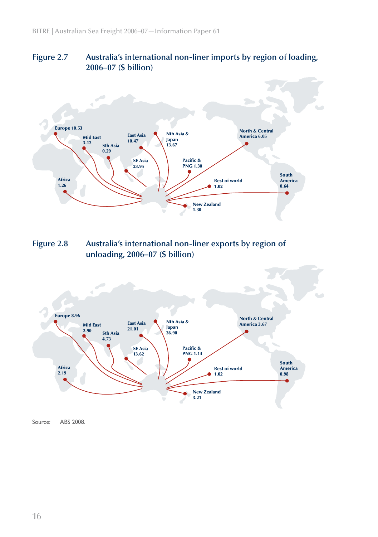#### **Figure 2.7 Australia's international non-liner imports by region of loading, 2006–07 (\$ billion)**



**Figure 2.8 Australia's international non-liner exports by region of unloading, 2006–07 (\$ billion)**

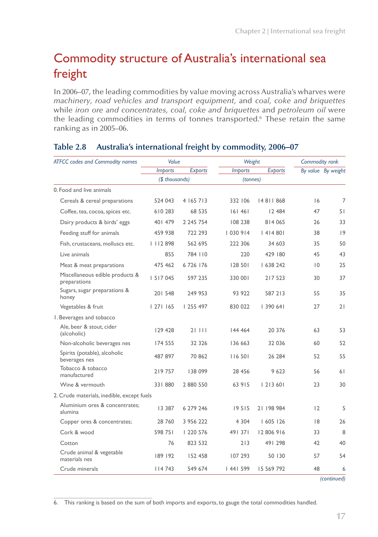## Commodity structure of Australia's international sea freight

In 2006–07, the leading commodities by value moving across Australia's wharves were *machinery*, *road vehicles and transport equipment,* and *coal, coke and briquettes* while *iron ore and concentrates, coal, coke and briquettes* and *petroleum oil* were the leading commodities in terms of tonnes transported.<sup>6</sup> These retain the same ranking as in 2005–06.

| <b>ATFCC</b> codes and Commodity names          | Value          |                | Weight         |                | Commodity rank |                    |
|-------------------------------------------------|----------------|----------------|----------------|----------------|----------------|--------------------|
|                                                 | <b>Imports</b> | <b>Exports</b> | <b>Imports</b> | <b>Exports</b> |                | By value By weight |
|                                                 | (\$ thousands) |                | (tonnes)       |                |                |                    |
| 0. Food and live animals                        |                |                |                |                |                |                    |
| Cereals & cereal preparations                   | 524 043        | 4 165 713      | 332 106        | 14 811 868     | 16             | 7                  |
| Coffee, tea, cocoa, spices etc.                 | 610 283        | 68 535         | 161461         | 12 484         | 47             | 51                 |
| Dairy products & birds' eggs                    | 401 479        | 2 245 754      | 108 238        | 814 065        | 26             | 33                 |
| Feeding stuff for animals                       | 459 938        | 722 293        | 030 914        | 41480          | 38             | 9                  |
| Fish, crustaceans, molluscs etc.                | 112898         | 562 695        | 222 306        | 34 603         | 35             | 50                 |
| Live animals                                    | 855            | 784 110        | 220            | 429 180        | 45             | 43                 |
| Meat & meat preparations                        | 475 462        | 6726176        | 128 501        | 638 242        | $\overline{0}$ | 25                 |
| Miscellaneous edible products &<br>preparations | 5   7 0 4 5    | 597 235        | 330 001        | 217 523        | 30             | 37                 |
| Sugars, sugar preparations &<br>honey           | 201548         | 249 953        | 93 922         | 587 213        | 55             | 35                 |
| Vegetables & fruit                              | 27  165        | 255 497        | 830 022        | 390 641        | 27             | 21                 |
| I. Beverages and tobacco                        |                |                |                |                |                |                    |
| Ale, beer & stout, cider<br>(alcoholic)         | 129 428        | 21111          | 144 464        | 20 376         | 63             | 53                 |
| Non-alcoholic beverages nes                     | 174 555        | 32 326         | 136 663        | 32 0 36        | 60             | 52                 |
| Spirits (potable), alcoholic<br>beverages nes   | 487 897        | 70862          | 116 501        | 26 284         | 52             | 55                 |
| Tobacco & tobacco<br>manufactured               | 219757         | 138 099        | 28 456         | 9623           | 56             | 61                 |
| Wine & vermouth                                 | 331880         | 2 880 550      | 63 915         | 21360          | 23             | 30                 |
| 2. Crude materials, inedible, except fuels      |                |                |                |                |                |                    |
| Aluminium ores & concentrates;<br>alumina       | 13 3 8 7       | 6 279 246      | 19515          | 21 198 984     | 12             | 5                  |
| Copper ores & concentrates;                     | 28 760         | 3 956 222      | 4 3 0 4        | 1605126        | 8              | 26                 |
| Cork & wood                                     | 598 751        | 220 576        | 491371         | 12 806 916     | 33             | 8                  |
| Cotton                                          | 76             | 823 532        | 213            | 491 298        | 42             | 40                 |
| Crude animal & vegetable<br>materials nes       | 189 192        | 152 458        | 107 293        | 50 130         | 57             | 54                 |
| Crude minerals                                  | 4 743          | 549 674        | 44  599        | 15 569 792     | 48             | 6                  |

#### **Table 2.8 Australia's international freight by commodity, 2006–07**

*(continued)*

6. This ranking is based on the sum of both imports and exports, to gauge the total commodities handled.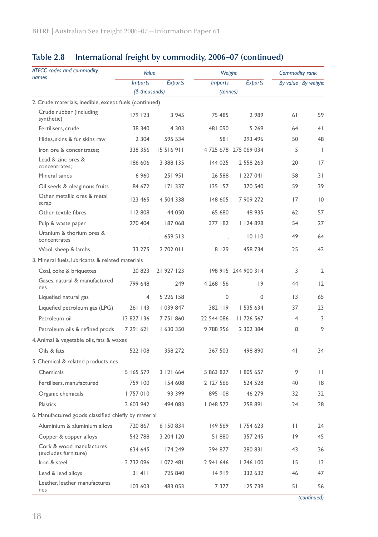| <b>ATFCC</b> codes and commodity                       | Value          |                |                | Weight                |                 |                    |
|--------------------------------------------------------|----------------|----------------|----------------|-----------------------|-----------------|--------------------|
| names                                                  | <b>Imports</b> | <b>Exports</b> | <b>Imports</b> | <b>Exports</b>        |                 | By value By weight |
|                                                        | (\$ thousands) |                | (tonnes)       |                       |                 |                    |
| 2. Crude materials, inedible, except fuels (continued) |                |                |                |                       |                 |                    |
| Crude rubber (including<br>synthetic)                  | 179 123        | 3 9 4 5        | 75 485         | 2989                  | 61              | 59                 |
| Fertilisers, crude                                     | 38 340         | 4 3 0 3        | 481 090        | 5 2 6 9               | 64              | 4 <sup>1</sup>     |
| Hides, skins & fur skins raw                           | 2 3 0 4        | 595 534        | 581            | 293 496               | 50              | 48                 |
| Iron ore & concentrates;                               | 338 356        | 15516911       |                | 4 725 678 275 069 034 | 5               | J.                 |
| Lead & zinc ores &<br>concentrates:                    | 186 606        | 3 3 8 1 3 5    | 144 025        | 2 558 263             | 20              | 17                 |
| Mineral sands                                          | 6960           | 251951         | 26 588         | 1227041               | 58              | 31                 |
| Oil seeds & oleaginous fruits                          | 84 672         | 171337         | 135 157        | 370 540               | 59              | 39                 |
| Other metallic ores & metal<br>scrap                   | 123 465        | 4 504 338      | 148 605        | 7 909 272             | 17              | $ 0\rangle$        |
| Other textile fibres                                   | 112808         | 44 050         | 65 680         | 48 935                | 62              | 57                 |
| Pulp & waste paper                                     | 270 404        | 187 068        | 377 182        | 1124898               | 54              | 27                 |
| Uranium & thorium ores &<br>concentrates               |                | 659 513        |                | 10110                 | 49              | 64                 |
| Wool, sheep & lambs                                    | 33 275         | 2 702 011      | 8 1 2 9        | 458 734               | 25              | 42                 |
| 3. Mineral fuels, lubricants & related materials       |                |                |                |                       |                 |                    |
| Coal, coke & briquettes                                | 20 823         | 21 927 123     |                | 198 915 244 900 314   | 3               | 2                  |
| Gases, natural & manufactured<br>nes                   | 799 648        | 249            | 4 268 156      | 9                     | 44              | 12                 |
| Liquefied natural gas                                  | 4              | 5 2 2 6 1 5 8  | $\mathbf{0}$   | 0                     | $\overline{13}$ | 65                 |
| Liquefied petroleum gas (LPG)                          | 261 143        | 039 847        | 382 119        | 535 634               | 37              | 23                 |
| Petroleum oil                                          | 13 827 136     | 7 751 860      | 22 544 086     | 11726 567             | $\overline{4}$  | 3                  |
| Petroleum oils & refined prods                         | 7 29 6 21      | 630 350        | 9788956        | 2 302 384             | 8               | 9                  |
| 4. Animal & vegetable oils, fats & waxes               |                |                |                |                       |                 |                    |
| Oils & fats                                            | 522 108        | 358 272        | 367 503        | 498 890               | 41              | 34                 |
| 5. Chemical & related products nes                     |                |                |                |                       |                 |                    |
| Chemicals                                              | 5 165 579      | 3 121 664      | 5 863 827      | 805 657               | 9               | $\mathbf{H}$       |
| Fertilisers, manufactured                              | 759 100        | 154 608        | 2 127 566      | 524 528               | 40              | 8                  |
| Organic chemicals                                      | 757 010        | 93 399         | 895 108        | 46 279                | 32              | 32                 |
| Plastics                                               | 2 603 942      | 494 083        | 048 572        | 258 891               | 24              | 28                 |
| 6. Manufactured goods classified chiefly by material   |                |                |                |                       |                 |                    |
| Aluminium & aluminium alloys                           | 720 867        | 6 150 834      | 149 569        | 754 623               | П               | 24                 |
| Copper & copper alloys                                 | 542 788        | 3 204 120      | 51880          | 357 245               | 19              | 45                 |
| Cork & wood manufactures<br>(excludes furniture)       | 634 645        | 174 249        | 394 877        | 280 831               | 43              | 36                 |
| Iron & steel                                           | 3732096        | 072 481        | 2941646        | 246   00              | 15              | 3                  |
| Lead & lead alloys                                     | 31411          | 725 840        | 14919          | 332 632               | 46              | 47                 |
| Leather, leather manufactures<br>nes                   | 103 603        | 483 053        | 7 377          | 125 739               | 51              | 56                 |

### **Table 2.8 International freight by commodity, 2006–07 (continued)**

*(continued)*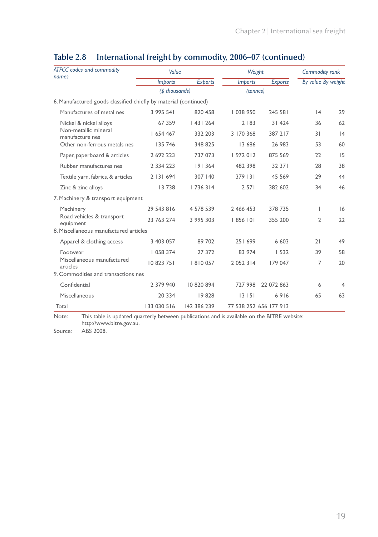| <b>ATFCC</b> codes and commodity                                 | Value          |                | Weight         |                        | Commodity rank     |    |
|------------------------------------------------------------------|----------------|----------------|----------------|------------------------|--------------------|----|
| names                                                            | <b>Imports</b> | <b>Exports</b> | <b>Imports</b> | <b>Exports</b>         | By value By weight |    |
|                                                                  | (\$ thousands) |                | (tonnes)       |                        |                    |    |
| 6. Manufactured goods classified chiefly by material (continued) |                |                |                |                        |                    |    |
| Manufactures of metal nes                                        | 3 995 541      | 820 458        | 038 950        | 245 581                | 4                  | 29 |
| Nickel & nickel alloys                                           | 67 359         | 1431264        | 2 183          | 31 424                 | 36                 | 62 |
| Non-metallic mineral<br>manufacture nes                          | 654 467        | 332 203        | 3 170 368      | 387 217                | 31                 | 4  |
| Other non-ferrous metals nes                                     | 135 746        | 348 825        | 13 686         | 26 983                 | 53                 | 60 |
| Paper, paperboard & articles                                     | 2 692 223      | 737 073        | 972 012        | 875 569                | 22                 | 15 |
| Rubber manufactures nes                                          | 2 3 3 4 2 2 3  | 191 364        | 482 398        | 32 37 1                | 28                 | 38 |
| Textile yarn, fabrics, & articles                                | 2 131 694      | 307 140        | 379 131        | 45 5 69                | 29                 | 44 |
| Zinc & zinc alloys                                               | 13738          | 736 314        | 2 5 7 1        | 382 602                | 34                 | 46 |
| 7. Machinery & transport equipment                               |                |                |                |                        |                    |    |
| Machinery                                                        | 29 543 816     | 4 578 539      | 2 466 453      | 378 735                | T                  | 6  |
| Road vehicles & transport<br>equipment                           | 23 763 274     | 3 995 303      | 856 101        | 355 200                | 2                  | 22 |
| 8. Miscellaneous manufactured articles                           |                |                |                |                        |                    |    |
| Apparel & clothing access                                        | 3 403 057      | 89 702         | 251 699        | 6 603                  | 21                 | 49 |
| Footwear                                                         | 058 374        | 27 372         | 83 974         | 1532                   | 39                 | 58 |
| Miscellaneous manufactured<br>articles                           | 10 823 751     | 8  0 057       | 2 0 5 2 3 1 4  | 179 047                | 7                  | 20 |
| 9. Commodities and transactions nes                              |                |                |                |                        |                    |    |
| Confidential                                                     | 2 379 940      | 10 820 894     | 727 998        | 22 072 863             | 6                  | 4  |
| Miscellaneous                                                    | 20 334         | 19828          | 13151          | 6916                   | 65                 | 63 |
| Total                                                            | 133 030 516    | 142 386 239    |                | 77 538 252 656 177 913 |                    |    |

### **Table 2.8 International freight by commodity, 2006–07 (continued)**

Note: This table is updated quarterly between publications and is available on the BITRE website: http://www.bitre.gov.au.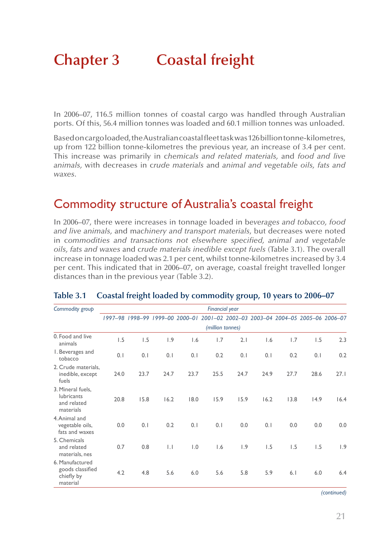# **Chapter 3 Coastal freight**

In 2006–07, 116.5 million tonnes of coastal cargo was handled through Australian ports. Of this, 56.4 million tonnes was loaded and 60.1 million tonnes was unloaded.

Based on cargo loaded, the Australian coastal fleet task was 126 billion tonne-kilometres, up from 122 billion tonne-kilometres the previous year, an increase of 3.4 per cent. This increase was primarily in c*hemicals and related materials,* and *food and live animals,* with decreases in c*rude materials* and *animal and vegetable oils, fats and waxes*.

## Commodity structure of Australia's coastal freight

In 2006–07, there were increases in tonnage loaded in b*everages and tobacco, food and live animals,* and m*achinery and transport materials*, but decreases were noted in c*ommodities and transactions not elsewhere specified, animal and vegetable oils, fats and waxes* and c*rude materials inedible except fuels* (Table 3.1). The overall increase in tonnage loaded was 2.1 per cent, whilst tonne-kilometres increased by 3.4 per cent. This indicated that in 2006–07, on average, coastal freight travelled longer distances than in the previous year (Table 3.2).

| Commodity group                                                    |      |      | <b>Financial year</b> |      |                  |      |                                                                                 |      |      |      |
|--------------------------------------------------------------------|------|------|-----------------------|------|------------------|------|---------------------------------------------------------------------------------|------|------|------|
|                                                                    |      |      |                       |      |                  |      | 1997-98 1998-99 1999-00 2000-01 2001-02 2002-03 2003-04 2004-05 2005-06 2006-07 |      |      |      |
|                                                                    |      |      |                       |      | (million tonnes) |      |                                                                                 |      |      |      |
| 0. Food and live<br>animals                                        | 1.5  | 1.5  | 1.9                   | 1.6  | 1.7              | 2.1  | 1.6                                                                             | 1.7  | 1.5  | 2.3  |
| I. Beverages and<br>tobacco                                        | 0.1  | 0.1  | 0.1                   | 0.1  | 0.2              | 0.1  | 0.1                                                                             | 0.2  | 0.1  | 0.2  |
| 2. Crude materials,<br>inedible, except<br>fuels                   | 24.0 | 23.7 | 24.7                  | 23.7 | 25.5             | 24.7 | 24.9                                                                            | 27.7 | 28.6 | 27.1 |
| 3. Mineral fuels,<br><b>lubricants</b><br>and related<br>materials | 20.8 | 15.8 | 16.2                  | 18.0 | 15.9             | 15.9 | 16.2                                                                            | 13.8 | 14.9 | 16.4 |
| 4. Animal and<br>vegetable oils,<br>fats and waxes                 | 0.0  | 0.1  | 0.2                   | 0.1  | 0.1              | 0.0  | 0.1                                                                             | 0.0  | 0.0  | 0.0  |
| 5. Chemicals<br>and related<br>materials, nes                      | 0.7  | 0.8  | $\vert \cdot \vert$   | 1.0  | 1.6              | 1.9  | 1.5                                                                             | 1.5  | 1.5  | 1.9  |
| 6. Manufactured<br>goods classified<br>chiefly by<br>material      | 4.2  | 4.8  | 5.6                   | 6.0  | 5.6              | 5.8  | 5.9                                                                             | 6.1  | 6.0  | 6.4  |

#### **Table 3.1 Coastal freight loaded by commodity group, 10 years to 2006–07**

*(continued)*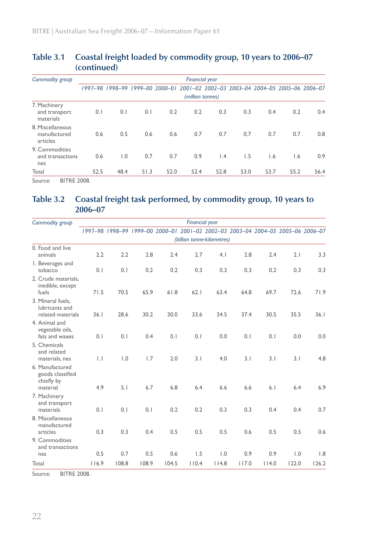|                                              | (continued) |                                 |      |      |                       |                 |                                                 |      |      |      |
|----------------------------------------------|-------------|---------------------------------|------|------|-----------------------|-----------------|-------------------------------------------------|------|------|------|
| Commodity group                              |             |                                 |      |      | <b>Financial year</b> |                 |                                                 |      |      |      |
|                                              |             | 1997-98 1998-99 1999-00 2000-01 |      |      |                       |                 | 2001-02 2002-03 2003-04 2004-05 2005-06 2006-07 |      |      |      |
|                                              |             |                                 |      |      | (million tonnes)      |                 |                                                 |      |      |      |
| 7. Machinery<br>and transport<br>materials   | 0.1         | 0.1                             | 0.1  | 0.2  | 0.2                   | 0.3             | 0.3                                             | 0.4  | 0.2  | 0.4  |
| 8. Miscellaneous<br>manufactured<br>articles | 0.6         | 0.5                             | 0.6  | 0.6  | 0.7                   | 0.7             | 0.7                                             | 0.7  | 0.7  | 0.8  |
| 9. Commodities<br>and transactions<br>nes    | 0.6         | $\overline{1.0}$                | 0.7  | 0.7  | 0.9                   | $\mathsf{I}$ .4 | 1.5                                             | 1.6  | 1.6  | 0.9  |
| Total                                        | 52.5        | 48.4                            | 51.3 | 52.0 | 52.4                  | 52.8            | 53.0                                            | 53.7 | 55.2 | 56.4 |
| <b>BITRE 2008.</b><br>Source:                |             |                                 |      |      |                       |                 |                                                 |      |      |      |

# **Table 3.1 Coastal freight loaded by commodity group, 10 years to 2006–07**

**Table 3.2 Coastal freight task performed, by commodity group, 10 years to 2006–07**

| Commodity group                                          |                 |                                                                                 |       |       | <b>Financial year</b>      |       |       |       |       |       |
|----------------------------------------------------------|-----------------|---------------------------------------------------------------------------------|-------|-------|----------------------------|-------|-------|-------|-------|-------|
|                                                          |                 | 1997-98 1998-99 1999-00 2000-01 2001-02 2002-03 2003-04 2004-05 2005-06 2006-07 |       |       |                            |       |       |       |       |       |
|                                                          |                 |                                                                                 |       |       | (billion tonne-kilometres) |       |       |       |       |       |
| 0. Food and live<br>animals                              | 2.2             | 2.2                                                                             | 2.8   | 2.4   | 2.7                        | 4.1   | 2.8   | 2.4   | 2.1   | 3.3   |
| I. Beverages and<br>tobacco                              | 0.1             | 0.1                                                                             | 0.2   | 0.2   | 0.3                        | 0.3   | 0.3   | 0.2   | 0.3   | 0.3   |
| 2. Crude materials,<br>inedible, except<br>fuels         | 71.5            | 70.5                                                                            | 65.9  | 61.8  | 62.1                       | 63.4  | 64.8  | 69.7  | 72.6  | 71.9  |
| 3. Mineral fuels,<br>lubricants and<br>related materials | 36.1            | 28.6                                                                            | 30.2  | 30.0  | 33.6                       | 34.5  | 37.4  | 30.5  | 35.5  | 36.1  |
| 4. Animal and<br>vegetable oils,<br>fats and waxes       | 0.1             | 0.1                                                                             | 0.4   | 0.1   | 0.1                        | 0.0   | 0.1   | 0.1   | 0.0   | 0.0   |
| 5. Chemicals<br>and related<br>materials, nes            | $\vert . \vert$ | 1.0                                                                             | 1.7   | 2.0   | 3.1                        | 4.0   | 3.1   | 3.1   | 3.1   | 4.8   |
| 6. Manufactured<br>goods classified<br>chiefly by        |                 |                                                                                 |       |       |                            |       |       |       |       |       |
| material<br>7. Machinery<br>and transport                | 4.9             | 5.1                                                                             | 6.7   | 6.8   | 6.4                        | 6.6   | 6.6   | 6.1   | 6.4   | 6.9   |
| materials<br>8. Miscellaneous<br>manufactured            | 0.1             | 0.1                                                                             | 0.1   | 0.2   | 0.2                        | 0.3   | 0.3   | 0.4   | 0.4   | 0.7   |
| articles                                                 | 0.3             | 0.3                                                                             | 0.4   | 0.5   | 0.5                        | 0.5   | 0.6   | 0.5   | 0.5   | 0.6   |
| 9. Commodities<br>and transactions<br>nes                | 0.5             | 0.7                                                                             | 0.5   | 0.6   | 1.5                        | 1.0   | 0.9   | 0.9   | 1.0   | 1.8   |
|                                                          |                 |                                                                                 |       |       |                            |       |       |       |       |       |
| Total                                                    | 116.9           | 108.8                                                                           | 108.9 | 104.5 | 110.4                      | 114.8 | 117.0 | 114.0 | 122.0 | 126.2 |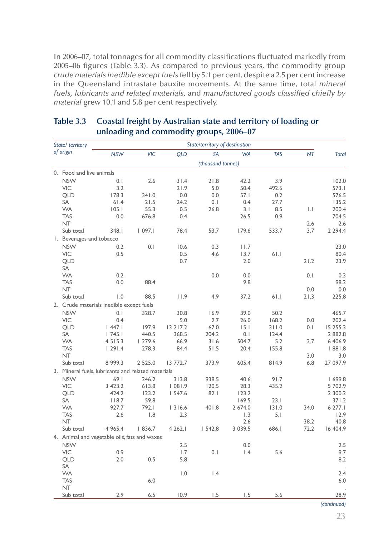In 2006–07, total tonnages for all commodity classifications fluctuated markedly from 2005–06 figures (Table 3.3). As compared to previous years, the commodity group *crude materials inedible except fuels* fell by 5.1 per cent, despite a 2.5 per cent increase in the Queensland intrastate bauxite movements. At the same time, total *mineral fuels, lubricants and related materials,* and *manufactured goods classified chiefly by material* grew 10.1 and 5.8 per cent respectively.

| State/ territory |                                                    |             |                  |            | State/territory of destination |                  |            |              |              |
|------------------|----------------------------------------------------|-------------|------------------|------------|--------------------------------|------------------|------------|--------------|--------------|
|                  | of origin                                          | <b>NSW</b>  | VIC              | <b>QLD</b> | <b>SA</b>                      | <b>WA</b>        | <b>TAS</b> | <b>NT</b>    | <b>Total</b> |
|                  |                                                    |             |                  |            | (thousand tonnes)              |                  |            |              |              |
|                  | 0. Food and live animals                           |             |                  |            |                                |                  |            |              |              |
|                  | <b>NSW</b>                                         | 0.1         | 2.6              | 31.4       | 21.8                           | 42.2             | 3.9        |              | 102.0        |
|                  | <b>VIC</b>                                         | 3.2         |                  | 21.9       | 5.0                            | 50.4             | 492.6      |              | 573.1        |
|                  | <b>QLD</b>                                         | 178.3       | 341.0            | 0.0        | 0.0                            | 57.1             | 0.2        |              | 576.5        |
|                  | SA                                                 | 61.4        | 21.5             | 24.2       | 0.1                            | 0.4              | 27.7       |              | 135.2        |
|                  | <b>WA</b>                                          | 105.1       | 55.3             | 0.5        | 26.8                           | 3.1              | 8.5        | $\mathbf{L}$ | 200.4        |
|                  | <b>TAS</b>                                         | 0.0         | 676.8            | 0.4        |                                | 26.5             | 0.9        |              | 704.5        |
|                  | <b>NT</b>                                          |             |                  |            |                                |                  |            | 2.6          | 2.6          |
|                  | Sub total                                          | 348.I       | 1097.1           | 78.4       | 53.7                           | 179.6            | 533.7      | 3.7          | 2 2 9 4.4    |
|                  | I. Beverages and tobacco                           |             |                  |            |                                |                  |            |              |              |
|                  | <b>NSW</b>                                         | 0.2         | 0.1              | 10.6       | 0.3                            | 11.7             |            |              | 23.0         |
|                  | VIC                                                | 0.5         |                  | 0.5        | 4.6                            | 13.7             | 61.1       |              | 80.4         |
|                  | <b>QLD</b>                                         |             |                  | 0.7        |                                | 2.0              |            | 21.2         | 23.9         |
|                  | SA                                                 |             |                  |            |                                |                  |            |              |              |
|                  | <b>WA</b>                                          | 0.2         |                  |            | 0.0                            | 0.0              |            | 0.1          | 0.3          |
|                  | <b>TAS</b>                                         | 0.0         | 88.4             |            |                                | 9.8              |            |              | 98.2         |
|                  | <b>NT</b>                                          |             |                  |            |                                |                  |            | 0.0          | 0.0          |
|                  | Sub total                                          | 1.0         | 88.5             | 11.9       | 4.9                            | 37.2             | 61.1       | 21.3         | 225.8        |
|                  | 2. Crude materials inedible except fuels           |             |                  |            |                                |                  |            |              |              |
|                  | <b>NSW</b>                                         | 0.1         | 328.7            | 30.8       | 16.9                           | 39.0             | 50.2       |              | 465.7        |
|                  | <b>VIC</b>                                         | 0.4         |                  | 5.0        | 2.7                            | 26.0             | 168.2      | 0.0          | 202.4        |
|                  | <b>QLD</b>                                         | 447.1       | 197.9            | 13 2 17.2  | 67.0                           | 15.1             | 311.0      | 0.1          | 15 255.3     |
|                  | SA                                                 | 1745.1      | 440.5            | 368.5      | 204.2                          | 0.1              | 124.4      |              | 2 882.8      |
|                  | <b>WA</b>                                          | 4 5 1 5 . 3 | 1279.6           | 66.9       | 31.6                           | 504.7            | 5.2        | 3.7          | 6 406.9      |
|                  | <b>TAS</b>                                         | 1291.4      | 278.3            | 84.4       | 51.5                           | 20.4             | 155.8      |              | 8.1881       |
|                  | <b>NT</b>                                          |             |                  |            |                                |                  |            | 3.0          | 3.0          |
|                  | Sub total                                          | 8 999.3     | 2 5 2 5 .0       | 13 772.7   | 373.9                          | 605.4            | 814.9      | 6.8          | 27 097.9     |
|                  | 3. Mineral fuels, lubricants and related materials |             |                  |            |                                |                  |            |              |              |
|                  | <b>NSW</b>                                         | 69.1        | 246.2            | 313.8      | 938.5                          | 40.6             | 91.7       |              | 699.8        |
|                  | VIC                                                | 3 423.2     | 613.8            | 1081.9     | 120.5                          | 28.3             | 435.2      |              | 5 702.9      |
|                  | QLD                                                | 424.2       | 123.2            | 1547.6     | 82.1                           | 123.2            |            |              | 2 300.2      |
|                  | <b>SA</b>                                          | 118.7       | 59.8             |            |                                | 169.5            | 23.1       |              | 371.2        |
|                  | <b>WA</b>                                          | 927.7       | 792.1            | 1316.6     | 401.8                          | 2 674.0          | 131.0      | 34.0         | 6 277.1      |
|                  | <b>TAS</b>                                         | 2.6         | $\overline{1.8}$ | 2.3        |                                | $\overline{1.3}$ | 5.1        |              | 12.9         |
|                  | NT.                                                |             |                  |            |                                | 2.6              |            | 38.2         | 40.8         |
|                  | Sub total                                          | 4 9 6 5.4   | 1836.7           | 4 2 6 2.1  | 1542.8                         | 3 0 3 9.5        | 686.1      | 72.2         | 16 404.9     |
|                  | 4. Animal and vegetable oils, fats and waxes       |             |                  |            |                                |                  |            |              |              |
|                  | <b>NSW</b>                                         |             |                  | 2.5        |                                | 0.0              |            |              | 2.5          |
|                  | VIC                                                | 0.9         |                  | 1.7        | 0.1                            | $\mathsf{I}$ .4  | 5.6        |              | 9.7          |
|                  | <b>QLD</b>                                         | 2.0         | 0.5              | 5.8        |                                |                  |            |              | 8.2          |
|                  | <b>SA</b>                                          |             |                  |            |                                |                  |            |              |              |
|                  | <b>WA</b>                                          |             |                  | 1.0        | 1.4                            |                  |            |              | 2.4          |
|                  | <b>TAS</b>                                         |             | 6.0              |            |                                |                  |            |              | 6.0          |
|                  | <b>NT</b>                                          |             |                  |            |                                |                  |            |              |              |
|                  | Sub total                                          | 2.9         | 6.5              | 10.9       | 1.5                            | 1.5              | 5.6        |              | 28.9         |

#### **Table 3.3 Coastal freight by Australian state and territory of loading or unloading and commodity groups, 2006–07**

*(continued)*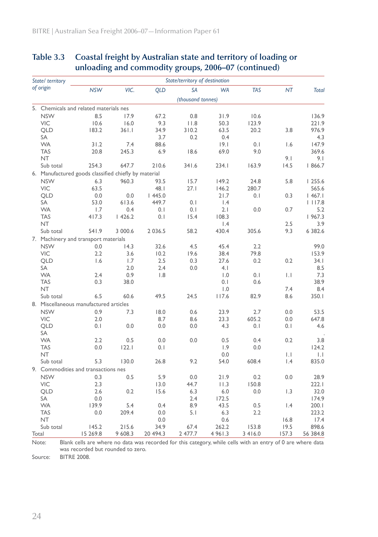|       | State/ territory |                                                      |         |             | State/territory of destination |                 |            |                  |                     |
|-------|------------------|------------------------------------------------------|---------|-------------|--------------------------------|-----------------|------------|------------------|---------------------|
|       | of origin        | <b>NSW</b>                                           | VIC.    | <b>QLD</b>  | <b>SA</b>                      | <b>WA</b>       | <b>TAS</b> | <b>NT</b>        | <b>Total</b>        |
|       |                  |                                                      |         |             | (thousand tonnes)              |                 |            |                  |                     |
|       |                  | 5. Chemicals and related materials nes               |         |             |                                |                 |            |                  |                     |
|       | <b>NSW</b>       | 8.5                                                  | 17.9    | 67.2        | 0.8                            | 31.9            | 10.6       |                  | 136.9               |
|       | <b>VIC</b>       | 10.6                                                 | 16.0    | 9.3         | 11.8                           | 50.3            | 123.9      |                  | 221.9               |
|       | <b>QLD</b>       | 183.2                                                | 361.1   | 34.9        | 310.2                          | 63.5            | 20.2       | 3.8              | 976.9               |
|       | SA               |                                                      |         | 3.7         | 0.2                            | 0.4             |            |                  | 4.3                 |
|       | <b>WA</b>        | 31.2                                                 | 7.4     | 88.6        |                                | 9.1             | 0.1        | 1.6              | 147.9               |
|       | <b>TAS</b>       | 20.8                                                 | 245.3   | 6.9         | 18.6                           | 69.0            | 9.0        |                  | 369.6               |
|       | <b>NT</b>        |                                                      |         |             |                                |                 |            | 9.1              | 9.1                 |
|       | Sub total        | 254.3                                                | 647.7   | 210.6       | 341.6                          | 234.1           | 163.9      | 14.5             | 1866.7              |
|       |                  | 6. Manufactured goods classified chiefly by material |         |             |                                |                 |            |                  |                     |
|       | <b>NSW</b>       | 6.3                                                  | 960.3   | 93.5        | 15.7                           | 149.2           | 24.8       | 5.8              | 1255.6              |
|       | <b>VIC</b>       | 63.5                                                 |         | 48.1        | 27.1                           | 146.2           | 280.7      |                  | 565.6               |
|       | <b>QLD</b>       | 0.0                                                  | 0.0     | 1445.0      |                                | 21.7            | 0.1        | 0.3              | 467.1               |
|       | SA               | 53.0                                                 | 613.6   | 449.7       | 0.1                            | $\mathsf{I}$ .4 |            |                  | 1117.8              |
|       | <b>WA</b>        | 1.7                                                  | 0.4     | 0.1         | 0.1                            | 2.1             | 0.0        | 0.7              | 5.2                 |
|       | <b>TAS</b>       | 417.3                                                | 1426.2  | 0.1         | 15.4                           | 108.3           |            |                  | 1967.3              |
|       | NT.              |                                                      |         |             |                                | $\mathsf{I}$ .4 |            | 2.5              | 3.9                 |
|       | Sub total        | 541.9                                                | 3 000.6 | 2 0 3 6 . 5 | 58.2                           | 430.4           | 305.6      | 9.3              | 6 382.6             |
|       |                  | 7. Machinery and transport materials                 |         |             |                                |                 |            |                  |                     |
|       | <b>NSW</b>       | 0.0                                                  | 14.3    | 32.6        | 4.5                            | 45.4            | 2.2        |                  | 99.0                |
|       | VIC              | 2.2                                                  | 3.6     | 10.2        | 19.6                           | 38.4            | 79.8       |                  | 153.9               |
|       | <b>QLD</b>       | 1.6                                                  | 1.7     | 2.5         | 0.3                            | 27.6            | 0.2        | 0.2              | 34. I               |
|       | SA               |                                                      | 2.0     | 2.4         | 0.0                            | 4.1             |            |                  | 8.5                 |
|       | <b>WA</b>        | 2.4                                                  | 0.9     | 1.8         |                                | 1.0             | 0.1        | $\mathbf{L}$     | 7.3                 |
|       | <b>TAS</b>       | 0.3                                                  | 38.0    |             |                                | 0.1             | 0.6        |                  | 38.9                |
|       | <b>NT</b>        |                                                      |         |             |                                | 1.0             |            | 7.4              | 8.4                 |
|       | Sub total        | 6.5                                                  | 60.6    | 49.5        | 24.5                           | 117.6           | 82.9       | 8.6              | 350.1               |
|       |                  | 8. Miscellaneous manufactured articles               |         |             |                                |                 |            |                  |                     |
|       | <b>NSW</b>       | 0.9                                                  | 7.3     | 18.0        | 0.6                            | 23.9            | 2.7        | 0.0              | 53.5                |
|       | VIC              | 2.0                                                  |         | 8.7         | 8.6                            | 23.3            | 605.2      | 0.0              | 647.8               |
|       | <b>QLD</b>       | 0.1                                                  | 0.0     | 0.0         | 0.0                            | 4.3             | 0.1        | 0.1              | 4.6                 |
|       | SA               |                                                      |         |             |                                |                 |            |                  |                     |
|       | <b>WA</b>        | 2.2                                                  | 0.5     | 0.0         | 0.0                            | 0.5             | 0.4        | 0.2              | 3.8                 |
|       | <b>TAS</b>       | 0.0                                                  | 122.1   | 0.1         |                                | 1.9             | 0.0        |                  | 124.2               |
|       | <b>NT</b>        |                                                      |         |             |                                | 0.0             |            | $\mathbf{L}$     | $\vert \cdot \vert$ |
|       | Sub total        | 5.3                                                  | 130.0   | 26.8        | 9.2                            | 54.0            | 608.4      | $\mathsf{I}$ .4  | 835.0               |
|       |                  | 9. Commodities and transactions nes                  |         |             |                                |                 |            |                  |                     |
|       | <b>NSW</b>       | 0.3                                                  | 0.5     | 5.9         | 0.0                            | 21.9            | 0.2        | 0.0              | 28.9                |
|       | <b>VIC</b>       | 2.3                                                  |         | 13.0        | 44.7                           | 11.3            | 150.8      |                  | 222.1               |
|       | <b>QLD</b>       | 2.6                                                  | 0.2     | 15.6        | 6.3                            | 6.0             | 0.0        | 1.3              | 32.0                |
|       | <b>SA</b>        | 0.0                                                  |         |             | 2.4                            | 172.5           |            |                  | 174.9               |
|       | <b>WA</b>        | 139.9                                                | 5.4     | 0.4         | 8.9                            | 43.5            | 0.5        | $\overline{1.4}$ | 200.1               |
|       | <b>TAS</b>       | 0.0                                                  | 209.4   | 0.0         | 5.1                            | 6.3             | 2.2        |                  | 223.2               |
|       | NT.              |                                                      |         | 0.0         |                                | 0.6             |            | 16.8             | 17.4                |
|       | Sub total        | 145.2                                                | 215.6   | 34.9        | 67.4                           | 262.2           | 153.8      | 19.5             | 898.6               |
| Total |                  | 15 269.8                                             | 9 608.3 | 20 494.3    | 2 477.7                        | 4 9 6 1 .3      | 3 4 1 6.0  | 157.3            | 56 384.8            |
|       |                  |                                                      |         |             |                                |                 |            |                  |                     |

### **Table 3.3 Coastal freight by Australian state and territory of loading or unloading and commodity groups, 2006–07 (continued)**

Note: Blank cells are where no data was recorded for this category, while cells with an entry of 0 are where data was recorded but rounded to zero.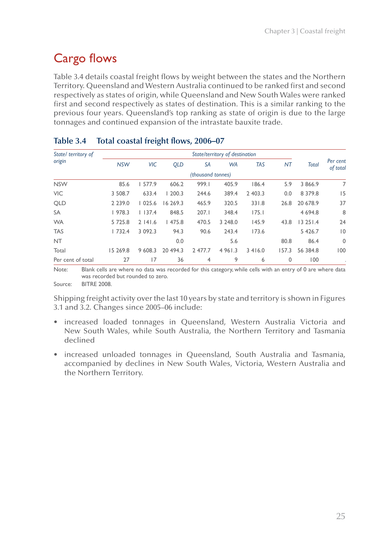# Cargo flows

Table 3.4 details coastal freight flows by weight between the states and the Northern Territory. Queensland and Western Australia continued to be ranked first and second respectively as states of origin, while Queensland and New South Wales were ranked first and second respectively as states of destination. This is a similar ranking to the previous four years. Queensland's top ranking as state of origin is due to the large tonnages and continued expansion of the intrastate bauxite trade.

| State/ territory of |             |             |            |                   | State/territory of destination |            |           |              |                      |
|---------------------|-------------|-------------|------------|-------------------|--------------------------------|------------|-----------|--------------|----------------------|
| origin              | <b>NSW</b>  | <b>VIC</b>  | <b>QLD</b> | SA                | <b>WA</b>                      | <b>TAS</b> | <b>NT</b> | <b>Total</b> | Per cent<br>of total |
|                     |             |             |            | (thousand tonnes) |                                |            |           |              |                      |
| <b>NSW</b>          | 85.6        | 1577.9      | 606.2      | 999.1             | 405.9                          | 186.4      | 5.9       | 3 866.9      | 7                    |
| <b>VIC</b>          | 3 508.7     | 633.4       | 1200.3     | 244.6             | 389.4                          | 2 403.3    | 0.0       | 8 3 7 9 . 8  | 15                   |
| <b>QLD</b>          | 2 2 3 9 . 0 | 1025.6      | 16 269.3   | 465.9             | 320.5                          | 331.8      | 26.8      | 20 678.9     | 37                   |
| <b>SA</b>           | 1978.3      | 1137.4      | 848.5      | 207.1             | 348.4                          | 175.1      |           | 4 6 9 4 .8   | 8                    |
| <b>WA</b>           | 5 7 2 5 .8  | 2141.6      | 1475.8     | 470.5             | 3 248.0                        | 145.9      | 43.8      | 13251.4      | 24                   |
| <b>TAS</b>          | 1732.4      | 3 0 9 2 . 3 | 94.3       | 90.6              | 243.4                          | 173.6      |           | 5 4 2 6.7    | $ 0\rangle$          |
| <b>NT</b>           |             |             | 0.0        |                   | 5.6                            |            | 80.8      | 86.4         | $\mathbf 0$          |
| Total               | 15 269.8    | 9 608.3     | 20 494.3   | 2 477.7           | 4 9 6 1 .3                     | 3416.0     | 157.3     | 56 384.8     | 100                  |
| Per cent of total   | 27          | 17          | 36         | 4                 | 9                              | 6          | 0         | 100          |                      |

#### **Table 3.4 Total coastal freight flows, 2006–07**

Note: Blank cells are where no data was recorded for this category, while cells with an entry of 0 are where data was recorded but rounded to zero.

Source: BITRE 2008.

Shipping freight activity over the last 10 years by state and territory is shown in Figures 3.1 and 3.2. Changes since 2005–06 include:

- • increased loaded tonnages in Queensland, Western Australia Victoria and New South Wales, while South Australia, the Northern Territory and Tasmania declined
- increased unloaded tonnages in Queensland, South Australia and Tasmania, accompanied by declines in New South Wales, Victoria, Western Australia and the Northern Territory.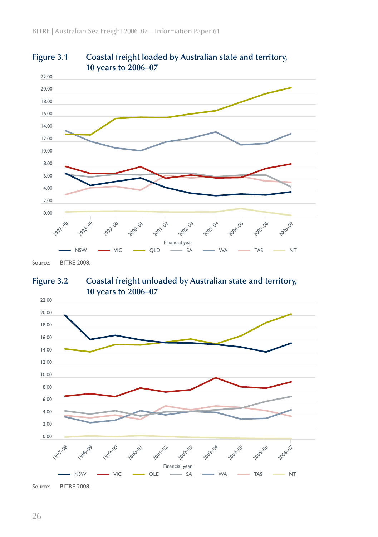



**Figure 3.2 Coastal freight unloaded by Australian state and territory, 10 years to 2006–07**



Source: BITRE 2008.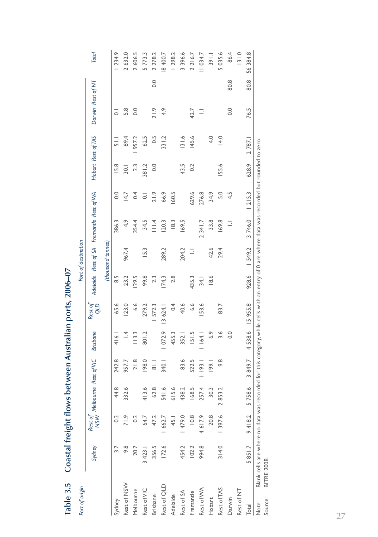| Port of origin   |                                                                                                                                                                     |         |                   |               |                  |                             |                 | Port of destination |                                 |        |                    |               |                   |      |            |
|------------------|---------------------------------------------------------------------------------------------------------------------------------------------------------------------|---------|-------------------|---------------|------------------|-----------------------------|-----------------|---------------------|---------------------------------|--------|--------------------|---------------|-------------------|------|------------|
|                  | Sydney                                                                                                                                                              |         | Rest of Melbourne | Rest of VIC   | <b>Brisbane</b>  | Rest of<br>Q <sub>T</sub> O | <b>Adelaide</b> |                     | Rest of SA Fremantle Rest of WA |        | Hobart Rest of TAS |               | Darwin Rest of NT |      | Total      |
|                  |                                                                                                                                                                     |         |                   |               |                  |                             |                 | (thousand tonnes)   |                                 |        |                    |               |                   |      |            |
| Sydney           |                                                                                                                                                                     | $\sim$  | 44.8              | 242.8         | 416.1            | 65.6                        | $\frac{5}{8}$   |                     | 386.3                           | 0.0    | 15.8               | $\frac{1}{5}$ | 5                 |      | 1234.9     |
| Rest of NSW      | 9.8                                                                                                                                                                 | 71.9    | 332.6             | 957.7         | $\frac{4}{1}$    | 123.0                       | 23.2            | 967.4               | 4.9                             | 14.7   | $\overline{30}$ .  | 89.4          | 5.8               |      | 2632.0     |
| Melbourne        | 20.7                                                                                                                                                                | 0.2     |                   | 21.8          | 113.3            | 6.6                         | 29.5            |                     | 354.4                           | 0.4    | 2.3                | 957.2         | 0.0               |      | 2606.5     |
| Rest of VIC      | 3 4 2 3.1                                                                                                                                                           | 64.7    | 413.6             | 198.0         | 801.2            | 279.2                       | 99.8            | 15.3                | 34.5                            | 5      | 381.2              | 62.5          |                   |      | 5773.3     |
| <b>Brisbane</b>  | 356.5                                                                                                                                                               | 47.2    | 62.8              | $\frac{1}{8}$ |                  | 572.3                       | 2.3             |                     | $\frac{4}{11}$                  | 21.9   | 0.0                | $\sim$        | 21.9              | 0.0  | 2 2 7 8 .2 |
| Rest of QLD      | 172.6                                                                                                                                                               | 1 662.7 | 541.6             | 340.1         | 072.9            | 13 624.1                    | 174.3           | 289.2               | <b>20.3</b>                     | 66.9   |                    | 331.2         | 4.9               |      | 8400.7     |
| Adelaide         |                                                                                                                                                                     | 45.1    | 615.6             |               | 455.3            | 0.4                         | 2.8             |                     | 18.3                            | 60.5   |                    |               |                   |      | 1298.2     |
| Rest of SA       | 454.2                                                                                                                                                               | 1479.0  | 438.2             | 83.6          | 352.1            | 40.6                        |                 | 204.2               | 169.5                           |        | 43.5               | 31.6          |                   |      | 3396.6     |
| Fremantle        | 102.2                                                                                                                                                               | 10.8    | 168.5             | 522.5         | 151.5            | 6.6                         | 435.3           | Ξ                   |                                 | 629.6  | 0.2                | 145.6         | 42.7              |      | 2216.7     |
| Rest of WA       | 994.8                                                                                                                                                               | 4617.9  | 257.4             | 193.1         | 64.              | 53.6                        | 34.1            |                     | 2 34 1.7                        | 276.8  |                    |               | Ξ                 |      | 11034.7    |
| Hobart           |                                                                                                                                                                     | 20.8    | 30.3              | 99            | 6.9              |                             | 18.6            | 42.6                | 33.8                            | 34.9   |                    | 4.0           |                   |      | 391.1      |
| Rest of TAS      | 314.0                                                                                                                                                               | 1 397.6 | 2853.2            | 9.8           | 3.6              | 83.7                        |                 | 29.4                | 169.8                           | 5.0    | 155.6              | 14.0          |                   |      | 5035.6     |
| Darwin           |                                                                                                                                                                     |         |                   |               | $\overline{0}$ . |                             |                 |                     | Ξ                               | 4.5    |                    |               | $\frac{0}{0}$     | 80.8 | 86.4       |
| Rest of NT       |                                                                                                                                                                     |         |                   |               |                  |                             |                 |                     |                                 |        |                    |               |                   |      | 131.0      |
| Total            | 5851.7                                                                                                                                                              | 9418.2  | 5758.6            | 3849.7        | 4538.6           | 15 955.8                    | 928.6           | 1549.2              | 3746.0                          | 1215.3 | 628.9              | 2787.1        | 76.5              | 80.8 | 56384.8    |
| Source:<br>Note: | Blank cells are where no data was recorded for this category, while cells with an entry of 0 are where data was recorded but rounded to zero.<br><b>BITRE 2008.</b> |         |                   |               |                  |                             |                 |                     |                                 |        |                    |               |                   |      |            |

Coastal freight flows between Australian ports, 2006-07 **Table 3.5 Coastal freight flows between Australian ports, 2006–07** Table 3.5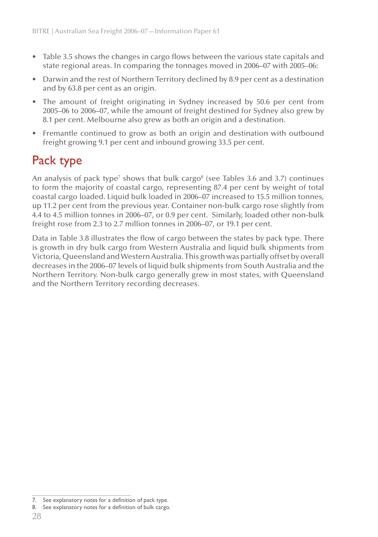- • Table 3.5 shows the changes in cargo flows between the various state capitals and state regional areas. In comparing the tonnages moved in 2006–07 with 2005–06:
- Darwin and the rest of Northern Territory declined by 8.9 per cent as a destination and by 63.8 per cent as an origin.
- The amount of freight originating in Sydney increased by 50.6 per cent from 2005–06 to 2006–07, while the amount of freight destined for Sydney also grew by 8.1 per cent. Melbourne also grew as both an origin and a destination.
- Fremantle continued to grow as both an origin and destination with outbound freight growing 9.1 per cent and inbound growing 33.5 per cent.

# Pack type

An analysis of pack type<sup>7</sup> shows that bulk cargo<sup>8</sup> (see Tables 3.6 and 3.7) continues to form the majority of coastal cargo, representing 87.4 per cent by weight of total coastal cargo loaded. Liquid bulk loaded in 2006–07 increased to 15.5 million tonnes, up 11.2 per cent from the previous year. Container non-bulk cargo rose slightly from 4.4 to 4.5 million tonnes in 2006–07, or 0.9 per cent. Similarly, loaded other non-bulk freight rose from 2.3 to 2.7 million tonnes in 2006–07, or 19.1 per cent.

Data in Table 3.8 illustrates the flow of cargo between the states by pack type. There is growth in dry bulk cargo from Western Australia and liquid bulk shipments from Victoria, Queensland and Western Australia. This growth was partially offset by overall decreases in the 2006–07 levels of liquid bulk shipments from South Australia and the Northern Territory. Non-bulk cargo generally grew in most states, with Queensland and the Northern Territory recording decreases.

<sup>7.</sup> See explanatory notes for a definition of pack type.

<sup>8.</sup> See explanatory notes for a definition of bulk cargo.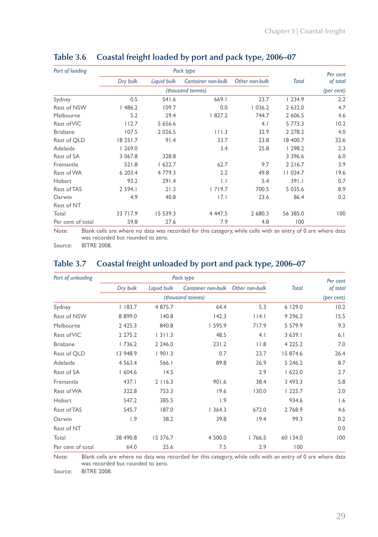| Port of loading    |            |             | Pack type           |                |              | Per cent   |
|--------------------|------------|-------------|---------------------|----------------|--------------|------------|
|                    | Dry bulk   | Liquid bulk | Container non-bulk  | Other non-bulk | <b>Total</b> | of total   |
|                    |            |             | (thousand tonnes)   |                |              | (per cent) |
| Sydney             | 0.5        | 541.6       | 669.1               | 23.7           | 1234.9       | 2.2        |
| <b>Rest of NSW</b> | 1486.2     | 109.7       | 0.0                 | 1036.2         | 2 632.0      | 4.7        |
| Melbourne          | 5.2        | 29.4        | 827.2               | 744.7          | 2 606.5      | 4.6        |
| Rest of VIC        | 112.7      | 5 656.6     |                     | 4.1            | 5 773.3      | 10.2       |
| <b>Brisbane</b>    | 107.5      | 2 0 2 6 .5  | 111.3               | 32.9           | 2 2 7 8 . 2  | 4.0        |
| Rest of QLD        | 18 25 1.7  | 91.4        | 33.7                | 23.8           | 18 400.7     | 32.6       |
| Adelaide           | 1269.0     |             | 3.4                 | 25.8           | 1298.2       | 2.3        |
| Rest of SA         | 3 0 6 7.8  | 328.8       |                     |                | 3 3 9 6.6    | 6.0        |
| Fremantle          | 521.8      | 1622.7      | 62.7                | 9.7            | 2 2 1 6.7    | 3.9        |
| Rest of WA         | 6 203.4    | 4 779.3     | 2.2                 | 49.8           | 11034.7      | 19.6       |
| Hobart             | 93.2       | 291.4       | $\vert \cdot \vert$ | 5.4            | 391.1        | 0.7        |
| Rest of TAS        | 2 5 9 4.1  | 21.3        | 1719.7              | 700.5          | 5 0 3 5 . 6  | 8.9        |
| Darwin             | 4.9        | 40.8        | 7.1                 | 23.6           | 86.4         | 0.2        |
| Rest of NT         |            |             |                     |                |              |            |
| Total              | 33 7 1 7.9 | 15 539.3    | 4 4 4 7.5           | 2 680.3        | 56 385.0     | 100        |
| Per cent of total  | 59.8       | 27.6        | 7.9                 | 4.8            | 100          |            |

#### **Table 3.6 Coastal freight loaded by port and pack type, 2006–07**

Note: Blank cells are where no data was recorded for this category, while cells with an entry of 0 are where data was recorded but rounded to zero.

Source: BITRE 2008.

### **Table 3.7 Coastal freight unloaded by port and pack type, 2006–07**

| Port of unloading  | Pack type   |             |                    |                |              | Per cent   |
|--------------------|-------------|-------------|--------------------|----------------|--------------|------------|
|                    | Dry bulk    | Liquid bulk | Container non-bulk | Other non-bulk | <b>Total</b> | of total   |
|                    |             |             | (thousand tonnes)  |                |              | (per cent) |
| Sydney             | $ $ 183.7   | 4 875.7     | 64.4               | 5.3            | 6 129.0      | 10.2       |
| <b>Rest of NSW</b> | 8 8 9 9.0   | 140.8       | 142.3              | 14.1           | 9 2 9 6.2    | 15.5       |
| Melbourne          | 2 4 2 5 . 3 | 840.8       | 1595.9             | 717.9          | 5 579.9      | 9.3        |
| Rest of VIC        | 2 2 7 5 . 2 | 1311.3      | 48.5               | 4.1            | 3639.1       | 6.1        |
| <b>Brisbane</b>    | 1736.2      | 2 2 4 6 .0  | 231.2              | 11.8           | 4 2 2 5 . 2  | 7.0        |
| Rest of QLD        | 13 948.9    | 1901.3      | 0.7                | 23.7           | 15 874.6     | 26.4       |
| Adelaide           | 4 5 6 3.4   | 566.1       | 89.8               | 26.9           | 5 2 4 6 .2   | 8.7        |
| Rest of SA         | 1604.6      | 14.5        |                    | 2.9            | 1622.0       | 2.7        |
| Fremantle          | 437.1       | 2116.3      | 901.6              | 38.4           | 3 493.3      | 5.8        |
| Rest of WA         | 322.8       | 753.3       | 19.6               | 130.0          | 1225.7       | 2.0        |
| Hobart             | 547.2       | 385.5       | 1.9                |                | 934.6        | 1.6        |
| Rest of TAS        | 545.7       | 187.0       | 1364.3             | 672.0          | 2768.9       | 4.6        |
| Darwin             | 1.9         | 38.2        | 39.8               | 19.4           | 99.3         | 0.2        |
| Rest of NT         |             |             |                    |                |              | 0.0        |
| Total              | 38 490.8    | 15 376.7    | 4 500.0            | 1766.5         | 60 134.0     | 100        |
| Per cent of total  | 64.0        | 25.6        | 7.5                | 2.9            | 100          |            |

Note: Blank cells are where no data was recorded for this category, while cells with an entry of 0 are where data was recorded but rounded to zero.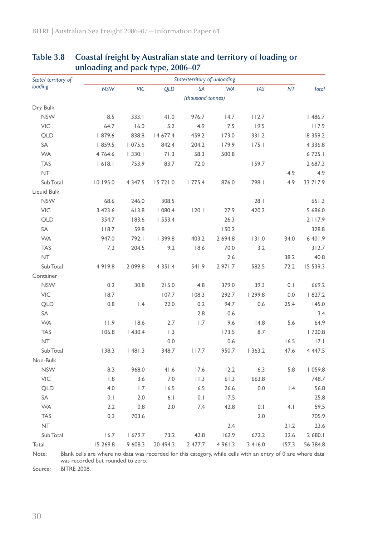| State/ territory of |             |            |            | State/territory of unloading |            |            |                 |              |
|---------------------|-------------|------------|------------|------------------------------|------------|------------|-----------------|--------------|
| loading             | <b>NSW</b>  | VIC        | <b>QLD</b> | <b>SA</b>                    | <b>WA</b>  | <b>TAS</b> | NT              | <b>Total</b> |
|                     |             |            |            | (thousand tonnes)            |            |            |                 |              |
| Dry Bulk            |             |            |            |                              |            |            |                 |              |
| <b>NSW</b>          | 8.5         | 333.1      | 41.0       | 976.7                        | 14.7       | 112.7      |                 | 1486.7       |
| <b>VIC</b>          | 64.7        | 16.0       | 5.2        | 4.9                          | 7.5        | 19.5       |                 | 117.9        |
| <b>QLD</b>          | 1879.6      | 838.8      | 14 677.4   | 459.2                        | 173.0      | 331.2      |                 | 18 359.2     |
| SA                  | 859.5       | 1075.6     | 842.4      | 204.2                        | 179.9      | 175.1      |                 | 4 3 3 6 . 8  |
| <b>WA</b>           | 4764.6      | 1330.1     | 71.3       | 58.3                         | 500.8      |            |                 | 6 7 2 5.1    |
| <b>TAS</b>          | 618.1       | 753.9      | 83.7       | 72.0                         |            | 159.7      |                 | 2 687.3      |
| <b>NT</b>           |             |            |            |                              |            |            | 4.9             | 4.9          |
| Sub Total           | 10 195.0    | 4 3 4 7 .5 | 15 72 1.0  | 1775.4                       | 876.0      | 798.1      | 4.9             | 33 7 1 7.9   |
| Liquid Bulk         |             |            |            |                              |            |            |                 |              |
| <b>NSW</b>          | 68.6        | 246.0      | 308.5      |                              |            | 28.1       |                 | 651.3        |
| <b>VIC</b>          | 3 4 2 3 . 6 | 613.8      | 1080.4     | 120.1                        | 27.9       | 420.2      |                 | 5 686.0      |
| <b>QLD</b>          | 354.7       | 183.6      | 1553.4     |                              | 26.3       |            |                 | 2 1 1 7.9    |
| SA                  | 118.7       | 59.8       |            |                              | 150.2      |            |                 | 328.8        |
| <b>WA</b>           | 947.0       | 792.1      | 399.8      | 403.2                        | 2 694.8    | 131.0      | 34.0            | 6401.9       |
| <b>TAS</b>          | 7.2         | 204.5      | 9.2        | 18.6                         | 70.0       | 3.2        |                 | 312.7        |
| <b>NT</b>           |             |            |            |                              | 2.6        |            | 38.2            | 40.8         |
| Sub Total           | 4919.8      | 2 099.8    | 4 3 5 1 .4 | 541.9                        | 2 971.7    | 582.5      | 72.2            | 15 539.3     |
| Container           |             |            |            |                              |            |            |                 |              |
| <b>NSW</b>          | 0.2         | 30.8       | 215.0      | 4.8                          | 379.0      | 39.3       | 0.1             | 669.2        |
| VIC                 | 18.7        |            | 107.7      | 108.3                        | 292.7      | 299.8      | 0.0             | 1827.2       |
| <b>QLD</b>          | 0.8         | 1.4        | 22.0       | 0.2                          | 94.7       | 0.6        | 25.4            | 145.0        |
| SA                  |             |            |            | 2.8                          | 0.6        |            |                 | 3.4          |
| <b>WA</b>           | 11.9        | 18.6       | 2.7        | 1.7                          | 9.6        | 14.8       | 5.6             | 64.9         |
| <b>TAS</b>          | 106.8       | 1430.4     | 1.3        |                              | 173.5      | 8.7        |                 | 1720.8       |
| <b>NT</b>           |             |            | 0.0        |                              | 0.6        |            | 16.5            | 17.1         |
| Sub Total           | 138.3       | 1481.3     | 348.7      | 117.7                        | 950.7      | 1363.2     | 47.6            | 4 4 4 7.5    |
| Non-Bulk            |             |            |            |                              |            |            |                 |              |
| <b>NSW</b>          | 8.3         | 968.0      | 41.6       | 17.6                         | 12.2       | 6.3        | 5.8             | 1059.8       |
| <b>VIC</b>          | 1.8         | 3.6        | 7.0        | 11.3                         | 61.3       | 663.8      |                 | 748.7        |
| QLD                 | 4.0         | 1.7        | 16.5       | 6.5                          | 26.6       | 0.0        | $\mathsf{I}$ .4 | 56.8         |
| SA                  | 0.1         | 2.0        | 6.1        | 0.1                          | 17.5       |            |                 | 25.8         |
| <b>WA</b>           | 2.2         | 0.8        | 2.0        | 7.4                          | 42.8       | 0.1        | 4.1             | 59.5         |
| <b>TAS</b>          | 0.3         | 703.6      |            |                              |            | 2.0        |                 | 705.9        |
| <b>NT</b>           |             |            |            |                              | 2.4        |            | 21.2            | 23.6         |
| Sub Total           | 16.7        | 1679.7     | 73.2       | 42.8                         | 162.9      | 672.2      | 32.6            | 2 680.1      |
| Total               | 15 269.8    | 9 608.3    | 20 494.3   | 2 477.7                      | 4 9 6 1 .3 | 3 4 1 6.0  | 157.3           | 56 384.8     |

#### **Table 3.8 Coastal freight by Australian state and territory of loading or unloading and pack type, 2006–07**

Note: Blank cells are where no data was recorded for this category, while cells with an entry of 0 are where data was recorded but rounded to zero.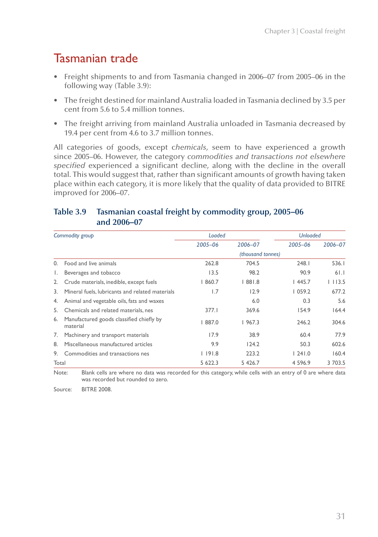# Tasmanian trade

- Freight shipments to and from Tasmania changed in 2006–07 from 2005–06 in the following way (Table 3.9):
- The freight destined for mainland Australia loaded in Tasmania declined by 3.5 per cent from 5.6 to 5.4 million tonnes.
- The freight arriving from mainland Australia unloaded in Tasmania decreased by 19.4 per cent from 4.6 to 3.7 million tonnes.

All categories of goods, except c*hemicals*, seem to have experienced a growth since 2005–06. However, the category *commodities and transactions not elsewhere specified* experienced a significant decline, along with the decline in the overall total. This would suggest that, rather than significant amounts of growth having taken place within each category, it is more likely that the quality of data provided to BITRE improved for 2006–07.

#### **Table 3.9 Tasmanian coastal freight by commodity group, 2005–06 and 2006–07**

|          | Commodity group                                      | Loaded      |                   | <b>Unloaded</b> |         |
|----------|------------------------------------------------------|-------------|-------------------|-----------------|---------|
|          |                                                      | $2005 - 06$ | 2006-07           | $2005 - 06$     | 2006-07 |
|          |                                                      |             | (thousand tonnes) |                 |         |
| $\Omega$ | Food and live animals                                | 262.8       | 704.5             | 248.1           | 536.1   |
| Ι.       | Beverages and tobacco                                | 13.5        | 98.2              | 90.9            | 61.1    |
| 2.       | Crude materials, inedible, except fuels              | 1860.7      | 881.8             | 1445.7          | 1113.5  |
| 3.       | Mineral fuels, lubricants and related materials      | 1.7         | 12.9              | 1059.2          | 677.2   |
| 4.       | Animal and vegetable oils, fats and waxes            |             | 6.0               | 0.3             | 5.6     |
| 5.       | Chemicals and related materials, nes                 | 377.1       | 369.6             | 154.9           | 164.4   |
| 6.       | Manufactured goods classified chiefly by<br>material | 887.0       | 1967.3            | 246.2           | 304.6   |
| 7.       | Machinery and transport materials                    | 17.9        | 38.9              | 60.4            | 77.9    |
| 8.       | Miscellaneous manufactured articles                  | 9.9         | 124.2             | 50.3            | 602.6   |
| 9.       | Commodities and transactions nes                     | 191.8       | 223.2             | 1241.0          | 160.4   |
| Total    |                                                      | 5 622.3     | 5 426.7           | 4 5 9 6.9       | 3 703.5 |

Note: Blank cells are where no data was recorded for this category, while cells with an entry of 0 are where data was recorded but rounded to zero.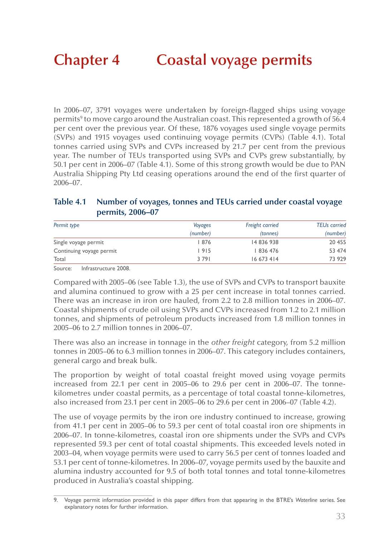In 2006–07, 3791 voyages were undertaken by foreign-flagged ships using voyage permits<sup>9</sup> to move cargo around the Australian coast. This represented a growth of 56.4 per cent over the previous year. Of these, 1876 voyages used single voyage permits (SVPs) and 1915 voyages used continuing voyage permits (CVPs) (Table 4.1). Total tonnes carried using SVPs and CVPs increased by 21.7 per cent from the previous year. The number of TEUs transported using SVPs and CVPs grew substantially, by 50.1 per cent in 2006–07 (Table 4.1). Some of this strong growth would be due to PAN Australia Shipping Pty Ltd ceasing operations around the end of the first quarter of 2006–07.

#### **Table 4.1 Number of voyages, tonnes and TEUs carried under coastal voyage permits, 2006–07**

| Permit type              | Voyages  | Freight carried | <b>TEUs carried</b> |
|--------------------------|----------|-----------------|---------------------|
|                          | (number) | <i>(tonnes)</i> | (number)            |
| Single voyage permit     | 876      | 14 836 938      | 20 455              |
| Continuing voyage permit | l 915    | 836 476         | 53 474              |
| Total                    | 3791     | 16 673 414      | 73 929              |

Source: Infrastructure 2008.

Compared with 2005–06 (see Table 1.3), the use of SVPs and CVPs to transport bauxite and alumina continued to grow with a 25 per cent increase in total tonnes carried. There was an increase in iron ore hauled, from 2.2 to 2.8 million tonnes in 2006–07. Coastal shipments of crude oil using SVPs and CVPs increased from 1.2 to 2.1 million tonnes, and shipments of petroleum products increased from 1.8 million tonnes in 2005–06 to 2.7 million tonnes in 2006–07.

There was also an increase in tonnage in the *other freight* category, from 5.2 million tonnes in 2005–06 to 6.3 million tonnes in 2006–07. This category includes containers, general cargo and break bulk.

The proportion by weight of total coastal freight moved using voyage permits increased from 22.1 per cent in 2005–06 to 29.6 per cent in 2006–07. The tonnekilometres under coastal permits, as a percentage of total coastal tonne-kilometres, also increased from 23.1 per cent in 2005–06 to 29.6 per cent in 2006–07 (Table 4.2).

The use of voyage permits by the iron ore industry continued to increase, growing from 41.1 per cent in 2005–06 to 59.3 per cent of total coastal iron ore shipments in 2006–07. In tonne-kilometres, coastal iron ore shipments under the SVPs and CVPs represented 59.3 per cent of total coastal shipments. This exceeded levels noted in 2003–04, when voyage permits were used to carry 56.5 per cent of tonnes loaded and 53.1 per cent of tonne-kilometres. In 2006–07, voyage permits used by the bauxite and alumina industry accounted for 9.5 of both total tonnes and total tonne-kilometres produced in Australia's coastal shipping.

<sup>9.</sup> Voyage permit information provided in this paper differs from that appearing in the BTRE's *Waterline* series. See explanatory notes for further information.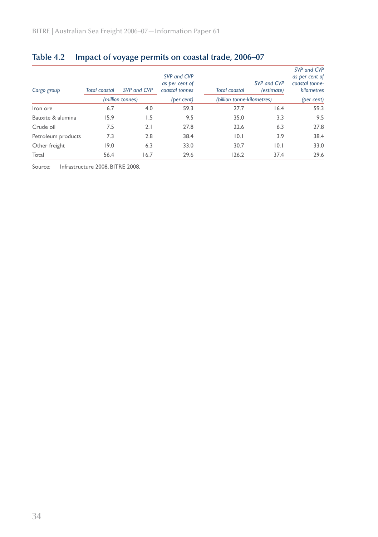| Cargo group        | Total coastal | SVP and CVP      | SVP and CVP<br>as per cent of<br>coastal tonnes | <b>Total coastal</b>       | SVP and CVP<br>(estimate) | SVP and CVP<br>as per cent of<br>coastal tonne-<br>kilometres |  |
|--------------------|---------------|------------------|-------------------------------------------------|----------------------------|---------------------------|---------------------------------------------------------------|--|
|                    |               | (million tonnes) | (ber cent)                                      | (billion tonne-kilometres) |                           | (per cent)                                                    |  |
| Iron ore           | 6.7           | 4.0              | 59.3                                            | 27.7                       | 16.4                      | 59.3                                                          |  |
| Bauxite & alumina  | 15.9          | 1.5              | 9.5                                             | 35.0                       | 3.3                       | 9.5                                                           |  |
| Crude oil          | 7.5           | 2.1              | 27.8                                            | 22.6                       | 6.3                       | 27.8                                                          |  |
| Petroleum products | 7.3           | 2.8              | 38.4                                            | 0.1                        | 3.9                       | 38.4                                                          |  |
| Other freight      | 19.0          | 6.3              | 33.0                                            | 30.7                       | 10.1                      | 33.0                                                          |  |
| Total              | 56.4          | 16.7             | 29.6                                            | 126.2                      | 37.4                      | 29.6                                                          |  |

## **Table 4.2 Impact of voyage permits on coastal trade, 2006–07**

Source: Infrastructure 2008, BITRE 2008.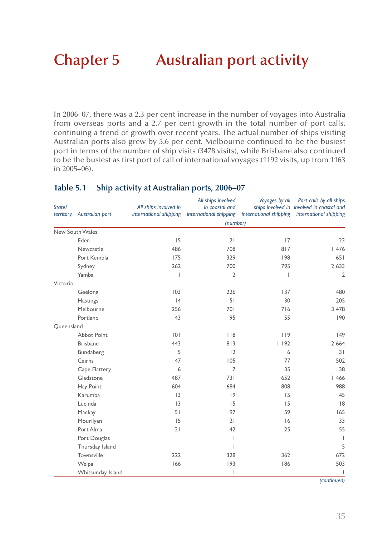# **Chapter 5 Australian port activity**

In 2006–07, there was a 2.3 per cent increase in the number of voyages into Australia from overseas ports and a 2.7 per cent growth in the total number of port calls, continuing a trend of growth over recent years. The actual number of ships visiting Australian ports also grew by 5.6 per cent. Melbourne continued to be the busiest port in terms of the number of ship visits (3478 visits), while Brisbane also continued to be the busiest as first port of call of international voyages (1192 visits, up from 1163 in 2005–06).

| State/<br>territory | Australian port    | All ships involved in<br>international shipping | All ships involved<br>in coastal and<br>international shipping | Voyages by all<br>international shipping | Port calls by all ships<br>ships involved in involved in coastal and<br>international shipping |  |
|---------------------|--------------------|-------------------------------------------------|----------------------------------------------------------------|------------------------------------------|------------------------------------------------------------------------------------------------|--|
|                     |                    |                                                 | (number)                                                       |                                          |                                                                                                |  |
|                     | New South Wales    |                                                 |                                                                |                                          |                                                                                                |  |
|                     | Eden               | 15                                              | 21                                                             | 17                                       | 23                                                                                             |  |
|                     | Newcastle          | 486                                             | 708                                                            | 817                                      | 1476                                                                                           |  |
|                     | Port Kembla        | 175                                             | 329                                                            | 198                                      | 651                                                                                            |  |
|                     | Sydney             | 262                                             | 700                                                            | 795                                      | 2 6 3 3                                                                                        |  |
|                     | Yamba              | $\overline{\phantom{a}}$                        | $\overline{2}$                                                 | 1                                        | 2                                                                                              |  |
| Victoria            |                    |                                                 |                                                                |                                          |                                                                                                |  |
|                     | Geelong            | 103                                             | 226                                                            | 137                                      | 480                                                                                            |  |
|                     | Hastings           | 4                                               | 51                                                             | 30                                       | 205                                                                                            |  |
|                     | Melbourne          | 256                                             | 701                                                            | 716                                      | 3 4 7 8                                                                                        |  |
|                     | Portland           | 43                                              | 95                                                             | 55                                       | 190                                                                                            |  |
| Queensland          |                    |                                                 |                                                                |                                          |                                                                                                |  |
|                     | <b>Abbot Point</b> | 0                                               | 118                                                            | 119                                      | 49                                                                                             |  |
|                     | <b>Brisbane</b>    | 443                                             | 813                                                            | 1192                                     | 2 6 6 4                                                                                        |  |
|                     | Bundaberg          | 5                                               | 12                                                             | 6                                        | 31                                                                                             |  |
|                     | Cairns             | 47                                              | 105                                                            | 77                                       | 502                                                                                            |  |
|                     | Cape Flattery      | 6                                               | $\overline{7}$                                                 | 35                                       | 38                                                                                             |  |
|                     | Gladstone          | 487                                             | 731                                                            | 652                                      | 1466                                                                                           |  |
|                     | Hay Point          | 604                                             | 684                                                            | 808                                      | 988                                                                                            |  |
|                     | Karumba            | 3                                               | 9                                                              | 15                                       | 45                                                                                             |  |
|                     | Lucinda            | 3                                               | 15                                                             | 15                                       | 8                                                                                              |  |
|                     | Mackay             | 51                                              | 97                                                             | 59                                       | 165                                                                                            |  |
|                     | Mourilyan          | 15                                              | 21                                                             | 6                                        | 33                                                                                             |  |
|                     | Port Alma          | 21                                              | 42                                                             | 25                                       | 55                                                                                             |  |
|                     | Port Douglas       |                                                 | I                                                              |                                          | $\mathbf{I}$                                                                                   |  |
|                     | Thursday Island    |                                                 | T                                                              |                                          | 5                                                                                              |  |
|                     | Townsville         | 222                                             | 328                                                            | 362                                      | 672                                                                                            |  |
|                     | Weipa              | 166                                             | 193                                                            | 186                                      | 503                                                                                            |  |
|                     | Whitsunday Island  |                                                 | $\overline{\phantom{a}}$                                       |                                          |                                                                                                |  |

#### **Table 5.1 Ship activity at Australian ports, 2006–07**

*(continued)*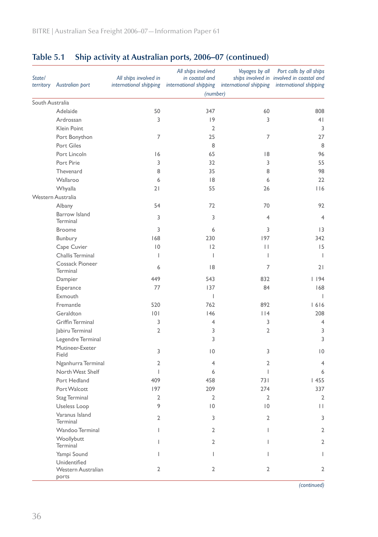| State/          | territory Australian port                          | All ships involved in<br>international shipping | All ships involved<br>in coastal and<br>international shipping | Voyages by all<br>international shipping | Port calls by all ships<br>ships involved in involved in coastal and<br>international shipping |
|-----------------|----------------------------------------------------|-------------------------------------------------|----------------------------------------------------------------|------------------------------------------|------------------------------------------------------------------------------------------------|
|                 |                                                    |                                                 | (number)                                                       |                                          |                                                                                                |
| South Australia |                                                    |                                                 |                                                                |                                          |                                                                                                |
|                 | Adelaide                                           | 50                                              | 347                                                            | 60                                       | 808                                                                                            |
|                 | Ardrossan                                          | 3                                               | 9                                                              | 3                                        | 4 <sub>1</sub>                                                                                 |
|                 | Klein Point                                        |                                                 | $\overline{2}$                                                 |                                          | 3                                                                                              |
|                 | Port Bonython                                      | $\overline{7}$                                  | 25                                                             | 7                                        | 27                                                                                             |
|                 | Port Giles                                         |                                                 | 8                                                              |                                          | 8                                                                                              |
|                 | Port Lincoln                                       | 16                                              | 65                                                             | 18                                       | 96                                                                                             |
|                 | Port Pirie                                         | 3                                               | 32                                                             | 3                                        | 55                                                                                             |
|                 | Thevenard                                          | 8                                               | 35                                                             | 8                                        | 98                                                                                             |
|                 | Wallaroo                                           | 6                                               | 8                                                              | 6                                        | 22                                                                                             |
|                 | Whyalla                                            | 21                                              | 55                                                             | 26                                       | 116                                                                                            |
|                 | Western Australia                                  |                                                 |                                                                |                                          |                                                                                                |
|                 | Albany                                             | 54                                              | 72                                                             | 70                                       | 92                                                                                             |
|                 | Barrow Island<br>Terminal                          | 3                                               | 3                                                              | 4                                        | $\overline{4}$                                                                                 |
|                 | <b>Broome</b>                                      | 3                                               | 6                                                              | 3                                        | 13                                                                                             |
|                 | Bunbury                                            | 168                                             | 230                                                            | 197                                      | 342                                                                                            |
|                 | Cape Cuvier                                        | $\overline{10}$                                 | 12                                                             | П                                        | 15                                                                                             |
|                 | Challis Terminal                                   | T                                               | $\overline{1}$                                                 | I                                        | $\overline{1}$                                                                                 |
|                 | Cossack Pioneer<br>Terminal                        | 6                                               | 8                                                              | 7                                        | 21                                                                                             |
|                 | Dampier                                            | 449                                             | 543                                                            | 832                                      | 1194                                                                                           |
|                 | Esperance                                          | 77                                              | 137                                                            | 84                                       | 168                                                                                            |
|                 | Exmouth                                            |                                                 | $\mathsf{L}$                                                   |                                          | $\mathbf{I}$                                                                                   |
|                 | Fremantle                                          | 520                                             | 762                                                            | 892                                      | 1616                                                                                           |
|                 | Geraldton                                          | 101                                             | 146                                                            | $ $  4                                   | 208                                                                                            |
|                 | <b>Griffin Terminal</b>                            | 3                                               | 4                                                              | 3                                        | $\overline{4}$                                                                                 |
|                 | Jabiru Terminal                                    | 2                                               | 3                                                              | 2                                        | 3                                                                                              |
|                 | Legendre Terminal                                  |                                                 | 3                                                              |                                          | 3                                                                                              |
|                 | Mutineer-Exeter<br>Field                           | 3                                               | $\overline{0}$                                                 | 3                                        | $ 0\rangle$                                                                                    |
|                 | Nganhurra Terminal                                 | 2                                               | 4                                                              | 2                                        | 4                                                                                              |
|                 | North West Shelf                                   | T                                               | 6                                                              | L                                        | 6                                                                                              |
|                 | Port Hedland                                       | 409                                             | 458                                                            | 731                                      | 1455                                                                                           |
|                 | Port Walcott                                       | 197                                             | 209                                                            | 274                                      | 337                                                                                            |
|                 | <b>Stag Terminal</b>                               | 2                                               | 2                                                              | 2                                        | $\overline{2}$                                                                                 |
|                 | Useless Loop                                       | 9                                               | $\overline{10}$                                                | $\overline{10}$                          | $\mid \; \mid$                                                                                 |
|                 | Varanus Island<br><b>Terminal</b>                  | $\overline{2}$                                  | 3                                                              | $\overline{2}$                           | 3                                                                                              |
|                 | Wandoo Terminal                                    | L                                               | 2                                                              | L                                        | $\overline{2}$                                                                                 |
|                 | Woollybutt<br>Terminal                             | L                                               | $\overline{2}$                                                 | L                                        | $\overline{2}$                                                                                 |
|                 | Yampi Sound                                        | L                                               | L                                                              | $\mathbf{I}$                             | $\overline{1}$                                                                                 |
|                 | Unidentified<br><b>Western Australian</b><br>ports | $\overline{2}$                                  | 2                                                              | 2                                        | $\overline{2}$                                                                                 |

## **Table 5.1 Ship activity at Australian ports, 2006–07 (continued)**

*(continued)*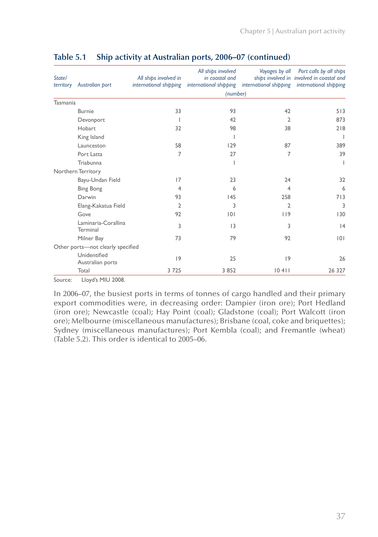| State/<br>territory | Australian port                   | All ships involved in<br>international shipping | All ships involved<br>in coastal and | Voyages by all | Port calls by all ships<br>ships involved in involved in coastal and<br>international shipping international shipping international shipping |
|---------------------|-----------------------------------|-------------------------------------------------|--------------------------------------|----------------|----------------------------------------------------------------------------------------------------------------------------------------------|
|                     |                                   |                                                 | (number)                             |                |                                                                                                                                              |
| Tasmania            |                                   |                                                 |                                      |                |                                                                                                                                              |
|                     | <b>Burnie</b>                     | 33                                              | 93                                   | 42             | 513                                                                                                                                          |
|                     | Devonport                         |                                                 | 42                                   | $\overline{2}$ | 873                                                                                                                                          |
|                     | Hobart                            | 32                                              | 98                                   | 38             | 218                                                                                                                                          |
|                     | King Island                       |                                                 |                                      |                |                                                                                                                                              |
|                     | Launceston                        | 58                                              | 129                                  | 87             | 389                                                                                                                                          |
|                     | Port Latta                        | 7                                               | 27                                   | 7              | 39                                                                                                                                           |
|                     | Triabunna                         |                                                 |                                      |                | T                                                                                                                                            |
|                     | Northern Territory                |                                                 |                                      |                |                                                                                                                                              |
|                     | Bayu-Undan Field                  | 17                                              | 23                                   | 24             | 32                                                                                                                                           |
|                     | <b>Bing Bong</b>                  | $\overline{4}$                                  | 6                                    | 4              | 6                                                                                                                                            |
|                     | Darwin                            | 93                                              | 145                                  | 258            | 713                                                                                                                                          |
|                     | Elang-Kakatua Field               | 2                                               | 3                                    | 2              | 3                                                                                                                                            |
|                     | Gove                              | 92                                              | 0                                    | 119            | 130                                                                                                                                          |
|                     | Laminaria-Corallina<br>Terminal   | 3                                               | 3                                    | 3              | 4                                                                                                                                            |
|                     | Milner Bay                        | 73                                              | 79                                   | 92             | 0                                                                                                                                            |
|                     | Other ports-not clearly specified |                                                 |                                      |                |                                                                                                                                              |
|                     | Unidentified<br>Australian ports  | 9                                               | 25                                   | 9              | 26                                                                                                                                           |
|                     | Total                             | 3725                                            | 3 8 5 2                              | 10411          | 26 327                                                                                                                                       |
|                     |                                   |                                                 |                                      |                |                                                                                                                                              |

### **Table 5.1 Ship activity at Australian ports, 2006–07 (continued)**

Source: Lloyd's MIU 2008.

In 2006–07, the busiest ports in terms of tonnes of cargo handled and their primary export commodities were, in decreasing order: Dampier (iron ore); Port Hedland (iron ore); Newcastle (coal); Hay Point (coal); Gladstone (coal); Port Walcott (iron ore); Melbourne (miscellaneous manufactures); Brisbane (coal, coke and briquettes); Sydney (miscellaneous manufactures); Port Kembla (coal); and Fremantle (wheat) (Table 5.2). This order is identical to 2005–06.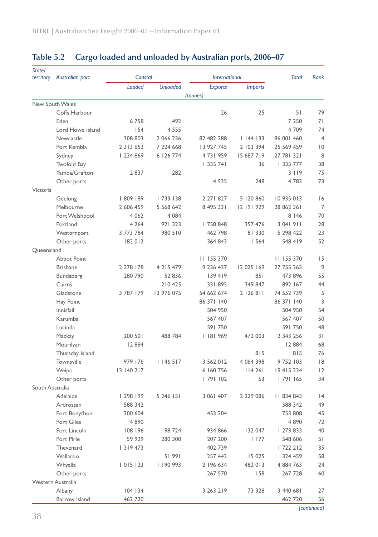| State/<br>territory | Australian port    | Coastal       |                 | <b>International</b> |                | <b>Total</b> | Rank           |
|---------------------|--------------------|---------------|-----------------|----------------------|----------------|--------------|----------------|
|                     |                    | Loaded        | <b>Unloaded</b> | <b>Exports</b>       | <i>Imports</i> |              |                |
|                     |                    |               |                 | (tonnes)             |                |              |                |
|                     | New South Wales    |               |                 |                      |                |              |                |
|                     | Coffs Harbour      |               |                 | 26                   | 25             | 51           | 79             |
|                     | Eden               | 6758          | 492             |                      |                | 7 2 5 0      | 71             |
|                     | Lord Howe Island   | 154           | 4 5 5 5         |                      |                | 4709         | 74             |
|                     | Newcastle          | 308 803       | 2 066 236       | 82 482 288           | 1144133        | 86 001 460   | $\overline{4}$ |
|                     | Port Kembla        | 2 3 1 3 6 5 2 | 7 224 668       | 13 927 745           | 2 103 394      | 25 569 459   | 0              |
|                     | Sydney             | 234 869       | 6 126 774       | 4731959              | 15 687 719     | 27 78 321    | 8              |
|                     | Twofold Bay        |               |                 | 335 741              | 36             | 335 777      | 38             |
|                     | Yamba/Grafton      | 2837          | 282             |                      |                | 3 1 1 9      | 75             |
|                     | Other ports        |               |                 | 4 5 3 5              | 248            | 4783         | 73             |
| Victoria            |                    |               |                 |                      |                |              |                |
|                     | Geelong            | 809 189       | 733   38        | 2 271 827            | 5 120 860      | 10 935 013   | 16             |
|                     | Melbourne          | 2 606 459     | 5 5 6 6 4 2     | 8 495 331            | 12 191 929     | 28 862 361   | $\overline{7}$ |
|                     | Port Welshpool     | 4 0 6 2       | 4 0 8 4         |                      |                | 8 1 4 6      | 70             |
|                     | Portland           | 4 2 6 4       | 921 323         | 758 848              | 357 476        | 3 04 1 9 1 1 | 28             |
|                     | Westernport        | 3 773 784     | 980 510         | 462 798              | 81 330         | 5 298 422    | 23             |
|                     | Other ports        | 182 012       |                 | 364 843              | 1564           | 548 419      | 52             |
| Queensland          |                    |               |                 |                      |                |              |                |
|                     | <b>Abbot Point</b> |               |                 | 11 155 370           |                | 11 155 370   | 15             |
|                     | <b>Brisbane</b>    | 2 278 178     | 4 2 1 5 4 7 9   | 9 236 437            | 12 025 169     | 27 755 263   | 9              |
|                     | Bundaberg          | 280 790       | 52 836          | 139419               | 851            | 473 896      | 55             |
|                     | Cairns             |               | 210 425         | 331895               | 349 847        | 892 167      | 44             |
|                     | Gladstone          | 3 787 179     | 13 976 075      | 54 662 674           | 2 126 811      | 74 552 739   | 5              |
|                     | Hay Point          |               |                 | 86 371 140           |                | 86 371 140   | 3              |
|                     | Innisfail          |               |                 | 504 950              |                | 504 950      | 54             |
|                     | Karumba            |               |                 | 567 407              |                | 567 407      | 50             |
|                     | Lucinda            |               |                 | 591750               |                | 591 750      | 48             |
|                     | Mackay             | 200 501       | 488 784         | 181 969              | 472 003        | 2 343 256    | 31             |
|                     | Mourilyan          | 12 8 84       |                 |                      |                | 12 8 84      | 68             |
|                     | Thursday Island    |               |                 |                      | 815            | 815          | 76             |
|                     | Townsville         | 979 176       | 146 517         | 3 562 012            | 4 0 6 4 3 9 8  | 9 752 103    | 8              |
|                     | Weipa              | 13 140 217    |                 | 6 160 756            | 114261         | 19 415 234   | 12             |
|                     | Other ports        |               |                 | 79  102              | 63             | 79  165      | 34             |
| South Australia     |                    |               |                 |                      |                |              |                |
|                     | Adelaide           | 298 199       | 5 246 151       | 3 061 407            | 2 229 086      | 11834843     | 4              |
|                     | Ardrossan          | 588 342       |                 |                      |                | 588 342      | 49             |
|                     | Port Bonython      | 300 604       |                 | 453 204              |                | 753 808      | 45             |
|                     | Port Giles         | 4 8 9 0       |                 |                      |                | 4890         | 72             |
|                     | Port Lincoln       | 108 196       | 98 724          | 934 866              | 132 047        | 273 833      | 40             |
|                     | Port Pirie         | 59 929        | 280 300         | 207 200              | $ $ 177        | 548 606      | 51             |
|                     | Thevenard          | 319 473       |                 | 402 739              |                | 722 212      | 35             |
|                     | Wallaroo           |               | 51991           | 257 443              | 15 0 25        | 324 459      | 58             |
|                     | Whyalla            | 015 123       | 190 993         | 2 196 634            | 482 013        | 4 884 763    | 24             |
|                     | Other ports        |               |                 | 267 570              | 158            | 267 728      | 60             |
|                     | Western Australia  |               |                 |                      |                |              |                |
|                     | Albany             | 104 134       |                 | 3 263 219            | 73 328         | 3 440 681    | 27             |
|                     | Barrow Island      | 462 720       |                 |                      |                | 462 720      | 56             |

## **Table 5.2 Cargo loaded and unloaded by Australian ports, 2006–07**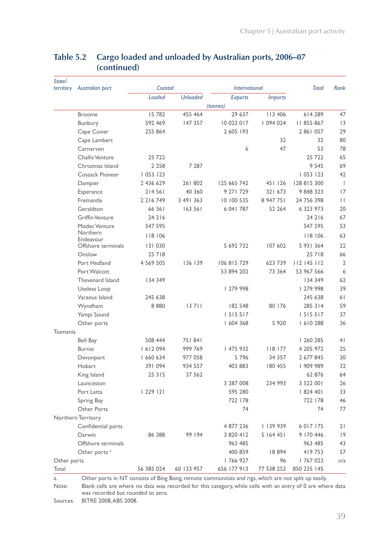| State/<br>territory | Australian port          | Coastal       |                 | <b>International</b> |                | <b>Total</b>  | Rank           |
|---------------------|--------------------------|---------------|-----------------|----------------------|----------------|---------------|----------------|
|                     |                          | Loaded        | <b>Unloaded</b> | Exports              | <i>Imports</i> |               |                |
|                     |                          |               |                 | (tonnes)             |                |               |                |
|                     | <b>Broome</b>            | 15 782        | 455 464         | 29 637               | 113 406        | 614 289       | 47             |
|                     | Bunbury                  | 592 469       | 147 357         | 10 022 017           | 094 024        | II 855 867    | 3              |
|                     | Cape Cuvier              | 255 864       |                 | 2 605 193            |                | 2 861 057     | 29             |
|                     | Cape Lambert             |               |                 |                      | 32             | 32            | 80             |
|                     | Carnarvon                |               |                 | 6                    | 47             | 53            | 78             |
|                     | Challis Venture          | 25 722        |                 |                      |                | 25 722        | 65             |
|                     | Christmas Island         | 2 2 5 8       | 7 287           |                      |                | 9 5 4 5       | 69             |
|                     | Cossack Pioneer          | 1053123       |                 |                      |                | 053   23      | 42             |
|                     | Dampier                  | 2 436 629     | 261 802         | 125 665 742          | 451 126        | 128 815 300   | $\overline{1}$ |
|                     | Esperance                | 214 561       | 40 360          | 9 271 729            | 321 673        | 9 848 323     | 17             |
|                     | Fremantle                | 2 2 1 6 7 4 9 | 3 49 3 3 6 3    | 10 100 535           | 8 947 751      | 24 756 398    | П              |
|                     | Geraldton                | 66 361        | 163 561         | 6 041 787            | 52 264         | 6 323 973     | 20             |
|                     | <b>Griffin Venture</b>   | 24 2 16       |                 |                      |                | 24 2 16       | 67             |
|                     | Modec Venture            | 547 595       |                 |                      |                | 547 595       | 53             |
|                     | Northern<br>Endeavour    | 8   06        |                 |                      |                | 8   06        | 63             |
|                     | Offshore terminals       | 131 030       |                 | 5 692 732            | 107 602        | 5 931 364     | 22             |
|                     | Onslow                   | 25 7 18       |                 |                      |                | 25 7 18       | 66             |
|                     | Port Hedland             | 4 569 505     | 136 139         | 106 815 729          | 623 739        | 112 145 112   | $\overline{2}$ |
|                     | Port Walcott             |               |                 | 53 894 202           | 73 364         | 53 967 566    | 6              |
|                     | Thevenard Island         | 134 349       |                 |                      |                | 134 349       | 62             |
|                     | Useless Loop             |               |                 | 279 998              |                | 279 998       | 39             |
|                     | Varanus Island           | 245 638       |                 |                      |                | 245 638       | 61             |
|                     | Wyndham                  | 8880          | 13711           | 182 548              | 80 176         | 285 314       | 59             |
|                     | Yampi Sound              |               |                 | 1 5 1 5 5 1 7        |                | 1 5 1 5 5 1 7 | 37             |
|                     | Other ports              |               |                 | 604 368              | 5 9 20         | 1610288       | 36             |
| Tasmania            |                          |               |                 |                      |                |               |                |
|                     | <b>Bell Bay</b>          | 508 444       | 751841          |                      |                | 260 285       | 4 <sub>1</sub> |
|                     | <b>Burnie</b>            | 1612094       | 999 769         | 475 932              | 118 177        | 4 205 972     | 25             |
|                     | Devonport                | 1 660 634     | 977 058         | 5796                 | 34 357         | 2 677 845     | 30             |
|                     | Hobart                   | 391 094       | 934 557         | 403 883              | 180 455        | 909 989       | 32             |
|                     | King Island              | 25 3 1 5      | 37 562          |                      |                | 62 876        | 64             |
|                     | Launceston               |               |                 | 3 287 008            | 234 993        | 3 522 001     | 26             |
|                     | Port Latta               | 229 2         |                 | 595 280              |                | 824 401       | 33             |
|                     | Spring Bay               |               |                 | 722 178              |                | 722 178       | 46             |
|                     | Other Ports              |               |                 | 74                   |                | 74            | 77             |
|                     | Northern Territory       |               |                 |                      |                |               |                |
|                     | Confidential ports       |               |                 | 4 877 236            | 139 939        | 6 0 1 7 1 7 5 | 21             |
|                     | Darwin                   | 86 388        | 99 194          | 3 820 412            | 5 164 45 1     | 9 170 446     | 9              |
|                     | Offshore terminals       |               |                 | 963 485              |                | 963 485       | 43             |
|                     | Other ports <sup>a</sup> |               |                 | 400 859              | 18894          | 419753        | 57             |
| Other ports         |                          |               |                 | 766 927              | 96             | 767 023       | n/a            |
| Total               |                          | 56 385 024    | 60 133 957      | 656 177 913          | 77 538 252     | 850 235 145   |                |

### **Table 5.2 Cargo loaded and unloaded by Australian ports, 2006–07 (continued)**

a. Other ports in NT consists of Bing Bong, remote communities and rigs, which are not split up easily. Note: Blank cells are where no data was recorded for this category, while cells with an entry of 0 are where data was recorded but rounded to zero.

Sources: BITRE 2008, ABS 2008.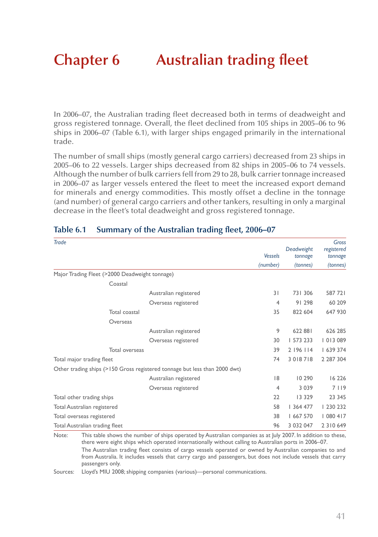# **Chapter 6 Australian trading fleet**

In 2006–07, the Australian trading fleet decreased both in terms of deadweight and gross registered tonnage. Overall, the fleet declined from 105 ships in 2005–06 to 96 ships in 2006–07 (Table 6.1), with larger ships engaged primarily in the international trade.

The number of small ships (mostly general cargo carriers) decreased from 23 ships in 2005–06 to 22 vessels. Larger ships decreased from 82 ships in 2005–06 to 74 vessels. Although the number of bulk carriers fell from 29 to 28, bulk carrier tonnage increased in 2006–07 as larger vessels entered the fleet to meet the increased export demand for minerals and energy commodities. This mostly offset a decline in the tonnage (and number) of general cargo carriers and other tankers, resulting in only a marginal decrease in the fleet's total deadweight and gross registered tonnage.

| Trade                                                                      | <b>Vessels</b> | Deadweight<br>tonnage | Gross<br>registered<br>tonnage |
|----------------------------------------------------------------------------|----------------|-----------------------|--------------------------------|
|                                                                            | (number)       | (tonnes)              | (tonnes)                       |
| Major Trading Fleet (>2000 Deadweight tonnage)                             |                |                       |                                |
| Coastal                                                                    |                |                       |                                |
| Australian registered                                                      | 31             | 731 306               | 587 721                        |
| Overseas registered                                                        | 4              | 91 298                | 60 209                         |
| Total coastal                                                              | 35             | 822 604               | 647 930                        |
| Overseas                                                                   |                |                       |                                |
| Australian registered                                                      | 9              | 622 881               | 626 285                        |
| Overseas registered                                                        | 30             | 573 233               | 013 089                        |
| Total overseas                                                             | 39             | 2 196 114             | 639 374                        |
| Total major trading fleet                                                  | 74             | 3 0 18 7 18           | 2 2 8 7 3 0 4                  |
| Other trading ships (>150 Gross registered tonnage but less than 2000 dwt) |                |                       |                                |
| Australian registered                                                      | 8              | 10 290                | 16 2 26                        |
| Overseas registered                                                        | 4              | 3 0 3 9               | 7 1 1 9                        |
| Total other trading ships                                                  | 22             | 13 329                | 23 345                         |
| Total Australian registered                                                | 58             | 364 477               | 230 232                        |
| Total overseas registered                                                  | 38             | 667 570               | 080 417                        |
| Total Australian trading fleet                                             | 96             | 3 0 3 2 0 4 7         | 2 3 1 0 6 4 9                  |

#### **Table 6.1 Summary of the Australian trading fleet, 2006–07**

Note: This table shows the number of ships operated by Australian companies as at July 2007. In addition to these, there were eight ships which operated internationally without calling to Australian ports in 2006–07. The Australian trading fleet consists of cargo vessels operated or owned by Australian companies to and from Australia. It includes vessels that carry cargo and passengers, but does not include vessels that carry passengers only.

Sources: Lloyd's MIU 2008; shipping companies (various)—personal communications.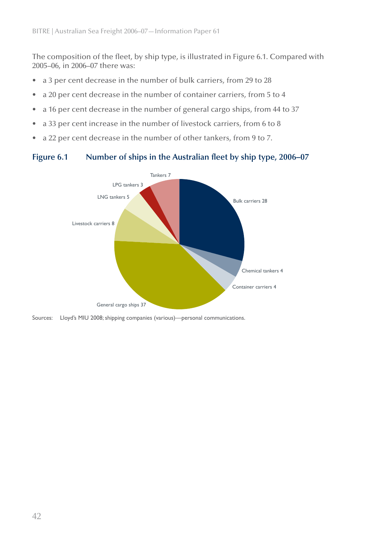The composition of the fleet, by ship type, is illustrated in Figure 6.1. Compared with 2005–06, in 2006–07 there was:

- a 3 per cent decrease in the number of bulk carriers, from 29 to 28
- a 20 per cent decrease in the number of container carriers, from 5 to 4
- a 16 per cent decrease in the number of general cargo ships, from 44 to 37
- a 33 per cent increase in the number of livestock carriers, from 6 to 8
- a 22 per cent decrease in the number of other tankers, from 9 to 7.

#### **Figure 6.1 Number of ships in the Australian fleet by ship type, 2006–07**



Sources: Lloyd's MIU 2008; shipping companies (various)—personal communications.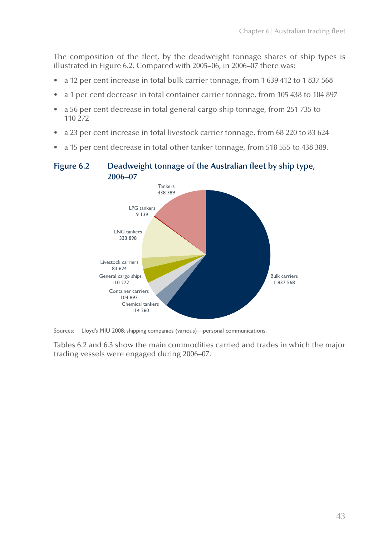The composition of the fleet, by the deadweight tonnage shares of ship types is illustrated in Figure 6.2. Compared with 2005–06, in 2006–07 there was:

- a 12 per cent increase in total bulk carrier tonnage, from 1 639 412 to 1 837 568
- a 1 per cent decrease in total container carrier tonnage, from 105 438 to 104 897
- a 56 per cent decrease in total general cargo ship tonnage, from 251 735 to 110 272
- a 23 per cent increase in total livestock carrier tonnage, from 68 220 to 83 624
- a 15 per cent decrease in total other tanker tonnage, from 518 555 to 438 389.

### **Figure 6.2 Deadweight tonnage of the Australian fleet by ship type, 2006–07**



Sources: Lloyd's MIU 2008; shipping companies (various)—personal communications.

Tables 6.2 and 6.3 show the main commodities carried and trades in which the major trading vessels were engaged during 2006–07.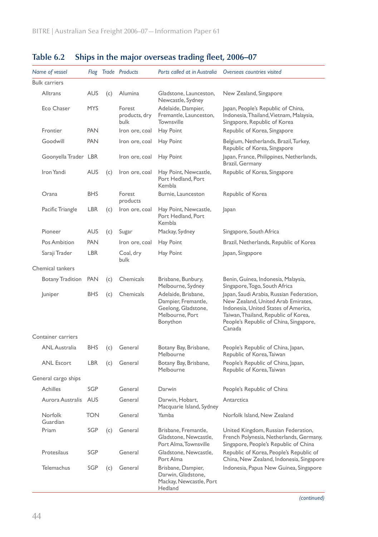| Name of vessel       |            |     | <b>Flag Trade Products</b>      | Ports called at in Australia                                                                     | Overseas countries visited                                                                                                                                                                                         |
|----------------------|------------|-----|---------------------------------|--------------------------------------------------------------------------------------------------|--------------------------------------------------------------------------------------------------------------------------------------------------------------------------------------------------------------------|
| <b>Bulk carriers</b> |            |     |                                 |                                                                                                  |                                                                                                                                                                                                                    |
| Alltrans             | <b>AUS</b> | (c) | Alumina                         | Gladstone, Launceston,<br>Newcastle, Sydney                                                      | New Zealand, Singapore                                                                                                                                                                                             |
| Eco Chaser           | <b>MYS</b> |     | Forest<br>products, dry<br>bulk | Adelaide, Dampier,<br>Fremantle, Launceston,<br>Townsville                                       | Japan, People's Republic of China,<br>Indonesia, Thailand, Vietnam, Malaysia,<br>Singapore, Republic of Korea                                                                                                      |
| Frontier             | <b>PAN</b> |     | Iron ore, coal                  | Hay Point                                                                                        | Republic of Korea, Singapore                                                                                                                                                                                       |
| Goodwill             | <b>PAN</b> |     | Iron ore, coal                  | Hay Point                                                                                        | Belgium, Netherlands, Brazil, Turkey,<br>Republic of Korea, Singapore                                                                                                                                              |
| Goonyella Trader LBR |            |     | Iron ore, coal                  | Hay Point                                                                                        | Japan, France, Philippines, Netherlands,<br>Brazil, Germany                                                                                                                                                        |
| Iron Yandi           | <b>AUS</b> | (c) | Iron ore, coal                  | Hay Point, Newcastle,<br>Port Hedland, Port<br>Kembla                                            | Republic of Korea, Singapore                                                                                                                                                                                       |
| Orana                | <b>BHS</b> |     | Forest<br>products              | Burnie, Launceston                                                                               | Republic of Korea                                                                                                                                                                                                  |
| Pacific Triangle     | <b>LBR</b> | (c) | Iron ore, coal                  | Hay Point, Newcastle,<br>Port Hedland, Port<br>Kembla                                            | Japan                                                                                                                                                                                                              |
| Pioneer              | <b>AUS</b> | (c) | Sugar                           | Mackay, Sydney                                                                                   | Singapore, South Africa                                                                                                                                                                                            |
| Pos Ambition         | <b>PAN</b> |     | Iron ore, coal                  | Hay Point                                                                                        | Brazil, Netherlands, Republic of Korea                                                                                                                                                                             |
| Saraji Trader        | <b>LBR</b> |     | Coal, dry<br>bulk               | Hay Point                                                                                        | Japan, Singapore                                                                                                                                                                                                   |
| Chemical tankers     |            |     |                                 |                                                                                                  |                                                                                                                                                                                                                    |
| Botany Tradition     | <b>PAN</b> | (c) | Chemicals                       | Brisbane, Bunbury,<br>Melbourne, Sydney                                                          | Benin, Guinea, Indonesia, Malaysia,<br>Singapore, Togo, South Africa                                                                                                                                               |
| Juniper              | <b>BHS</b> | (c) | Chemicals                       | Adelaide, Brisbane,<br>Dampier, Fremantle,<br>Geelong, Gladstone,<br>Melbourne, Port<br>Bonython | Japan, Saudi Arabia, Russian Federation,<br>New Zealand, United Arab Emirates,<br>Indonesia, United States of America,<br>Taiwan, Thailand, Republic of Korea,<br>People's Republic of China, Singapore,<br>Canada |
| Container carriers   |            |     |                                 |                                                                                                  |                                                                                                                                                                                                                    |
| <b>ANL Australia</b> | <b>BHS</b> | (c) | General                         | Botany Bay, Brisbane,<br>Melbourne                                                               | People's Republic of China, Japan,<br>Republic of Korea, Taiwan                                                                                                                                                    |
| <b>ANL Escort</b>    | <b>LBR</b> | (c) | General                         | Botany Bay, Brisbane,<br>Melbourne                                                               | People's Republic of China, Japan,<br>Republic of Korea, Taiwan                                                                                                                                                    |
| General cargo ships  |            |     |                                 |                                                                                                  |                                                                                                                                                                                                                    |
| <b>Achilles</b>      | SGP        |     | General                         | Darwin                                                                                           | People's Republic of China                                                                                                                                                                                         |
| Aurora Australis AUS |            |     | General                         | Darwin, Hobart,<br>Macquarie Island, Sydney                                                      | Antarctica                                                                                                                                                                                                         |
| Norfolk<br>Guardian  | <b>TON</b> |     | General                         | Yamba                                                                                            | Norfolk Island, New Zealand                                                                                                                                                                                        |
| Priam                | SGP        | (c) | General                         | Brisbane, Fremantle,<br>Gladstone, Newcastle,<br>Port Alma, Townsville                           | United Kingdom, Russian Federation,<br>French Polynesia, Netherlands, Germany,<br>Singapore, People's Republic of China                                                                                            |
| Protesilaus          | SGP        |     | General                         | Gladstone, Newcastle,<br>Port Alma                                                               | Republic of Korea, People's Republic of<br>China, New Zealand, Indonesia, Singapore                                                                                                                                |
| <b>Telemachus</b>    | SGP        | (c) | General                         | Brisbane, Dampier,<br>Darwin, Gladstone,<br>Mackay, Newcastle, Port<br>Hedland                   | Indonesia, Papua New Guinea, Singapore                                                                                                                                                                             |

### **Table 6.2 Ships in the major overseas trading fleet, 2006–07**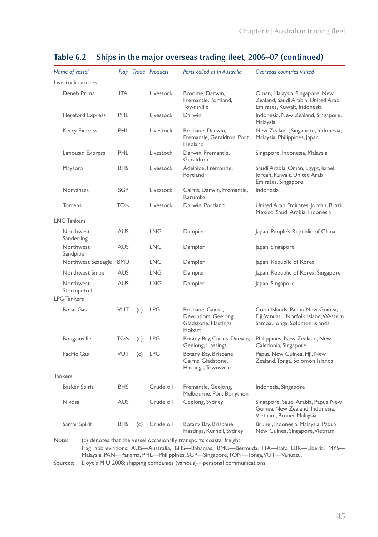| Name of vessel                                 |            |     | Flag Trade Products | Ports called at in Australia                                         | Overseas countries visited                                                                          |
|------------------------------------------------|------------|-----|---------------------|----------------------------------------------------------------------|-----------------------------------------------------------------------------------------------------|
| Livestock carriers                             |            |     |                     |                                                                      |                                                                                                     |
| Deneb Prima                                    | <b>ITA</b> |     | Livestock           | Broome, Darwin,<br>Fremantle, Portland,<br>Townsville                | Oman, Malaysia, Singapore, New<br>Zealand, Saudi Arabia, United Arab<br>Emirates, Kuwait, Indonesia |
| <b>Hereford Express</b>                        | <b>PHL</b> |     | Livestock           | Darwin                                                               | Indonesia, New Zealand, Singapore,<br>Malaysia                                                      |
| Kerry Express                                  | PHI        |     | Livestock           | Brisbane, Darwin,<br>Fremantle, Geraldton, Port<br>Hedland           | New Zealand, Singapore, Indonesia,<br>Malaysia, Philippines, Japan                                  |
| <b>Limousin Express</b>                        | PHL        |     | Livestock           | Darwin, Fremantle,<br>Geraldton                                      | Singapore, Indonesia, Malaysia                                                                      |
| Maysora                                        | <b>BHS</b> |     | Livestock           | Adelaide, Fremantle,<br>Portland                                     | Saudi Arabia, Oman, Egypt, Israel,<br>Jordan, Kuwait, United Arab<br>Emirates, Singapore            |
| Norvantes                                      | SGP        |     | Livestock           | Cairns, Darwin, Fremantle,<br>Karumba                                | Indonesia                                                                                           |
| Torrens                                        | <b>TON</b> |     | Livestock           | Darwin, Portland                                                     | United Arab Emirates, Jordan, Brazil,<br>Mexico, Saudi Arabia, Indonesia                            |
| <b>LNG Tankers</b>                             |            |     |                     |                                                                      |                                                                                                     |
| Northwest<br>Sanderling                        | <b>AUS</b> |     | <b>LNG</b>          | Dampier                                                              | Japan, People's Republic of China                                                                   |
| Northwest<br>Sandpiper                         | <b>AUS</b> |     | <b>LNG</b>          | Dampier                                                              | Japan, Singapore                                                                                    |
| Northwest Seaeagle                             | <b>BMU</b> |     | <b>LNG</b>          | Dampier                                                              | Japan, Republic of Korea                                                                            |
| Northwest Snipe                                | <b>AUS</b> |     | <b>LNG</b>          | Dampier                                                              | Japan, Republic of Korea, Singapore                                                                 |
| Northwest<br>Stormpetrel<br><b>LPG Tankers</b> | <b>AUS</b> |     | <b>LNG</b>          | Dampier                                                              | Japan, Singapore                                                                                    |
| <b>Boral Gas</b>                               | VUT        | (c) | <b>LPG</b>          | Brisbane, Cairns,                                                    | Cook Islands, Papua New Guinea,                                                                     |
|                                                |            |     |                     | Devonport, Geelong,<br>Gladstone, Hastings,<br>Hobart                | Fiji, Vanuatu, Norfolk Island, Western<br>Samoa, Tonga, Solomon Islands                             |
| Bougainville                                   | <b>TON</b> | (c) | <b>LPG</b>          | Botany Bay, Cairns, Darwin,<br>Geelong, Hastings                     | Philippines, New Zealand, New<br>Caledonia, Singapore                                               |
| Pacific Gas                                    | VUT        | (c) | <b>LPG</b>          | Botany Bay, Brisbane,<br>Cairns, Gladstone,<br>Hastings, Townsville  | Papua New Guinea, Fiji, New<br>Zealand, Tonga, Solomon Islands                                      |
| <b>Tankers</b>                                 |            |     |                     |                                                                      |                                                                                                     |
| <b>Basker Spirit</b>                           | <b>BHS</b> |     | Crude oil           | Fremantle, Geelong,<br>Melbourne, Port Bonython                      | Indonesia, Singapore                                                                                |
| <b>Nivosa</b>                                  | <b>AUS</b> |     | Crude oil           | Geelong, Sydney                                                      | Singapore, Saudi Arabia, Papua New<br>Guinea, New Zealand, Indonesia,<br>Vietnam, Brunei, Malaysia  |
| Samar Spirit                                   | <b>BHS</b> | (c) | Crude oil           | Botany Bay, Brisbane,<br>Hastings, Kurnell, Sydney                   | Brunei, Indonesia, Malaysia, Papua<br>New Guinea, Singapore, Vietnam                                |
| Note:                                          |            |     |                     | (c) denotes that the vessel occasionally transports coastal freight. |                                                                                                     |

#### **Table 6.2 Ships in the major overseas trading fleet, 2006–07 (continued)**

Flag abbreviations: AUS—Australia, BHS—Bahamas, BMU—Bermuda, ITA—Italy, LBR—Liberia, MYS— Malaysia, PAN—Panama, PHL—Philippines, SGP—Singapore, TON—Tonga, VUT—Vanuatu.

Sources: Lloyd's MIU 2008; shipping companies (various)—personal communications.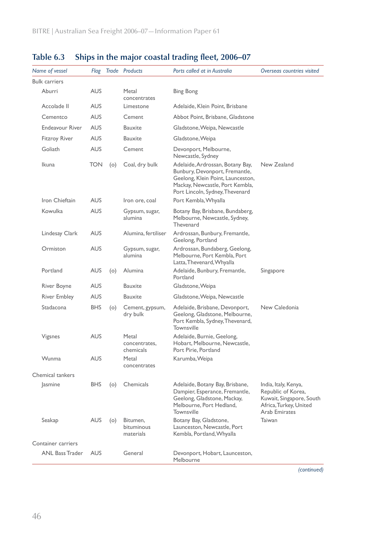| Name of vessel         | Flag       |     | Trade Products                      | Ports called at in Australia                                                                                                                                                  | Overseas countries visited                                                                                               |
|------------------------|------------|-----|-------------------------------------|-------------------------------------------------------------------------------------------------------------------------------------------------------------------------------|--------------------------------------------------------------------------------------------------------------------------|
| <b>Bulk carriers</b>   |            |     |                                     |                                                                                                                                                                               |                                                                                                                          |
| Aburri                 | <b>AUS</b> |     | Metal<br>concentrates               | <b>Bing Bong</b>                                                                                                                                                              |                                                                                                                          |
| Accolade II            | AUS        |     | Limestone                           | Adelaide, Klein Point, Brisbane                                                                                                                                               |                                                                                                                          |
| Cementco               | <b>AUS</b> |     | Cement                              | Abbot Point, Brisbane, Gladstone                                                                                                                                              |                                                                                                                          |
| <b>Endeavour River</b> | <b>AUS</b> |     | Bauxite                             | Gladstone, Weipa, Newcastle                                                                                                                                                   |                                                                                                                          |
| <b>Fitzroy River</b>   | <b>AUS</b> |     | <b>Bauxite</b>                      | Gladstone, Weipa                                                                                                                                                              |                                                                                                                          |
| Goliath                | <b>AUS</b> |     | Cement                              | Devonport, Melbourne,<br>Newcastle, Sydney                                                                                                                                    |                                                                                                                          |
| <b>Ikuna</b>           | <b>TON</b> | (0) | Coal, dry bulk                      | Adelaide, Ardrossan, Botany Bay,<br>Bunbury, Devonport, Fremantle,<br>Geelong, Klein Point, Launceston,<br>Mackay, Newcastle, Port Kembla,<br>Port Lincoln, Sydney, Thevenard | New Zealand                                                                                                              |
| Iron Chieftain         | <b>AUS</b> |     | Iron ore, coal                      | Port Kembla, Whyalla                                                                                                                                                          |                                                                                                                          |
| Kowulka                | AUS        |     | Gypsum, sugar,<br>alumina           | Botany Bay, Brisbane, Bundaberg,<br>Melbourne, Newcastle, Sydney,<br>Thevenard                                                                                                |                                                                                                                          |
| Lindesay Clark         | AUS        |     | Alumina, fertiliser                 | Ardrossan, Bunbury, Fremantle,<br>Geelong, Portland                                                                                                                           |                                                                                                                          |
| Ormiston               | AUS        |     | Gypsum, sugar,<br>alumina           | Ardrossan, Bundaberg, Geelong,<br>Melbourne, Port Kembla, Port<br>Latta, Thevenard, Whyalla                                                                                   |                                                                                                                          |
| Portland               | <b>AUS</b> | (0) | Alumina                             | Adelaide, Bunbury, Fremantle,<br>Portland                                                                                                                                     | Singapore                                                                                                                |
| River Boyne            | AUS        |     | <b>Bauxite</b>                      | Gladstone, Weipa                                                                                                                                                              |                                                                                                                          |
| <b>River Embley</b>    | AUS        |     | Bauxite                             | Gladstone, Weipa, Newcastle                                                                                                                                                   |                                                                                                                          |
| Stadacona              | <b>BHS</b> | (0) | Cement, gypsum,<br>dry bulk         | Adelaide, Brisbane, Devonport,<br>Geelong, Gladstone, Melbourne,<br>Port Kembla, Sydney, Thevenard,<br>Townsville                                                             | New Caledonia                                                                                                            |
| Vigsnes                | <b>AUS</b> |     | Metal<br>concentrates,<br>chemicals | Adelaide, Burnie, Geelong,<br>Hobart, Melbourne, Newcastle,<br>Port Pirie, Portland                                                                                           |                                                                                                                          |
| Wunma                  | <b>AUS</b> |     | Metal<br>concentrates               | Karumba, Weipa                                                                                                                                                                |                                                                                                                          |
| Chemical tankers       |            |     |                                     |                                                                                                                                                                               |                                                                                                                          |
| Jasmine                | <b>BHS</b> | (0) | Chemicals                           | Adelaide, Botany Bay, Brisbane,<br>Dampier, Esperance, Fremantle,<br>Geelong, Gladstone, Mackay,<br>Melbourne, Port Hedland,<br>Townsville                                    | India, Italy, Kenya,<br>Republic of Korea,<br>Kuwait, Singapore, South<br>Africa, Turkey, United<br><b>Arab Emirates</b> |
| Seakap                 | <b>AUS</b> | (0) | Bitumen,<br>bituminous<br>materials | Botany Bay, Gladstone,<br>Launceston, Newcastle, Port<br>Kembla, Portland, Whyalla                                                                                            | Taiwan                                                                                                                   |
| Container carriers     |            |     |                                     |                                                                                                                                                                               |                                                                                                                          |
| <b>ANL Bass Trader</b> | <b>AUS</b> |     | General                             | Devonport, Hobart, Launceston,<br>Melbourne                                                                                                                                   |                                                                                                                          |

## **Table 6.3 Ships in the major coastal trading fleet, 2006–07**

*(continued)*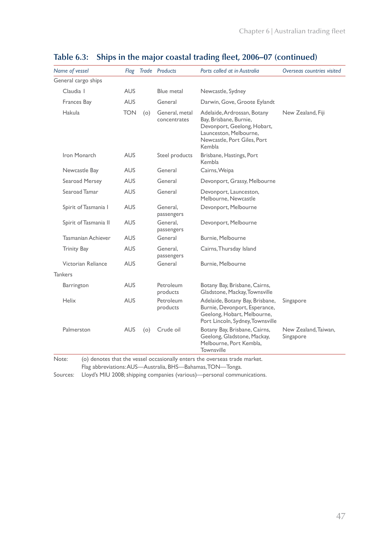| Name of vessel            |            |     | Flag Trade Products            | Ports called at in Australia                                                                                                                            | Overseas countries visited        |
|---------------------------|------------|-----|--------------------------------|---------------------------------------------------------------------------------------------------------------------------------------------------------|-----------------------------------|
| General cargo ships       |            |     |                                |                                                                                                                                                         |                                   |
| Claudia I                 | <b>AUS</b> |     | Blue metal                     | Newcastle, Sydney                                                                                                                                       |                                   |
| Frances Bay               | <b>AUS</b> |     | General                        | Darwin, Gove, Groote Eylandt                                                                                                                            |                                   |
| Hakula                    | <b>TON</b> | (o) | General, metal<br>concentrates | Adelaide, Ardrossan, Botany<br>Bay, Brisbane, Burnie,<br>Devonport, Geelong, Hobart,<br>Launceston, Melbourne,<br>Newcastle, Port Giles, Port<br>Kembla | New Zealand, Fiji                 |
| Iron Monarch              | <b>AUS</b> |     | Steel products                 | Brisbane, Hastings, Port<br>Kembla                                                                                                                      |                                   |
| Newcastle Bay             | <b>AUS</b> |     | General                        | Cairns, Weipa                                                                                                                                           |                                   |
| Searoad Mersey            | <b>AUS</b> |     | General                        | Devonport, Grassy, Melbourne                                                                                                                            |                                   |
| Searoad Tamar             | <b>AUS</b> |     | General                        | Devonport, Launceston,<br>Melbourne, Newcastle                                                                                                          |                                   |
| Spirit of Tasmania I      | <b>AUS</b> |     | General.<br>passengers         | Devonport, Melbourne                                                                                                                                    |                                   |
| Spirit of Tasmania II     | <b>AUS</b> |     | General.<br>passengers         | Devonport, Melbourne                                                                                                                                    |                                   |
| <b>Tasmanian Achiever</b> | <b>AUS</b> |     | General                        | Burnie, Melbourne                                                                                                                                       |                                   |
| <b>Trinity Bay</b>        | <b>AUS</b> |     | General.<br>passengers         | Cairns, Thursday Island                                                                                                                                 |                                   |
| Victorian Reliance        | <b>AUS</b> |     | General                        | Burnie, Melbourne                                                                                                                                       |                                   |
| <b>Tankers</b>            |            |     |                                |                                                                                                                                                         |                                   |
| Barrington                | <b>AUS</b> |     | Petroleum<br>products          | Botany Bay, Brisbane, Cairns,<br>Gladstone, Mackay, Townsville                                                                                          |                                   |
| Helix                     | <b>AUS</b> |     | Petroleum<br>products          | Adelaide, Botany Bay, Brisbane,<br>Burnie, Devonport, Esperance,<br>Geelong, Hobart, Melbourne,<br>Port Lincoln, Sydney, Townsville                     | Singapore                         |
| Palmerston                | <b>AUS</b> | (0) | Crude oil                      | Botany Bay, Brisbane, Cairns,<br>Geelong, Gladstone, Mackay,<br>Melbourne, Port Kembla,<br>Townsville                                                   | New Zealand, Taiwan,<br>Singapore |

### **Table 6.3: Ships in the major coastal trading fleet, 2006–07 (continued)**

Note: (o) denotes that the vessel occasionally enters the overseas trade market.

Flag abbreviations: AUS—Australia, BHS—Bahamas, TON—Tonga.

Sources: Lloyd's MIU 2008; shipping companies (various)—personal communications.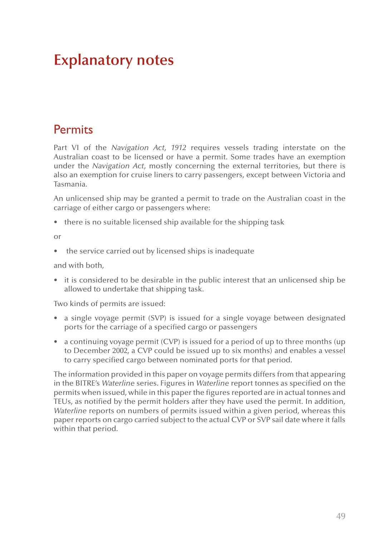# **Explanatory notes**

## **Permits**

Part VI of the *Navigation Act, 1912* requires vessels trading interstate on the Australian coast to be licensed or have a permit. Some trades have an exemption under the *Navigation Act*, mostly concerning the external territories, but there is also an exemption for cruise liners to carry passengers, except between Victoria and Tasmania.

An unlicensed ship may be granted a permit to trade on the Australian coast in the carriage of either cargo or passengers where:

• there is no suitable licensed ship available for the shipping task

or

the service carried out by licensed ships is inadequate

and with both,

• it is considered to be desirable in the public interest that an unlicensed ship be allowed to undertake that shipping task.

Two kinds of permits are issued:

- a single voyage permit (SVP) is issued for a single voyage between designated ports for the carriage of a specified cargo or passengers
- a continuing voyage permit (CVP) is issued for a period of up to three months (up to December 2002, a CVP could be issued up to six months) and enables a vessel to carry specified cargo between nominated ports for that period.

The information provided in this paper on voyage permits differs from that appearing in the BITRE's *Waterline* series. Figures in *Waterline* report tonnes as specified on the permits when issued, while in this paper the figures reported are in actual tonnes and TEUs, as notified by the permit holders after they have used the permit. In addition, *Waterline* reports on numbers of permits issued within a given period, whereas this paper reports on cargo carried subject to the actual CVP or SVP sail date where it falls within that period.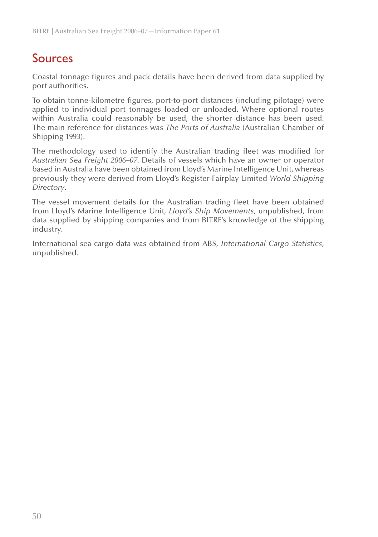# Sources

Coastal tonnage figures and pack details have been derived from data supplied by port authorities.

To obtain tonne-kilometre figures, port-to-port distances (including pilotage) were applied to individual port tonnages loaded or unloaded. Where optional routes within Australia could reasonably be used, the shorter distance has been used. The main reference for distances was *The Ports of Australia* (Australian Chamber of Shipping 1993).

The methodology used to identify the Australian trading fleet was modified for *Australian Sea Freight 2006–07*. Details of vessels which have an owner or operator based in Australia have been obtained from Lloyd's Marine Intelligence Unit, whereas previously they were derived from Lloyd's Register-Fairplay Limited *World Shipping Directory*.

The vessel movement details for the Australian trading fleet have been obtained from Lloyd's Marine Intelligence Unit, *Lloyd's Ship Movements*, unpublished, from data supplied by shipping companies and from BITRE's knowledge of the shipping industry.

International sea cargo data was obtained from ABS, *International Cargo Statistics*, unpublished.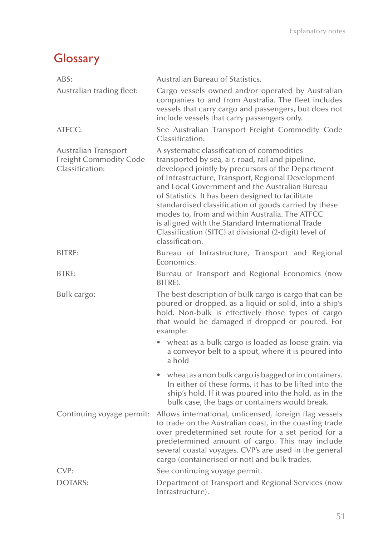# **Glossary**

| ABS:                                                                     | Australian Bureau of Statistics.                                                                                                                                                                                                                                                                                                                                                                                                                                                                                                                              |
|--------------------------------------------------------------------------|---------------------------------------------------------------------------------------------------------------------------------------------------------------------------------------------------------------------------------------------------------------------------------------------------------------------------------------------------------------------------------------------------------------------------------------------------------------------------------------------------------------------------------------------------------------|
| Australian trading fleet:                                                | Cargo vessels owned and/or operated by Australian<br>companies to and from Australia. The fleet includes<br>vessels that carry cargo and passengers, but does not<br>include vessels that carry passengers only.                                                                                                                                                                                                                                                                                                                                              |
| ATFCC:                                                                   | See Australian Transport Freight Commodity Code<br>Classification.                                                                                                                                                                                                                                                                                                                                                                                                                                                                                            |
| Australian Transport<br><b>Freight Commodity Code</b><br>Classification: | A systematic classification of commodities<br>transported by sea, air, road, rail and pipeline,<br>developed jointly by precursors of the Department<br>of Infrastructure, Transport, Regional Development<br>and Local Government and the Australian Bureau<br>of Statistics. It has been designed to facilitate<br>standardised classification of goods carried by these<br>modes to, from and within Australia. The ATFCC<br>is aligned with the Standard International Trade<br>Classification (SITC) at divisional (2-digit) level of<br>classification. |
| BITRE:                                                                   | Bureau of Infrastructure, Transport and Regional<br>Economics.                                                                                                                                                                                                                                                                                                                                                                                                                                                                                                |
| <b>BTRE:</b>                                                             | Bureau of Transport and Regional Economics (now<br>BITRE).                                                                                                                                                                                                                                                                                                                                                                                                                                                                                                    |
| Bulk cargo:                                                              | The best description of bulk cargo is cargo that can be<br>poured or dropped, as a liquid or solid, into a ship's<br>hold. Non-bulk is effectively those types of cargo<br>that would be damaged if dropped or poured. For<br>example:                                                                                                                                                                                                                                                                                                                        |
|                                                                          | wheat as a bulk cargo is loaded as loose grain, via<br>a conveyor belt to a spout, where it is poured into<br>a hold                                                                                                                                                                                                                                                                                                                                                                                                                                          |
|                                                                          | wheat as a non bulk cargo is bagged or in containers.<br>$\bullet$<br>In either of these forms, it has to be lifted into the<br>ship's hold. If it was poured into the hold, as in the<br>bulk case, the bags or containers would break.                                                                                                                                                                                                                                                                                                                      |
|                                                                          | Continuing voyage permit: Allows international, unlicensed, foreign flag vessels<br>to trade on the Australian coast, in the coasting trade<br>over predetermined set route for a set period for a<br>predetermined amount of cargo. This may include<br>several coastal voyages. CVP's are used in the general<br>cargo (containerised or not) and bulk trades.                                                                                                                                                                                              |
| CVP:                                                                     | See continuing voyage permit.                                                                                                                                                                                                                                                                                                                                                                                                                                                                                                                                 |
| <b>DOTARS:</b>                                                           | Department of Transport and Regional Services (now<br>Infrastructure).                                                                                                                                                                                                                                                                                                                                                                                                                                                                                        |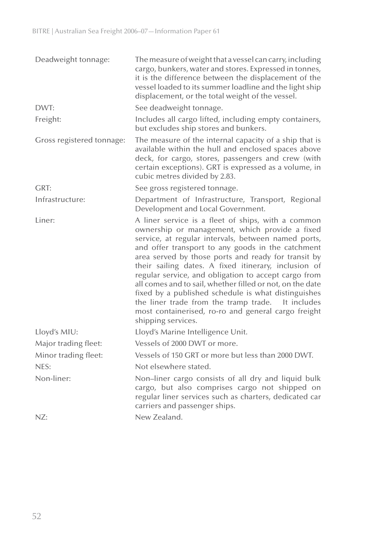| Deadweight tonnage:       | The measure of weight that a vessel can carry, including<br>cargo, bunkers, water and stores. Expressed in tonnes,<br>it is the difference between the displacement of the<br>vessel loaded to its summer loadline and the light ship<br>displacement, or the total weight of the vessel.                                                                                                                                                                                                                                                                                                                                                        |
|---------------------------|--------------------------------------------------------------------------------------------------------------------------------------------------------------------------------------------------------------------------------------------------------------------------------------------------------------------------------------------------------------------------------------------------------------------------------------------------------------------------------------------------------------------------------------------------------------------------------------------------------------------------------------------------|
| DWT:                      | See deadweight tonnage.                                                                                                                                                                                                                                                                                                                                                                                                                                                                                                                                                                                                                          |
| Freight:                  | Includes all cargo lifted, including empty containers,<br>but excludes ship stores and bunkers.                                                                                                                                                                                                                                                                                                                                                                                                                                                                                                                                                  |
| Gross registered tonnage: | The measure of the internal capacity of a ship that is<br>available within the hull and enclosed spaces above<br>deck, for cargo, stores, passengers and crew (with<br>certain exceptions). GRT is expressed as a volume, in<br>cubic metres divided by 2.83.                                                                                                                                                                                                                                                                                                                                                                                    |
| GRT:                      | See gross registered tonnage.                                                                                                                                                                                                                                                                                                                                                                                                                                                                                                                                                                                                                    |
| Infrastructure:           | Department of Infrastructure, Transport, Regional<br>Development and Local Government.                                                                                                                                                                                                                                                                                                                                                                                                                                                                                                                                                           |
| Liner:                    | A liner service is a fleet of ships, with a common<br>ownership or management, which provide a fixed<br>service, at regular intervals, between named ports,<br>and offer transport to any goods in the catchment<br>area served by those ports and ready for transit by<br>their sailing dates. A fixed itinerary, inclusion of<br>regular service, and obligation to accept cargo from<br>all comes and to sail, whether filled or not, on the date<br>fixed by a published schedule is what distinguishes<br>the liner trade from the tramp trade.<br>It includes<br>most containerised, ro-ro and general cargo freight<br>shipping services. |
| Lloyd's MIU:              | Lloyd's Marine Intelligence Unit.                                                                                                                                                                                                                                                                                                                                                                                                                                                                                                                                                                                                                |
| Major trading fleet:      | Vessels of 2000 DWT or more.                                                                                                                                                                                                                                                                                                                                                                                                                                                                                                                                                                                                                     |
| Minor trading fleet:      | Vessels of 150 GRT or more but less than 2000 DWT.                                                                                                                                                                                                                                                                                                                                                                                                                                                                                                                                                                                               |
| NES:                      | Not elsewhere stated.                                                                                                                                                                                                                                                                                                                                                                                                                                                                                                                                                                                                                            |
| Non-liner:                | Non-liner cargo consists of all dry and liquid bulk<br>cargo, but also comprises cargo not shipped on<br>regular liner services such as charters, dedicated car<br>carriers and passenger ships.                                                                                                                                                                                                                                                                                                                                                                                                                                                 |
| NZ:                       | New Zealand.                                                                                                                                                                                                                                                                                                                                                                                                                                                                                                                                                                                                                                     |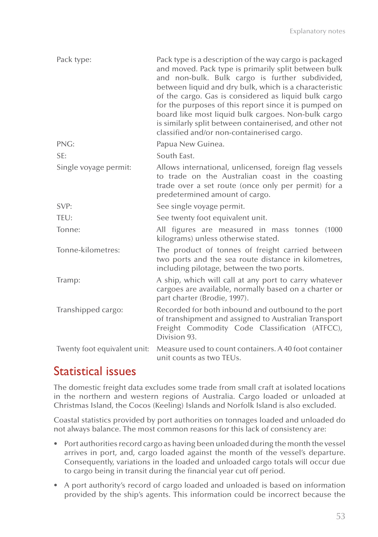| Pack type:                   | Pack type is a description of the way cargo is packaged<br>and moved. Pack type is primarily split between bulk<br>and non-bulk. Bulk cargo is further subdivided,<br>between liquid and dry bulk, which is a characteristic<br>of the cargo. Gas is considered as liquid bulk cargo<br>for the purposes of this report since it is pumped on<br>board like most liquid bulk cargoes. Non-bulk cargo<br>is similarly split between containerised, and other not<br>classified and/or non-containerised cargo. |
|------------------------------|---------------------------------------------------------------------------------------------------------------------------------------------------------------------------------------------------------------------------------------------------------------------------------------------------------------------------------------------------------------------------------------------------------------------------------------------------------------------------------------------------------------|
| PNG:                         | Papua New Guinea.                                                                                                                                                                                                                                                                                                                                                                                                                                                                                             |
| SE:                          | South East.                                                                                                                                                                                                                                                                                                                                                                                                                                                                                                   |
| Single voyage permit:        | Allows international, unlicensed, foreign flag vessels<br>to trade on the Australian coast in the coasting<br>trade over a set route (once only per permit) for a<br>predetermined amount of cargo.                                                                                                                                                                                                                                                                                                           |
| SVP:                         | See single voyage permit.                                                                                                                                                                                                                                                                                                                                                                                                                                                                                     |
| TEU:                         | See twenty foot equivalent unit.                                                                                                                                                                                                                                                                                                                                                                                                                                                                              |
| Tonne:                       | All figures are measured in mass tonnes (1000<br>kilograms) unless otherwise stated.                                                                                                                                                                                                                                                                                                                                                                                                                          |
| Tonne-kilometres:            | The product of tonnes of freight carried between<br>two ports and the sea route distance in kilometres,<br>including pilotage, between the two ports.                                                                                                                                                                                                                                                                                                                                                         |
| Tramp:                       | A ship, which will call at any port to carry whatever<br>cargoes are available, normally based on a charter or<br>part charter (Brodie, 1997).                                                                                                                                                                                                                                                                                                                                                                |
| Transhipped cargo:           | Recorded for both inbound and outbound to the port<br>of transhipment and assigned to Australian Transport<br>Freight Commodity Code Classification (ATFCC),<br>Division 93.                                                                                                                                                                                                                                                                                                                                  |
| Twenty foot equivalent unit: | Measure used to count containers. A 40 foot container<br>unit counts as two TEUs.                                                                                                                                                                                                                                                                                                                                                                                                                             |

## Statistical issues

The domestic freight data excludes some trade from small craft at isolated locations in the northern and western regions of Australia. Cargo loaded or unloaded at Christmas Island, the Cocos (Keeling) Islands and Norfolk Island is also excluded.

Coastal statistics provided by port authorities on tonnages loaded and unloaded do not always balance. The most common reasons for this lack of consistency are:

- Port authorities record cargo as having been unloaded during the month the vessel arrives in port, and, cargo loaded against the month of the vessel's departure. Consequently, variations in the loaded and unloaded cargo totals will occur due to cargo being in transit during the financial year cut off period.
- • A port authority's record of cargo loaded and unloaded is based on information provided by the ship's agents. This information could be incorrect because the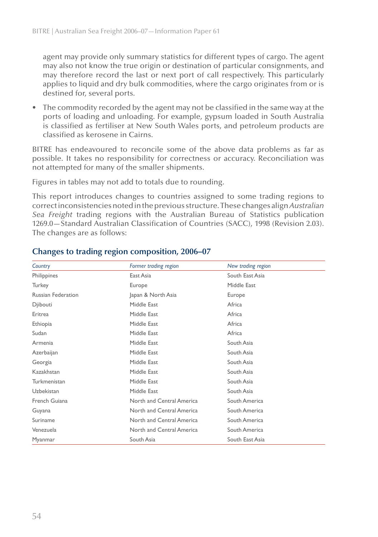agent may provide only summary statistics for different types of cargo. The agent may also not know the true origin or destination of particular consignments, and may therefore record the last or next port of call respectively. This particularly applies to liquid and dry bulk commodities, where the cargo originates from or is destined for, several ports.

• The commodity recorded by the agent may not be classified in the same way at the ports of loading and unloading. For example, gypsum loaded in South Australia is classified as fertiliser at New South Wales ports, and petroleum products are classified as kerosene in Cairns.

BITRE has endeavoured to reconcile some of the above data problems as far as possible. It takes no responsibility for correctness or accuracy. Reconciliation was not attempted for many of the smaller shipments.

Figures in tables may not add to totals due to rounding.

This report introduces changes to countries assigned to some trading regions to correct inconsistencies noted in the previous structure. These changes align *Australian Sea Freight* trading regions with the Australian Bureau of Statistics publication 1269.0—Standard Australian Classification of Countries (SACC), 1998 (Revision 2.03). The changes are as follows:

| Country                   | Former trading region<br>New trading region |                 |  |
|---------------------------|---------------------------------------------|-----------------|--|
| Philippines               | East Asia                                   | South East Asia |  |
| Turkey                    | Europe                                      | Middle East     |  |
| <b>Russian Federation</b> | Japan & North Asia<br>Europe                |                 |  |
| Djibouti                  | Middle East<br>Africa                       |                 |  |
| Eritrea                   | Middle East<br>Africa                       |                 |  |
| Ethiopia                  | Middle East<br>Africa                       |                 |  |
| Sudan                     | Middle East                                 | Africa          |  |
| Armenia                   | Middle East                                 | South Asia      |  |
| Azerbaijan                | Middle East                                 | South Asia      |  |
| Georgia                   | Middle East                                 | South Asia      |  |
| Kazakhstan                | Middle East                                 | South Asia      |  |
| Turkmenistan              | Middle East                                 | South Asia      |  |
| Uzbekistan                | Middle East                                 | South Asia      |  |
| French Guiana             | North and Central America                   | South America   |  |
| Guyana                    | North and Central America                   | South America   |  |
| Suriname                  | North and Central America                   | South America   |  |
| Venezuela                 | North and Central America                   | South America   |  |
| Myanmar                   | South Asia                                  | South East Asia |  |

#### **Changes to trading region composition, 2006–07**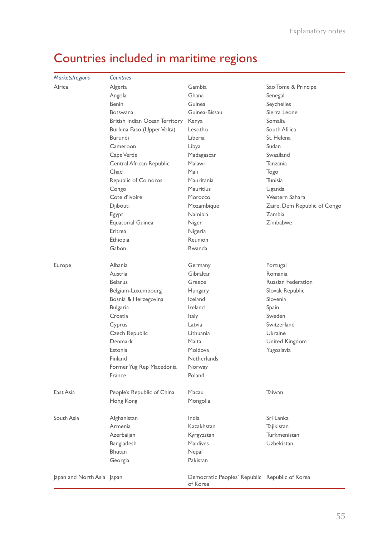| Markets/regions            | Countries                      |                                                            |                              |
|----------------------------|--------------------------------|------------------------------------------------------------|------------------------------|
| Africa                     | Algeria                        | Gambia                                                     | Sao Tome & Principe          |
|                            | Angola                         | Ghana                                                      | Senegal                      |
|                            | <b>Benin</b>                   | Guinea                                                     | Seychelles                   |
|                            | <b>Botswana</b>                | Guinea-Bissau                                              | Sierra Leone                 |
|                            | British Indian Ocean Territory | Kenya                                                      | Somalia                      |
|                            | Burkina Faso (Upper Volta)     | Lesotho                                                    | South Africa                 |
|                            | Burundi                        | Liberia                                                    | St. Helena                   |
|                            | Cameroon                       | Libya                                                      | Sudan                        |
|                            | Cape Verde                     | Madagascar                                                 | Swaziland                    |
|                            | Central African Republic       | Malawi                                                     | Tanzania                     |
|                            | Chad                           | Mali                                                       | Togo                         |
|                            | Republic of Comoros            | Mauritania                                                 | Tunisia                      |
|                            | Congo                          | <b>Mauritius</b>                                           | Uganda                       |
|                            | Cote d'Ivoire                  | Morocco                                                    | Western Sahara               |
|                            | Djibouti                       | Mozambique                                                 | Zaire, Dem Republic of Congo |
|                            | Egypt                          | Namibia                                                    | Zambia                       |
|                            | <b>Equatorial Guinea</b>       | Niger                                                      | Zimbabwe                     |
|                            | Eritrea                        | Nigeria                                                    |                              |
|                            | Ethiopia                       | Reunion                                                    |                              |
|                            | Gabon                          | Rwanda                                                     |                              |
|                            |                                |                                                            |                              |
| Europe                     | Albania                        | Germany                                                    | Portugal                     |
|                            | Austria                        | Gibraltar                                                  | Romania                      |
|                            | <b>Belarus</b>                 | Greece                                                     | <b>Russian Federation</b>    |
|                            | Belgium-Luxembourg             | Hungary                                                    | Slovak Republic              |
|                            | Bosnia & Herzegovina           | Iceland                                                    | Slovenia                     |
|                            | Bulgaria                       | Ireland                                                    | Spain                        |
|                            | Croatia                        | Italy                                                      | Sweden                       |
|                            | Cyprus                         | Latvia                                                     | Switzerland                  |
|                            | Czech Republic                 | Lithuania                                                  | Ukraine                      |
|                            | Denmark                        | Malta                                                      | United Kingdom               |
|                            | Estonia                        | Moldova                                                    | Yugoslavia                   |
|                            | Finland                        | Netherlands                                                |                              |
|                            | Former Yug Rep Macedonia       | Norway                                                     |                              |
|                            | France                         | Poland                                                     |                              |
|                            |                                |                                                            |                              |
| East Asia                  | People's Republic of China     | Macau                                                      | Taiwan                       |
|                            | Hong Kong                      | Mongolia                                                   |                              |
| South Asia                 | Afghanistan                    | India                                                      | Sri Lanka                    |
|                            | Armenia                        | Kazakhstan                                                 | Tajikistan                   |
|                            | Azerbaijan                     | Kyrgyzstan                                                 | Turkmenistan                 |
|                            | Bangladesh                     | <b>Maldives</b>                                            | <b>Uzbekistan</b>            |
|                            | Bhutan                         | Nepal                                                      |                              |
|                            | Georgia                        | Pakistan                                                   |                              |
|                            |                                |                                                            |                              |
| Japan and North Asia Japan |                                | Democratic Peoples' Republic Republic of Korea<br>of Korea |                              |

# Countries included in maritime regions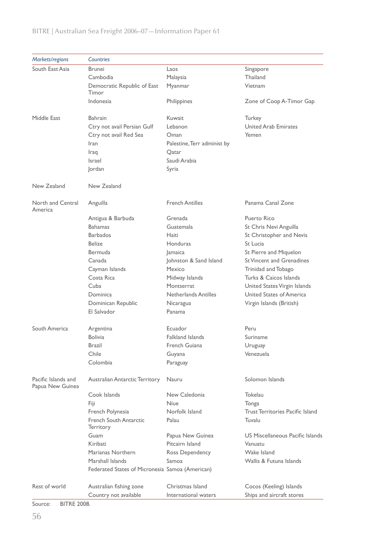#### *Markets/regions Countries*  South East Asia Brunei Laos Singapore Cambodia Malaysia Thailand Democratic Republic of East Timor Myanmar Vietnam Indonesia **Philippines Zone of Coop A-Timor Gap** Middle East Bahrain Kuwait Turkey Ctry not avail Persian Gulf Lebanon Ctry not avail Persian Gulf Lebanon Ctry not avail Red Sea Coman Charles Ctry not avail Red Sea Coman Charles Charles Yemen Iran Palestine, Terr administ by Iraq Qatar Israel Saudi Arabia Jordan Syria New Zealand New Zealand North and Central America Anguilla **French Antilles** Panama Canal Zone Antigua & Barbuda **Grenada** Grenada **Puerto Rico** Bahamas **Guatemala** St Chris Nevi Anguilla Barbados **Haiti** Haiti St Christopher and Nevis Belize **Honduras** St Lucia Bermuda Jamaica Jamaica St Pierre and Miquelon Canada Johnston & Sand Island St Vincent and Grenadines Cayman Islands Mexico Trinidad and Tobago Costa Rica Midway Islands Turks & Caicos Islands Cuba Montserrat United States Virgin Islands Dominica Netherlands Antilles United States of America Dominican Republic Micaragua Virgin Islands (British) El Salvador Panama South America Argentina **Argentina** Ecuador Peru Bolivia Falkland Islands Suriname Brazil **Brazil Brazil Brazil Example 2** French Guiana **Brazil Uruguay** Chile Guyana Venezuela Colombia Paraguay Pacific Islands and Papua New Guinea Australian Antarctic Territory Nauru Nauru Solomon Islands Cook Islands New Caledonia Tokelau Fiji Niue Tonga French Polynesia Norfolk Island Trust Territories Pacific Island French South Antarctic **Territory** Palau Tuvalu Guam Papua New Guinea US Miscellaneous Pacific Islands Kiribati Pitcairn Island Vanuatu Marianas Northern Ross Dependency Wake Island Marshall Islands Samoa Wallis & Futuna Islands Federated States of Micronesia Samoa (American) Rest of world Australian fishing zone Christmas Island Cocos (Keeling) Islands Country not available International waters Ships and aircraft stores

#### BITRE | Australian Sea Freight 2006–07—Information Paper 61